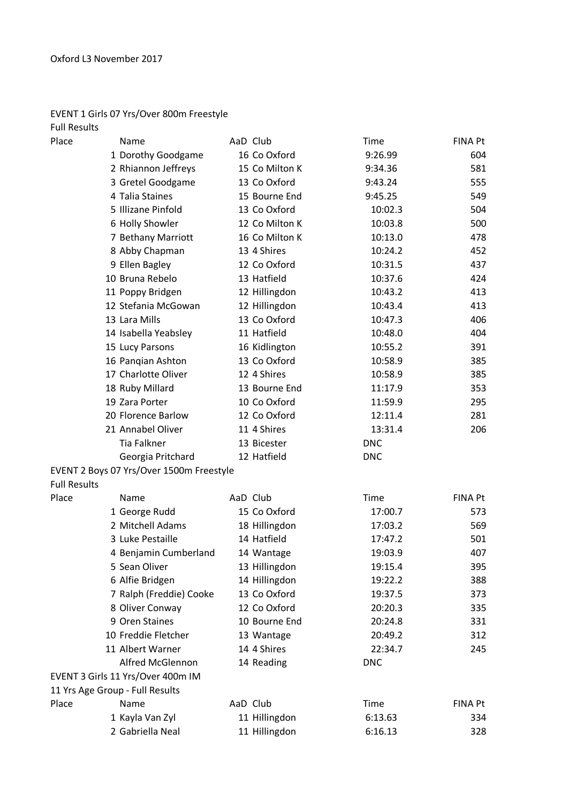## EVENT 1 Girls 07 Yrs/Over 800m Freestyle

| <b>Full Results</b> |                                          |                |            |                |
|---------------------|------------------------------------------|----------------|------------|----------------|
| Place               | Name                                     | AaD Club       | Time       | <b>FINA Pt</b> |
|                     | 1 Dorothy Goodgame                       | 16 Co Oxford   | 9:26.99    | 604            |
|                     | 2 Rhiannon Jeffreys                      | 15 Co Milton K | 9:34.36    | 581            |
|                     | 3 Gretel Goodgame                        | 13 Co Oxford   | 9:43.24    | 555            |
|                     | 4 Talia Staines                          | 15 Bourne End  | 9:45.25    | 549            |
|                     | 5 Illizane Pinfold                       | 13 Co Oxford   | 10:02.3    | 504            |
|                     | 6 Holly Showler                          | 12 Co Milton K | 10:03.8    | 500            |
|                     | 7 Bethany Marriott                       | 16 Co Milton K | 10:13.0    | 478            |
|                     | 8 Abby Chapman                           | 13 4 Shires    | 10:24.2    | 452            |
|                     | 9 Ellen Bagley                           | 12 Co Oxford   | 10:31.5    | 437            |
|                     | 10 Bruna Rebelo                          | 13 Hatfield    | 10:37.6    | 424            |
|                     | 11 Poppy Bridgen                         | 12 Hillingdon  | 10:43.2    | 413            |
|                     | 12 Stefania McGowan                      | 12 Hillingdon  | 10:43.4    | 413            |
|                     | 13 Lara Mills                            | 13 Co Oxford   | 10:47.3    | 406            |
|                     | 14 Isabella Yeabsley                     | 11 Hatfield    | 10:48.0    | 404            |
|                     | 15 Lucy Parsons                          | 16 Kidlington  | 10:55.2    | 391            |
|                     | 16 Pangian Ashton                        | 13 Co Oxford   | 10:58.9    | 385            |
|                     | 17 Charlotte Oliver                      | 12 4 Shires    | 10:58.9    | 385            |
|                     | 18 Ruby Millard                          | 13 Bourne End  | 11:17.9    | 353            |
|                     | 19 Zara Porter                           | 10 Co Oxford   | 11:59.9    | 295            |
|                     | 20 Florence Barlow                       | 12 Co Oxford   | 12:11.4    | 281            |
|                     | 21 Annabel Oliver                        | 11 4 Shires    | 13:31.4    | 206            |
|                     | <b>Tia Falkner</b>                       | 13 Bicester    | <b>DNC</b> |                |
|                     | Georgia Pritchard                        | 12 Hatfield    | <b>DNC</b> |                |
|                     | EVENT 2 Boys 07 Yrs/Over 1500m Freestyle |                |            |                |
| <b>Full Results</b> |                                          |                |            |                |
| Place               | Name                                     | AaD Club       | Time       | <b>FINA Pt</b> |
|                     | 1 George Rudd                            | 15 Co Oxford   | 17:00.7    | 573            |
|                     | 2 Mitchell Adams                         | 18 Hillingdon  | 17:03.2    | 569            |
|                     | 3 Luke Pestaille                         | 14 Hatfield    | 17:47.2    | 501            |
|                     | 4 Benjamin Cumberland                    | 14 Wantage     | 19:03.9    | 407            |
|                     | 5 Sean Oliver                            | 13 Hillingdon  | 19:15.4    | 395            |
|                     | 6 Alfie Bridgen                          | 14 Hillingdon  | 19:22.2    | 388            |
|                     | 7 Ralph (Freddie) Cooke                  | 13 Co Oxford   | 19:37.5    | 373            |
|                     | 8 Oliver Conway                          | 12 Co Oxford   | 20:20.3    | 335            |
|                     | 9 Oren Staines                           | 10 Bourne End  | 20:24.8    | 331            |
|                     | 10 Freddie Fletcher                      | 13 Wantage     | 20:49.2    | 312            |
|                     | 11 Albert Warner                         | 14 4 Shires    | 22:34.7    | 245            |
|                     | <b>Alfred McGlennon</b>                  | 14 Reading     | <b>DNC</b> |                |
|                     | EVENT 3 Girls 11 Yrs/Over 400m IM        |                |            |                |
|                     | 11 Yrs Age Group - Full Results          |                |            |                |
| Place               | Name                                     | AaD Club       | Time       | FINA Pt        |
|                     | 1 Kayla Van Zyl                          | 11 Hillingdon  | 6:13.63    | 334            |
|                     | 2 Gabriella Neal                         | 11 Hillingdon  | 6:16.13    | 328            |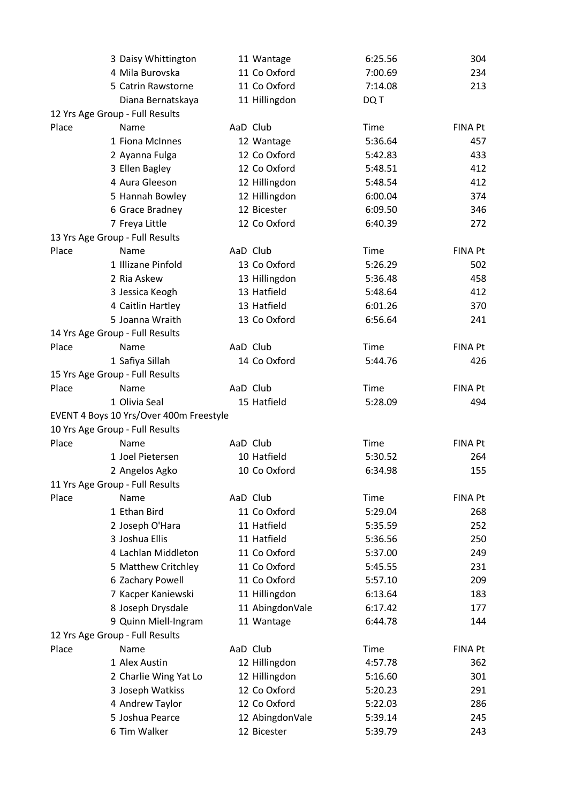|       | 3 Daisy Whittington                     |          | 11 Wantage      | 6:25.56     | 304            |
|-------|-----------------------------------------|----------|-----------------|-------------|----------------|
|       | 4 Mila Burovska                         |          | 11 Co Oxford    | 7:00.69     | 234            |
|       | 5 Catrin Rawstorne                      |          | 11 Co Oxford    | 7:14.08     | 213            |
|       | Diana Bernatskaya                       |          | 11 Hillingdon   | DQ T        |                |
|       | 12 Yrs Age Group - Full Results         |          |                 |             |                |
| Place | Name                                    | AaD Club |                 | Time        | <b>FINA Pt</b> |
|       | 1 Fiona McInnes                         |          | 12 Wantage      | 5:36.64     | 457            |
|       | 2 Ayanna Fulga                          |          | 12 Co Oxford    | 5:42.83     | 433            |
|       | 3 Ellen Bagley                          |          | 12 Co Oxford    | 5:48.51     | 412            |
|       | 4 Aura Gleeson                          |          | 12 Hillingdon   | 5:48.54     | 412            |
|       | 5 Hannah Bowley                         |          | 12 Hillingdon   | 6:00.04     | 374            |
|       | 6 Grace Bradney                         |          | 12 Bicester     | 6:09.50     | 346            |
|       | 7 Freya Little                          |          | 12 Co Oxford    | 6:40.39     | 272            |
|       | 13 Yrs Age Group - Full Results         |          |                 |             |                |
| Place | Name                                    | AaD Club |                 | Time        | <b>FINA Pt</b> |
|       | 1 Illizane Pinfold                      |          | 13 Co Oxford    | 5:26.29     | 502            |
|       | 2 Ria Askew                             |          | 13 Hillingdon   | 5:36.48     | 458            |
|       | 3 Jessica Keogh                         |          | 13 Hatfield     | 5:48.64     | 412            |
|       | 4 Caitlin Hartley                       |          | 13 Hatfield     | 6:01.26     | 370            |
|       | 5 Joanna Wraith                         |          | 13 Co Oxford    | 6:56.64     | 241            |
|       | 14 Yrs Age Group - Full Results         |          |                 |             |                |
| Place | Name                                    | AaD Club |                 | Time        | <b>FINA Pt</b> |
|       | 1 Safiya Sillah                         |          | 14 Co Oxford    | 5:44.76     | 426            |
|       | 15 Yrs Age Group - Full Results         |          |                 |             |                |
| Place | Name                                    | AaD Club |                 | Time        | <b>FINA Pt</b> |
|       | 1 Olivia Seal                           |          | 15 Hatfield     | 5:28.09     | 494            |
|       | EVENT 4 Boys 10 Yrs/Over 400m Freestyle |          |                 |             |                |
|       | 10 Yrs Age Group - Full Results         |          |                 |             |                |
| Place | Name                                    | AaD Club |                 | Time        | FINA Pt        |
|       | 1 Joel Pietersen                        |          | 10 Hatfield     | 5:30.52     | 264            |
|       | 2 Angelos Agko                          |          | 10 Co Oxford    | 6:34.98     | 155            |
|       | 11 Yrs Age Group - Full Results         |          |                 |             |                |
| Place | Name                                    | AaD Club |                 | Time        | <b>FINA Pt</b> |
|       | 1 Ethan Bird                            |          | 11 Co Oxford    | 5:29.04     | 268            |
|       | 2 Joseph O'Hara                         |          | 11 Hatfield     | 5:35.59     | 252            |
|       | 3 Joshua Ellis                          |          | 11 Hatfield     | 5:36.56     | 250            |
|       | 4 Lachlan Middleton                     |          | 11 Co Oxford    | 5:37.00     | 249            |
|       | 5 Matthew Critchley                     |          | 11 Co Oxford    | 5:45.55     | 231            |
|       | 6 Zachary Powell                        |          | 11 Co Oxford    | 5:57.10     | 209            |
|       | 7 Kacper Kaniewski                      |          | 11 Hillingdon   | 6:13.64     | 183            |
|       | 8 Joseph Drysdale                       |          | 11 AbingdonVale | 6:17.42     | 177            |
|       | 9 Quinn Miell-Ingram                    |          | 11 Wantage      | 6:44.78     | 144            |
|       | 12 Yrs Age Group - Full Results         |          |                 |             |                |
| Place | Name                                    | AaD Club |                 | <b>Time</b> | <b>FINA Pt</b> |
|       | 1 Alex Austin                           |          | 12 Hillingdon   | 4:57.78     | 362            |
|       | 2 Charlie Wing Yat Lo                   |          | 12 Hillingdon   | 5:16.60     | 301            |
|       | 3 Joseph Watkiss                        |          | 12 Co Oxford    | 5:20.23     | 291            |
|       | 4 Andrew Taylor                         |          | 12 Co Oxford    | 5:22.03     | 286            |
|       | 5 Joshua Pearce                         |          | 12 AbingdonVale | 5:39.14     | 245            |
|       | 6 Tim Walker                            |          | 12 Bicester     | 5:39.79     | 243            |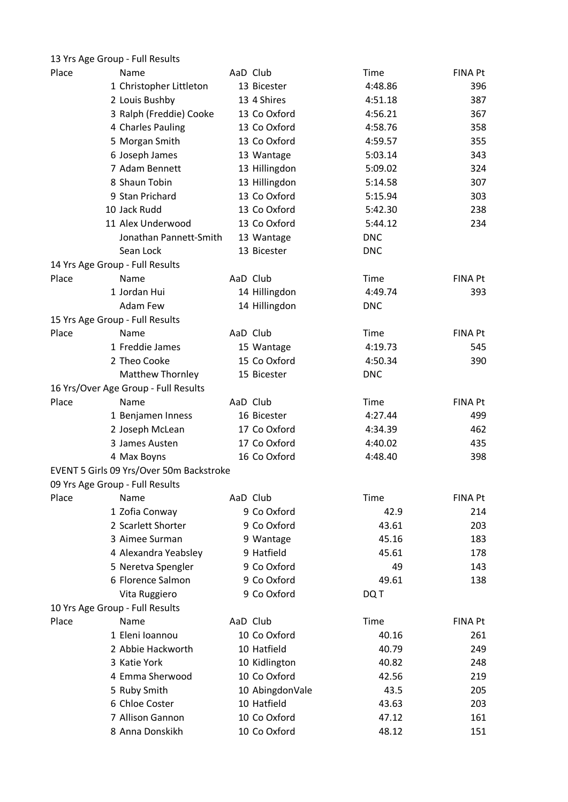|       | 13 Yrs Age Group - Full Results          |                 |             |                |
|-------|------------------------------------------|-----------------|-------------|----------------|
| Place | Name                                     | AaD Club        | <b>Time</b> | FINA Pt        |
|       | 1 Christopher Littleton                  | 13 Bicester     | 4:48.86     | 396            |
|       | 2 Louis Bushby                           | 13 4 Shires     | 4:51.18     | 387            |
|       | 3 Ralph (Freddie) Cooke                  | 13 Co Oxford    | 4:56.21     | 367            |
|       | 4 Charles Pauling                        | 13 Co Oxford    | 4:58.76     | 358            |
|       | 5 Morgan Smith                           | 13 Co Oxford    | 4:59.57     | 355            |
|       | 6 Joseph James                           | 13 Wantage      | 5:03.14     | 343            |
|       | 7 Adam Bennett                           | 13 Hillingdon   | 5:09.02     | 324            |
|       | 8 Shaun Tobin                            | 13 Hillingdon   | 5:14.58     | 307            |
|       | 9 Stan Prichard                          | 13 Co Oxford    | 5:15.94     | 303            |
|       | 10 Jack Rudd                             | 13 Co Oxford    | 5:42.30     | 238            |
|       | 11 Alex Underwood                        | 13 Co Oxford    | 5:44.12     | 234            |
|       | Jonathan Pannett-Smith                   | 13 Wantage      | <b>DNC</b>  |                |
|       | Sean Lock                                | 13 Bicester     | <b>DNC</b>  |                |
|       | 14 Yrs Age Group - Full Results          |                 |             |                |
| Place | Name                                     | AaD Club        | Time        | <b>FINA Pt</b> |
|       | 1 Jordan Hui                             | 14 Hillingdon   | 4:49.74     | 393            |
|       | Adam Few                                 | 14 Hillingdon   | <b>DNC</b>  |                |
|       | 15 Yrs Age Group - Full Results          |                 |             |                |
| Place | Name                                     | AaD Club        | Time        | <b>FINA Pt</b> |
|       | 1 Freddie James                          | 15 Wantage      | 4:19.73     | 545            |
|       | 2 Theo Cooke                             | 15 Co Oxford    | 4:50.34     | 390            |
|       | Matthew Thornley                         | 15 Bicester     | <b>DNC</b>  |                |
|       | 16 Yrs/Over Age Group - Full Results     |                 |             |                |
| Place | Name                                     | AaD Club        | <b>Time</b> | FINA Pt        |
|       | 1 Benjamen Inness                        | 16 Bicester     | 4:27.44     | 499            |
|       | 2 Joseph McLean                          | 17 Co Oxford    | 4:34.39     | 462            |
|       | 3 James Austen                           | 17 Co Oxford    | 4:40.02     | 435            |
|       | 4 Max Boyns                              | 16 Co Oxford    | 4:48.40     | 398            |
|       | EVENT 5 Girls 09 Yrs/Over 50m Backstroke |                 |             |                |
|       | 09 Yrs Age Group - Full Results          |                 |             |                |
| Place | Name                                     | AaD Club        | <b>Time</b> | <b>FINA Pt</b> |
|       | 1 Zofia Conway                           | 9 Co Oxford     | 42.9        | 214            |
|       | 2 Scarlett Shorter                       | 9 Co Oxford     | 43.61       | 203            |
|       | 3 Aimee Surman                           | 9 Wantage       | 45.16       | 183            |
|       | 4 Alexandra Yeabsley                     | 9 Hatfield      | 45.61       | 178            |
|       | 5 Neretva Spengler                       | 9 Co Oxford     | 49          | 143            |
|       | 6 Florence Salmon                        | 9 Co Oxford     | 49.61       | 138            |
|       | Vita Ruggiero                            | 9 Co Oxford     | DQ T        |                |
|       | 10 Yrs Age Group - Full Results          |                 |             |                |
| Place | Name                                     | AaD Club        | Time        | FINA Pt        |
|       | 1 Eleni Ioannou                          | 10 Co Oxford    | 40.16       | 261            |
|       | 2 Abbie Hackworth                        | 10 Hatfield     | 40.79       | 249            |
|       | 3 Katie York                             | 10 Kidlington   | 40.82       | 248            |
|       | 4 Emma Sherwood                          | 10 Co Oxford    | 42.56       | 219            |
|       | 5 Ruby Smith                             | 10 AbingdonVale | 43.5        | 205            |
|       | 6 Chloe Coster                           | 10 Hatfield     | 43.63       | 203            |
|       | 7 Allison Gannon                         | 10 Co Oxford    | 47.12       | 161            |
|       | 8 Anna Donskikh                          | 10 Co Oxford    | 48.12       | 151            |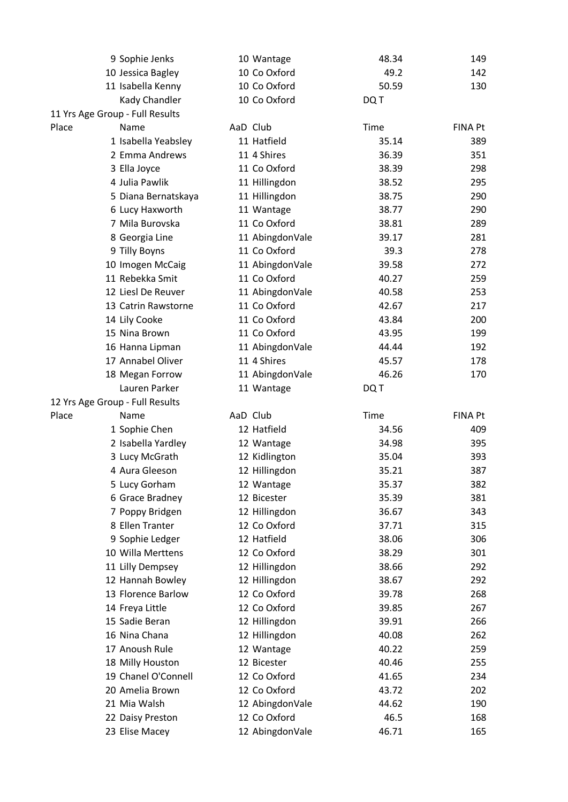|       | 9 Sophie Jenks                  | 10 Wantage      | 48.34 | 149            |
|-------|---------------------------------|-----------------|-------|----------------|
|       | 10 Jessica Bagley               | 10 Co Oxford    | 49.2  | 142            |
|       | 11 Isabella Kenny               | 10 Co Oxford    | 50.59 | 130            |
|       | Kady Chandler                   | 10 Co Oxford    | DQ T  |                |
|       | 11 Yrs Age Group - Full Results |                 |       |                |
| Place | Name                            | AaD Club        | Time  | <b>FINA Pt</b> |
|       | 1 Isabella Yeabsley             | 11 Hatfield     | 35.14 | 389            |
|       | 2 Emma Andrews                  | 11 4 Shires     | 36.39 | 351            |
|       | 3 Ella Joyce                    | 11 Co Oxford    | 38.39 | 298            |
|       | 4 Julia Pawlik                  | 11 Hillingdon   | 38.52 | 295            |
|       | 5 Diana Bernatskaya             | 11 Hillingdon   | 38.75 | 290            |
|       | 6 Lucy Haxworth                 | 11 Wantage      | 38.77 | 290            |
|       | 7 Mila Burovska                 | 11 Co Oxford    | 38.81 | 289            |
|       | 8 Georgia Line                  | 11 AbingdonVale | 39.17 | 281            |
|       | 9 Tilly Boyns                   | 11 Co Oxford    | 39.3  | 278            |
|       | 10 Imogen McCaig                | 11 AbingdonVale | 39.58 | 272            |
|       | 11 Rebekka Smit                 | 11 Co Oxford    | 40.27 | 259            |
|       | 12 Liesl De Reuver              | 11 AbingdonVale | 40.58 | 253            |
|       | 13 Catrin Rawstorne             | 11 Co Oxford    | 42.67 | 217            |
|       | 14 Lily Cooke                   | 11 Co Oxford    | 43.84 | 200            |
|       | 15 Nina Brown                   | 11 Co Oxford    | 43.95 | 199            |
|       | 16 Hanna Lipman                 | 11 AbingdonVale | 44.44 | 192            |
|       | 17 Annabel Oliver               | 11 4 Shires     | 45.57 | 178            |
|       | 18 Megan Forrow                 | 11 AbingdonVale | 46.26 | 170            |
|       | Lauren Parker                   | 11 Wantage      | DQ T  |                |
|       | 12 Yrs Age Group - Full Results |                 |       |                |
| Place | Name                            | AaD Club        | Time  | <b>FINA Pt</b> |
|       | 1 Sophie Chen                   | 12 Hatfield     | 34.56 | 409            |
|       | 2 Isabella Yardley              | 12 Wantage      | 34.98 | 395            |
|       | 3 Lucy McGrath                  | 12 Kidlington   | 35.04 | 393            |
|       | 4 Aura Gleeson                  | 12 Hillingdon   | 35.21 | 387            |
|       | 5 Lucy Gorham                   | 12 Wantage      | 35.37 | 382            |
|       | 6 Grace Bradney                 | 12 Bicester     | 35.39 | 381            |
|       | 7 Poppy Bridgen                 | 12 Hillingdon   | 36.67 | 343            |
|       | 8 Ellen Tranter                 | 12 Co Oxford    | 37.71 | 315            |
|       | 9 Sophie Ledger                 | 12 Hatfield     | 38.06 | 306            |
|       | 10 Willa Merttens               | 12 Co Oxford    | 38.29 | 301            |
|       | 11 Lilly Dempsey                | 12 Hillingdon   | 38.66 | 292            |
|       | 12 Hannah Bowley                | 12 Hillingdon   | 38.67 | 292            |
|       | 13 Florence Barlow              | 12 Co Oxford    | 39.78 | 268            |
|       | 14 Freya Little                 | 12 Co Oxford    | 39.85 | 267            |
|       | 15 Sadie Beran                  | 12 Hillingdon   | 39.91 | 266            |
|       | 16 Nina Chana                   | 12 Hillingdon   | 40.08 | 262            |
|       | 17 Anoush Rule                  | 12 Wantage      | 40.22 | 259            |
|       | 18 Milly Houston                | 12 Bicester     | 40.46 | 255            |
|       | 19 Chanel O'Connell             | 12 Co Oxford    | 41.65 | 234            |
|       | 20 Amelia Brown                 | 12 Co Oxford    | 43.72 | 202            |
|       | 21 Mia Walsh                    | 12 AbingdonVale | 44.62 | 190            |
|       | 22 Daisy Preston                | 12 Co Oxford    | 46.5  | 168            |
|       | 23 Elise Macey                  | 12 AbingdonVale | 46.71 | 165            |
|       |                                 |                 |       |                |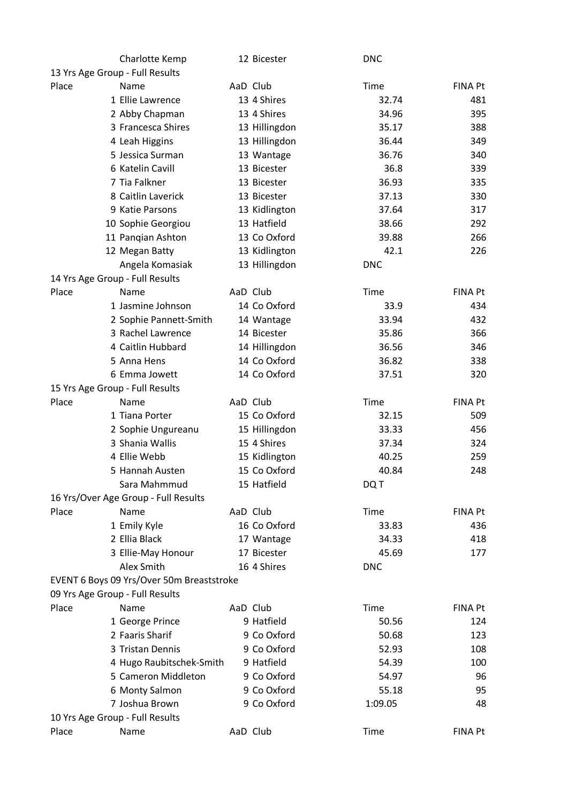|       | Charlotte Kemp                            | 12 Bicester   | <b>DNC</b>  |                |
|-------|-------------------------------------------|---------------|-------------|----------------|
|       | 13 Yrs Age Group - Full Results           |               |             |                |
| Place | Name                                      | AaD Club      | Time        | <b>FINA Pt</b> |
|       | 1 Ellie Lawrence                          | 13 4 Shires   | 32.74       | 481            |
|       | 2 Abby Chapman                            | 13 4 Shires   | 34.96       | 395            |
|       | 3 Francesca Shires                        | 13 Hillingdon | 35.17       | 388            |
|       | 4 Leah Higgins                            | 13 Hillingdon | 36.44       | 349            |
|       | 5 Jessica Surman                          | 13 Wantage    | 36.76       | 340            |
|       | 6 Katelin Cavill                          | 13 Bicester   | 36.8        | 339            |
|       | 7 Tia Falkner                             | 13 Bicester   | 36.93       | 335            |
|       | 8 Caitlin Laverick                        | 13 Bicester   | 37.13       | 330            |
|       | 9 Katie Parsons                           | 13 Kidlington | 37.64       | 317            |
|       | 10 Sophie Georgiou                        | 13 Hatfield   | 38.66       | 292            |
|       | 11 Pangian Ashton                         | 13 Co Oxford  | 39.88       | 266            |
|       | 12 Megan Batty                            | 13 Kidlington | 42.1        | 226            |
|       | Angela Komasiak                           | 13 Hillingdon | <b>DNC</b>  |                |
|       | 14 Yrs Age Group - Full Results           |               |             |                |
| Place | Name                                      | AaD Club      | Time        | <b>FINA Pt</b> |
|       | 1 Jasmine Johnson                         | 14 Co Oxford  | 33.9        | 434            |
|       | 2 Sophie Pannett-Smith                    | 14 Wantage    | 33.94       | 432            |
|       | 3 Rachel Lawrence                         | 14 Bicester   | 35.86       | 366            |
|       | 4 Caitlin Hubbard                         | 14 Hillingdon | 36.56       | 346            |
|       | 5 Anna Hens                               | 14 Co Oxford  | 36.82       | 338            |
|       | 6 Emma Jowett                             | 14 Co Oxford  | 37.51       | 320            |
|       | 15 Yrs Age Group - Full Results           |               |             |                |
| Place | Name                                      | AaD Club      | Time        | <b>FINA Pt</b> |
|       | 1 Tiana Porter                            | 15 Co Oxford  | 32.15       | 509            |
|       | 2 Sophie Ungureanu                        | 15 Hillingdon | 33.33       | 456            |
|       | 3 Shania Wallis                           | 15 4 Shires   | 37.34       | 324            |
|       | 4 Ellie Webb                              | 15 Kidlington | 40.25       | 259            |
|       | 5 Hannah Austen                           | 15 Co Oxford  | 40.84       | 248            |
|       | Sara Mahmmud                              | 15 Hatfield   | DQ T        |                |
|       | 16 Yrs/Over Age Group - Full Results      |               |             |                |
| Place | Name                                      | AaD Club      | Time        | <b>FINA Pt</b> |
|       | 1 Emily Kyle                              | 16 Co Oxford  | 33.83       | 436            |
|       | 2 Ellia Black                             | 17 Wantage    | 34.33       | 418            |
|       | 3 Ellie-May Honour                        | 17 Bicester   | 45.69       | 177            |
|       | Alex Smith                                | 16 4 Shires   | <b>DNC</b>  |                |
|       | EVENT 6 Boys 09 Yrs/Over 50m Breaststroke |               |             |                |
|       | 09 Yrs Age Group - Full Results           |               |             |                |
| Place | Name                                      | AaD Club      | Time        | <b>FINA Pt</b> |
|       | 1 George Prince                           | 9 Hatfield    | 50.56       | 124            |
|       | 2 Faaris Sharif                           | 9 Co Oxford   | 50.68       | 123            |
|       | 3 Tristan Dennis                          | 9 Co Oxford   | 52.93       | 108            |
|       | 4 Hugo Raubitschek-Smith                  | 9 Hatfield    | 54.39       | 100            |
|       | 5 Cameron Middleton                       | 9 Co Oxford   | 54.97       | 96             |
|       | 6 Monty Salmon                            | 9 Co Oxford   | 55.18       | 95             |
|       | 7 Joshua Brown                            | 9 Co Oxford   | 1:09.05     | 48             |
|       | 10 Yrs Age Group - Full Results           |               |             |                |
| Place | Name                                      | AaD Club      | <b>Time</b> | FINA Pt        |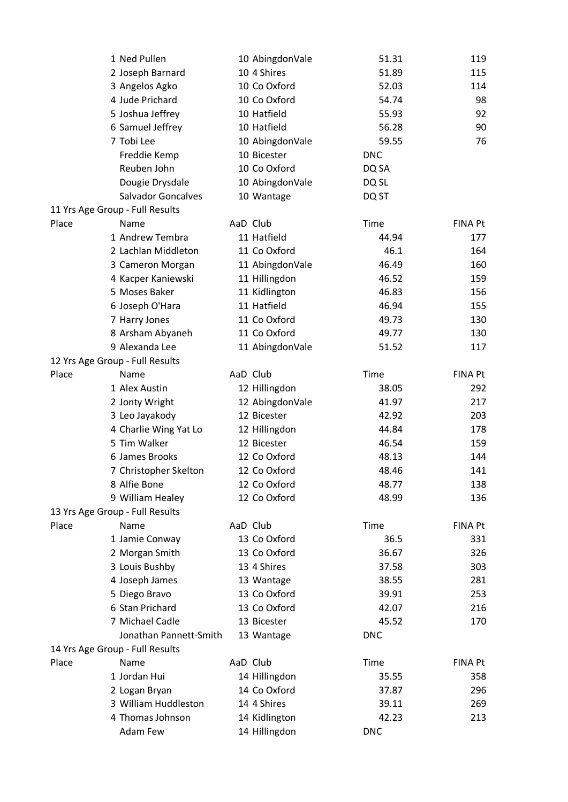|       | 1 Ned Pullen                    | 10 AbingdonVale | 51.31      | 119            |
|-------|---------------------------------|-----------------|------------|----------------|
|       | 2 Joseph Barnard                | 10 4 Shires     | 51.89      | 115            |
|       | 3 Angelos Agko                  | 10 Co Oxford    | 52.03      | 114            |
|       | 4 Jude Prichard                 | 10 Co Oxford    | 54.74      | 98             |
|       | 5 Joshua Jeffrey                | 10 Hatfield     | 55.93      | 92             |
|       | 6 Samuel Jeffrey                | 10 Hatfield     | 56.28      | 90             |
|       | 7 Tobi Lee                      | 10 AbingdonVale | 59.55      | 76             |
|       | Freddie Kemp                    | 10 Bicester     | <b>DNC</b> |                |
|       | Reuben John                     | 10 Co Oxford    | DQ SA      |                |
|       | Dougie Drysdale                 | 10 AbingdonVale | DQ SL      |                |
|       | <b>Salvador Goncalves</b>       | 10 Wantage      | DQ ST      |                |
|       | 11 Yrs Age Group - Full Results |                 |            |                |
| Place | Name                            | AaD Club        | Time       | <b>FINA Pt</b> |
|       | 1 Andrew Tembra                 | 11 Hatfield     | 44.94      | 177            |
|       | 2 Lachlan Middleton             | 11 Co Oxford    | 46.1       | 164            |
|       | 3 Cameron Morgan                | 11 AbingdonVale | 46.49      | 160            |
|       | 4 Kacper Kaniewski              | 11 Hillingdon   | 46.52      | 159            |
|       | 5 Moses Baker                   | 11 Kidlington   | 46.83      | 156            |
|       | 6 Joseph O'Hara                 | 11 Hatfield     | 46.94      | 155            |
|       | 7 Harry Jones                   | 11 Co Oxford    | 49.73      | 130            |
|       | 8 Arsham Abyaneh                | 11 Co Oxford    | 49.77      | 130            |
|       | 9 Alexanda Lee                  | 11 AbingdonVale | 51.52      | 117            |
|       | 12 Yrs Age Group - Full Results |                 |            |                |
| Place | Name                            | AaD Club        | Time       | <b>FINA Pt</b> |
|       | 1 Alex Austin                   | 12 Hillingdon   | 38.05      | 292            |
|       | 2 Jonty Wright                  | 12 AbingdonVale | 41.97      | 217            |
|       | 3 Leo Jayakody                  | 12 Bicester     | 42.92      | 203            |
|       | 4 Charlie Wing Yat Lo           | 12 Hillingdon   | 44.84      | 178            |
|       | 5 Tim Walker                    | 12 Bicester     | 46.54      | 159            |
|       | 6 James Brooks                  | 12 Co Oxford    | 48.13      | 144            |
|       | 7 Christopher Skelton           | 12 Co Oxford    | 48.46      | 141            |
|       | 8 Alfie Bone                    | 12 Co Oxford    | 48.77      | 138            |
|       | 9 William Healey                | 12 Co Oxford    | 48.99      | 136            |
|       | 13 Yrs Age Group - Full Results |                 |            |                |
| Place | Name                            | AaD Club        | Time       | <b>FINA Pt</b> |
|       | 1 Jamie Conway                  | 13 Co Oxford    | 36.5       | 331            |
|       | 2 Morgan Smith                  | 13 Co Oxford    | 36.67      | 326            |
|       | 3 Louis Bushby                  | 13 4 Shires     | 37.58      | 303            |
|       | 4 Joseph James                  | 13 Wantage      | 38.55      | 281            |
|       | 5 Diego Bravo                   | 13 Co Oxford    | 39.91      | 253            |
|       | 6 Stan Prichard                 | 13 Co Oxford    | 42.07      | 216            |
|       | 7 Michael Cadle                 | 13 Bicester     | 45.52      | 170            |
|       | Jonathan Pannett-Smith          | 13 Wantage      | <b>DNC</b> |                |
|       | 14 Yrs Age Group - Full Results |                 |            |                |
| Place | Name                            | AaD Club        | Time       | <b>FINA Pt</b> |
|       | 1 Jordan Hui                    | 14 Hillingdon   | 35.55      | 358            |
|       | 2 Logan Bryan                   | 14 Co Oxford    | 37.87      | 296            |
|       | 3 William Huddleston            | 14 4 Shires     | 39.11      | 269            |
|       | 4 Thomas Johnson                | 14 Kidlington   | 42.23      | 213            |
|       | Adam Few                        | 14 Hillingdon   | <b>DNC</b> |                |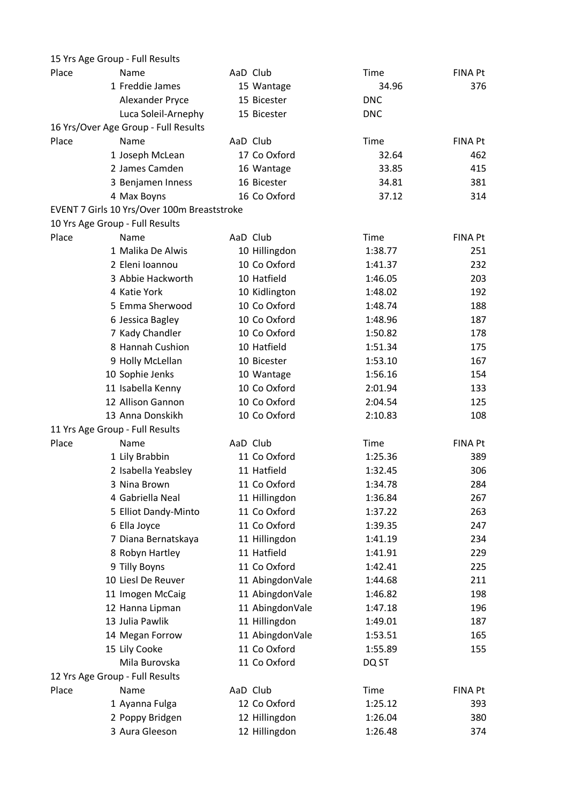|       | 15 Yrs Age Group - Full Results             |                 |            |                |
|-------|---------------------------------------------|-----------------|------------|----------------|
| Place | Name                                        | AaD Club        | Time       | FINA Pt        |
|       | 1 Freddie James                             | 15 Wantage      | 34.96      | 376            |
|       | Alexander Pryce                             | 15 Bicester     | <b>DNC</b> |                |
|       | Luca Soleil-Arnephy                         | 15 Bicester     | <b>DNC</b> |                |
|       | 16 Yrs/Over Age Group - Full Results        |                 |            |                |
| Place | Name                                        | AaD Club        | Time       | FINA Pt        |
|       | 1 Joseph McLean                             | 17 Co Oxford    | 32.64      | 462            |
|       | 2 James Camden                              | 16 Wantage      | 33.85      | 415            |
|       | 3 Benjamen Inness                           | 16 Bicester     | 34.81      | 381            |
|       | 4 Max Boyns                                 | 16 Co Oxford    | 37.12      | 314            |
|       | EVENT 7 Girls 10 Yrs/Over 100m Breaststroke |                 |            |                |
|       | 10 Yrs Age Group - Full Results             |                 |            |                |
| Place | Name                                        | AaD Club        | Time       | <b>FINA Pt</b> |
|       | 1 Malika De Alwis                           | 10 Hillingdon   | 1:38.77    | 251            |
|       | 2 Eleni Ioannou                             | 10 Co Oxford    | 1:41.37    | 232            |
|       | 3 Abbie Hackworth                           | 10 Hatfield     | 1:46.05    | 203            |
|       | 4 Katie York                                | 10 Kidlington   | 1:48.02    | 192            |
|       | 5 Emma Sherwood                             | 10 Co Oxford    | 1:48.74    | 188            |
|       | 6 Jessica Bagley                            | 10 Co Oxford    | 1:48.96    | 187            |
|       | 7 Kady Chandler                             | 10 Co Oxford    | 1:50.82    | 178            |
|       | 8 Hannah Cushion                            | 10 Hatfield     | 1:51.34    | 175            |
|       | 9 Holly McLellan                            | 10 Bicester     | 1:53.10    | 167            |
|       | 10 Sophie Jenks                             | 10 Wantage      | 1:56.16    | 154            |
|       | 11 Isabella Kenny                           | 10 Co Oxford    | 2:01.94    | 133            |
|       | 12 Allison Gannon                           | 10 Co Oxford    | 2:04.54    | 125            |
|       | 13 Anna Donskikh                            | 10 Co Oxford    | 2:10.83    | 108            |
|       | 11 Yrs Age Group - Full Results             |                 |            |                |
| Place | Name                                        | AaD Club        | Time       | FINA Pt        |
|       | 1 Lily Brabbin                              | 11 Co Oxford    | 1:25.36    | 389            |
|       | 2 Isabella Yeabsley                         | 11 Hatfield     | 1:32.45    | 306            |
|       | 3 Nina Brown                                | 11 Co Oxford    | 1:34.78    | 284            |
|       | 4 Gabriella Neal                            | 11 Hillingdon   | 1:36.84    | 267            |
|       | 5 Elliot Dandy-Minto                        | 11 Co Oxford    | 1:37.22    | 263            |
|       | 6 Ella Joyce                                | 11 Co Oxford    | 1:39.35    | 247            |
|       | 7 Diana Bernatskaya                         | 11 Hillingdon   | 1:41.19    | 234            |
|       | 8 Robyn Hartley                             | 11 Hatfield     | 1:41.91    | 229            |
|       | 9 Tilly Boyns                               | 11 Co Oxford    | 1:42.41    | 225            |
|       | 10 Liesl De Reuver                          | 11 AbingdonVale | 1:44.68    | 211            |
|       | 11 Imogen McCaig                            | 11 AbingdonVale | 1:46.82    | 198            |
|       | 12 Hanna Lipman                             | 11 AbingdonVale | 1:47.18    | 196            |
|       | 13 Julia Pawlik                             | 11 Hillingdon   | 1:49.01    | 187            |
|       | 14 Megan Forrow                             | 11 AbingdonVale | 1:53.51    | 165            |
|       | 15 Lily Cooke                               | 11 Co Oxford    | 1:55.89    | 155            |
|       | Mila Burovska                               | 11 Co Oxford    | DQ ST      |                |
|       | 12 Yrs Age Group - Full Results             |                 |            |                |
| Place | Name                                        | AaD Club        | Time       | <b>FINA Pt</b> |
|       | 1 Ayanna Fulga                              | 12 Co Oxford    | 1:25.12    | 393            |
|       | 2 Poppy Bridgen                             | 12 Hillingdon   | 1:26.04    | 380            |
|       | 3 Aura Gleeson                              | 12 Hillingdon   | 1:26.48    | 374            |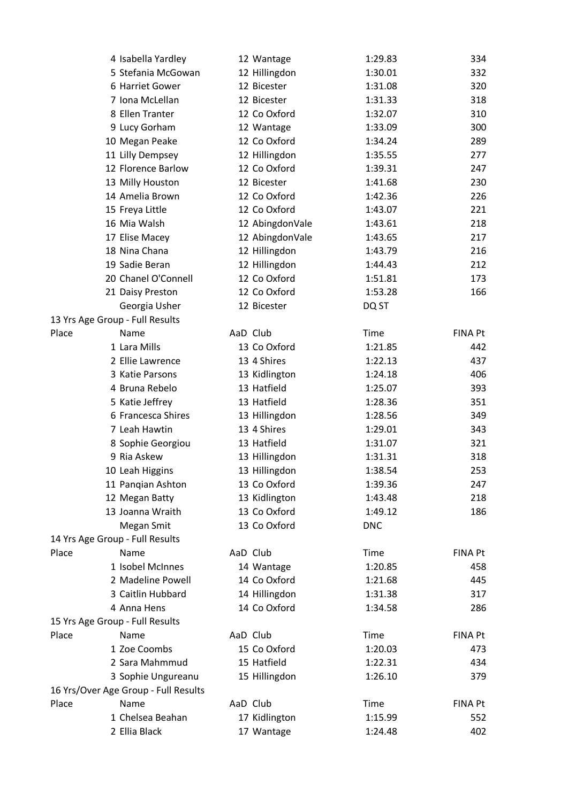|       | 4 Isabella Yardley                   |          | 12 Wantage      | 1:29.83    | 334            |
|-------|--------------------------------------|----------|-----------------|------------|----------------|
|       | 5 Stefania McGowan                   |          | 12 Hillingdon   | 1:30.01    | 332            |
|       | 6 Harriet Gower                      |          | 12 Bicester     | 1:31.08    | 320            |
|       | 7 Iona McLellan                      |          | 12 Bicester     | 1:31.33    | 318            |
|       | 8 Ellen Tranter                      |          | 12 Co Oxford    | 1:32.07    | 310            |
|       | 9 Lucy Gorham                        |          | 12 Wantage      | 1:33.09    | 300            |
|       | 10 Megan Peake                       |          | 12 Co Oxford    | 1:34.24    | 289            |
|       | 11 Lilly Dempsey                     |          | 12 Hillingdon   | 1:35.55    | 277            |
|       | 12 Florence Barlow                   |          | 12 Co Oxford    | 1:39.31    | 247            |
|       | 13 Milly Houston                     |          | 12 Bicester     | 1:41.68    | 230            |
|       | 14 Amelia Brown                      |          | 12 Co Oxford    | 1:42.36    | 226            |
|       | 15 Freya Little                      |          | 12 Co Oxford    | 1:43.07    | 221            |
|       | 16 Mia Walsh                         |          | 12 AbingdonVale | 1:43.61    | 218            |
|       | 17 Elise Macey                       |          | 12 AbingdonVale | 1:43.65    | 217            |
|       | 18 Nina Chana                        |          | 12 Hillingdon   | 1:43.79    | 216            |
|       | 19 Sadie Beran                       |          | 12 Hillingdon   | 1:44.43    | 212            |
|       | 20 Chanel O'Connell                  |          | 12 Co Oxford    | 1:51.81    | 173            |
|       | 21 Daisy Preston                     |          | 12 Co Oxford    | 1:53.28    | 166            |
|       | Georgia Usher                        |          | 12 Bicester     | DQ ST      |                |
|       | 13 Yrs Age Group - Full Results      |          |                 |            |                |
| Place | Name                                 | AaD Club |                 | Time       | <b>FINA Pt</b> |
|       | 1 Lara Mills                         |          | 13 Co Oxford    | 1:21.85    | 442            |
|       | 2 Ellie Lawrence                     |          | 13 4 Shires     | 1:22.13    | 437            |
|       | 3 Katie Parsons                      |          | 13 Kidlington   | 1:24.18    | 406            |
|       | 4 Bruna Rebelo                       |          | 13 Hatfield     | 1:25.07    | 393            |
|       | 5 Katie Jeffrey                      |          | 13 Hatfield     | 1:28.36    | 351            |
|       | 6 Francesca Shires                   |          | 13 Hillingdon   | 1:28.56    | 349            |
|       | 7 Leah Hawtin                        |          | 13 4 Shires     | 1:29.01    | 343            |
|       | 8 Sophie Georgiou                    |          | 13 Hatfield     | 1:31.07    | 321            |
|       | 9 Ria Askew                          |          | 13 Hillingdon   | 1:31.31    | 318            |
|       | 10 Leah Higgins                      |          | 13 Hillingdon   | 1:38.54    | 253            |
|       | 11 Panqian Ashton                    |          | 13 Co Oxford    | 1:39.36    | 247            |
|       | 12 Megan Batty                       |          | 13 Kidlington   | 1:43.48    | 218            |
|       | 13 Joanna Wraith                     |          | 13 Co Oxford    | 1:49.12    | 186            |
|       | Megan Smit                           |          | 13 Co Oxford    | <b>DNC</b> |                |
|       | 14 Yrs Age Group - Full Results      |          |                 |            |                |
| Place | Name                                 | AaD Club |                 | Time       | <b>FINA Pt</b> |
|       | 1 Isobel McInnes                     |          | 14 Wantage      | 1:20.85    | 458            |
|       | 2 Madeline Powell                    |          | 14 Co Oxford    | 1:21.68    | 445            |
|       | 3 Caitlin Hubbard                    |          | 14 Hillingdon   | 1:31.38    | 317            |
|       | 4 Anna Hens                          |          | 14 Co Oxford    | 1:34.58    | 286            |
|       | 15 Yrs Age Group - Full Results      |          |                 |            |                |
| Place | Name                                 | AaD Club |                 | Time       | <b>FINA Pt</b> |
|       | 1 Zoe Coombs                         |          | 15 Co Oxford    | 1:20.03    | 473            |
|       | 2 Sara Mahmmud                       |          | 15 Hatfield     | 1:22.31    | 434            |
|       | 3 Sophie Ungureanu                   |          | 15 Hillingdon   | 1:26.10    | 379            |
|       | 16 Yrs/Over Age Group - Full Results |          |                 |            |                |
| Place | Name                                 | AaD Club |                 | Time       | <b>FINA Pt</b> |
|       | 1 Chelsea Beahan                     |          | 17 Kidlington   | 1:15.99    | 552            |
|       | 2 Ellia Black                        |          | 17 Wantage      | 1:24.48    | 402            |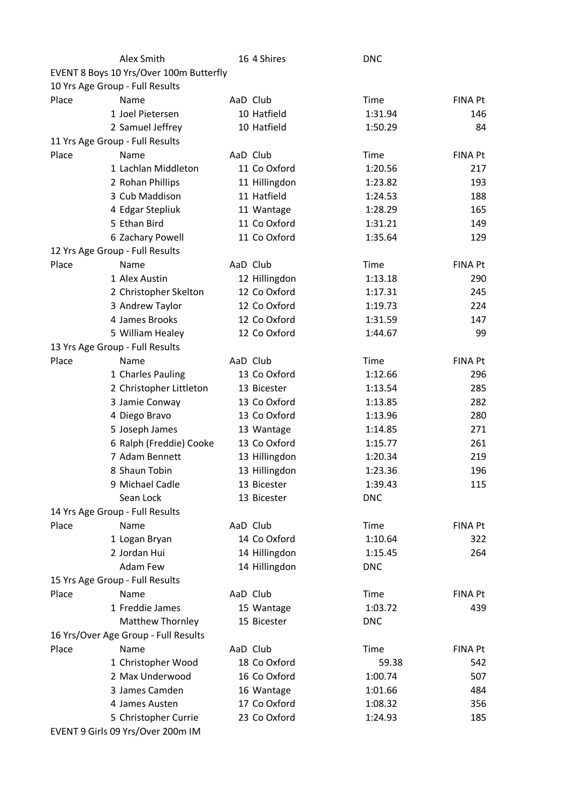|       | Alex Smith                                   | 16 4 Shires   | <b>DNC</b> |                |
|-------|----------------------------------------------|---------------|------------|----------------|
|       | EVENT 8 Boys 10 Yrs/Over 100m Butterfly      |               |            |                |
|       | 10 Yrs Age Group - Full Results              |               |            |                |
| Place | Name                                         | AaD Club      | Time       | <b>FINA Pt</b> |
|       | 1 Joel Pietersen                             | 10 Hatfield   | 1:31.94    | 146            |
|       | 2 Samuel Jeffrey                             | 10 Hatfield   | 1:50.29    | 84             |
|       | 11 Yrs Age Group - Full Results              |               |            |                |
| Place | Name                                         | AaD Club      | Time       | <b>FINA Pt</b> |
|       | 1 Lachlan Middleton                          | 11 Co Oxford  | 1:20.56    | 217            |
|       | 2 Rohan Phillips                             | 11 Hillingdon | 1:23.82    | 193            |
|       | 3 Cub Maddison                               | 11 Hatfield   | 1:24.53    | 188            |
|       | 4 Edgar Stepliuk                             | 11 Wantage    | 1:28.29    | 165            |
|       | 5 Ethan Bird                                 | 11 Co Oxford  | 1:31.21    | 149            |
|       | 6 Zachary Powell                             | 11 Co Oxford  | 1:35.64    | 129            |
|       | 12 Yrs Age Group - Full Results              |               |            |                |
| Place | Name                                         | AaD Club      | Time       | <b>FINA Pt</b> |
|       | 1 Alex Austin                                | 12 Hillingdon | 1:13.18    | 290            |
|       | 2 Christopher Skelton                        | 12 Co Oxford  | 1:17.31    | 245            |
|       | 3 Andrew Taylor                              | 12 Co Oxford  | 1:19.73    | 224            |
|       | 4 James Brooks                               | 12 Co Oxford  | 1:31.59    | 147            |
|       | 5 William Healey                             | 12 Co Oxford  | 1:44.67    | 99             |
|       | 13 Yrs Age Group - Full Results              |               |            |                |
| Place | Name                                         | AaD Club      | Time       | <b>FINA Pt</b> |
|       | 1 Charles Pauling                            | 13 Co Oxford  | 1:12.66    | 296            |
|       | 2 Christopher Littleton                      | 13 Bicester   | 1:13.54    | 285            |
|       | 3 Jamie Conway                               | 13 Co Oxford  | 1:13.85    | 282            |
|       | 4 Diego Bravo                                | 13 Co Oxford  | 1:13.96    | 280            |
|       | 5 Joseph James                               | 13 Wantage    | 1:14.85    | 271            |
|       | 6 Ralph (Freddie) Cooke                      | 13 Co Oxford  | 1:15.77    | 261            |
|       | 7 Adam Bennett                               | 13 Hillingdon | 1:20.34    | 219            |
|       | 8 Shaun Tobin                                | 13 Hillingdon | 1:23.36    | 196            |
|       | 9 Michael Cadle                              | 13 Bicester   | 1:39.43    | 115            |
|       | Sean Lock                                    | 13 Bicester   | <b>DNC</b> |                |
|       | 14 Yrs Age Group - Full Results              |               |            |                |
| Place | Name                                         | AaD Club      | Time       | <b>FINA Pt</b> |
|       | 1 Logan Bryan                                | 14 Co Oxford  | 1:10.64    | 322            |
|       | 2 Jordan Hui                                 | 14 Hillingdon | 1:15.45    | 264            |
|       | <b>Adam Few</b>                              | 14 Hillingdon | <b>DNC</b> |                |
|       | 15 Yrs Age Group - Full Results              |               |            |                |
| Place | Name                                         | AaD Club      | Time       | <b>FINA Pt</b> |
|       | 1 Freddie James                              | 15 Wantage    | 1:03.72    | 439            |
|       | <b>Matthew Thornley</b>                      | 15 Bicester   | <b>DNC</b> |                |
|       |                                              |               |            |                |
| Place | 16 Yrs/Over Age Group - Full Results<br>Name | AaD Club      | Time       |                |
|       |                                              |               |            | FINA Pt        |
|       | 1 Christopher Wood                           | 18 Co Oxford  | 59.38      | 542            |
|       | 2 Max Underwood                              | 16 Co Oxford  | 1:00.74    | 507            |
|       | 3 James Camden                               | 16 Wantage    | 1:01.66    | 484            |
|       | 4 James Austen                               | 17 Co Oxford  | 1:08.32    | 356            |
|       | 5 Christopher Currie                         | 23 Co Oxford  | 1:24.93    | 185            |
|       | EVENT 9 Girls 09 Yrs/Over 200m IM            |               |            |                |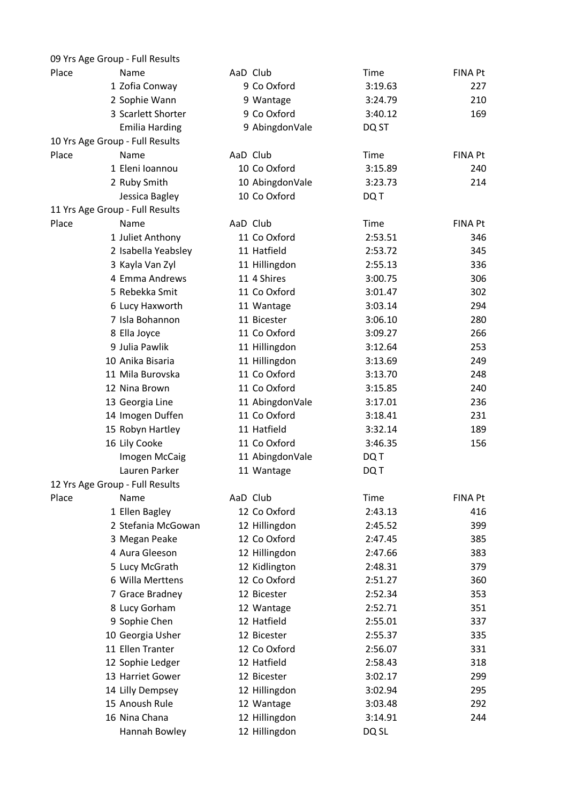|       | 09 Yrs Age Group - Full Results |                 |             |                |
|-------|---------------------------------|-----------------|-------------|----------------|
| Place | Name                            | AaD Club        | <b>Time</b> | <b>FINA Pt</b> |
|       | 1 Zofia Conway                  | 9 Co Oxford     | 3:19.63     | 227            |
|       | 2 Sophie Wann                   | 9 Wantage       | 3:24.79     | 210            |
|       | 3 Scarlett Shorter              | 9 Co Oxford     | 3:40.12     | 169            |
|       | <b>Emilia Harding</b>           | 9 AbingdonVale  | DQ ST       |                |
|       | 10 Yrs Age Group - Full Results |                 |             |                |
| Place | Name                            | AaD Club        | Time        | <b>FINA Pt</b> |
|       | 1 Eleni Ioannou                 | 10 Co Oxford    | 3:15.89     | 240            |
|       | 2 Ruby Smith                    | 10 AbingdonVale | 3:23.73     | 214            |
|       | Jessica Bagley                  | 10 Co Oxford    | DQ T        |                |
|       | 11 Yrs Age Group - Full Results |                 |             |                |
| Place | Name                            | AaD Club        | Time        | <b>FINA Pt</b> |
|       | 1 Juliet Anthony                | 11 Co Oxford    | 2:53.51     | 346            |
|       | 2 Isabella Yeabsley             | 11 Hatfield     | 2:53.72     | 345            |
|       | 3 Kayla Van Zyl                 | 11 Hillingdon   | 2:55.13     | 336            |
|       | 4 Emma Andrews                  | 11 4 Shires     | 3:00.75     | 306            |
|       | 5 Rebekka Smit                  | 11 Co Oxford    | 3:01.47     | 302            |
|       | 6 Lucy Haxworth                 | 11 Wantage      | 3:03.14     | 294            |
|       | 7 Isla Bohannon                 | 11 Bicester     | 3:06.10     | 280            |
|       | 8 Ella Joyce                    | 11 Co Oxford    | 3:09.27     | 266            |
|       | 9 Julia Pawlik                  | 11 Hillingdon   | 3:12.64     | 253            |
|       | 10 Anika Bisaria                | 11 Hillingdon   | 3:13.69     | 249            |
|       | 11 Mila Burovska                | 11 Co Oxford    | 3:13.70     | 248            |
|       | 12 Nina Brown                   | 11 Co Oxford    | 3:15.85     | 240            |
|       | 13 Georgia Line                 | 11 AbingdonVale | 3:17.01     | 236            |
|       | 14 Imogen Duffen                | 11 Co Oxford    | 3:18.41     | 231            |
|       | 15 Robyn Hartley                | 11 Hatfield     | 3:32.14     | 189            |
|       | 16 Lily Cooke                   | 11 Co Oxford    | 3:46.35     | 156            |
|       | Imogen McCaig                   | 11 AbingdonVale | DQ T        |                |
|       | Lauren Parker                   | 11 Wantage      | DQ T        |                |
|       | 12 Yrs Age Group - Full Results |                 |             |                |
| Place | Name                            | AaD Club        | Time        | <b>FINA Pt</b> |
|       | 1 Ellen Bagley                  | 12 Co Oxford    | 2:43.13     | 416            |
|       | 2 Stefania McGowan              | 12 Hillingdon   | 2:45.52     | 399            |
|       | 3 Megan Peake                   | 12 Co Oxford    | 2:47.45     | 385            |
|       | 4 Aura Gleeson                  | 12 Hillingdon   | 2:47.66     | 383            |
|       | 5 Lucy McGrath                  | 12 Kidlington   | 2:48.31     | 379            |
|       | 6 Willa Merttens                | 12 Co Oxford    | 2:51.27     | 360            |
|       | 7 Grace Bradney                 | 12 Bicester     | 2:52.34     | 353            |
|       | 8 Lucy Gorham                   | 12 Wantage      | 2:52.71     | 351            |
|       | 9 Sophie Chen                   | 12 Hatfield     | 2:55.01     | 337            |
|       | 10 Georgia Usher                | 12 Bicester     | 2:55.37     | 335            |
|       | 11 Ellen Tranter                | 12 Co Oxford    | 2:56.07     | 331            |
|       | 12 Sophie Ledger                | 12 Hatfield     | 2:58.43     | 318            |
|       | 13 Harriet Gower                | 12 Bicester     | 3:02.17     | 299            |
|       | 14 Lilly Dempsey                | 12 Hillingdon   | 3:02.94     | 295            |
|       | 15 Anoush Rule                  | 12 Wantage      | 3:03.48     | 292            |
|       | 16 Nina Chana                   | 12 Hillingdon   | 3:14.91     | 244            |
|       | Hannah Bowley                   | 12 Hillingdon   | DQ SL       |                |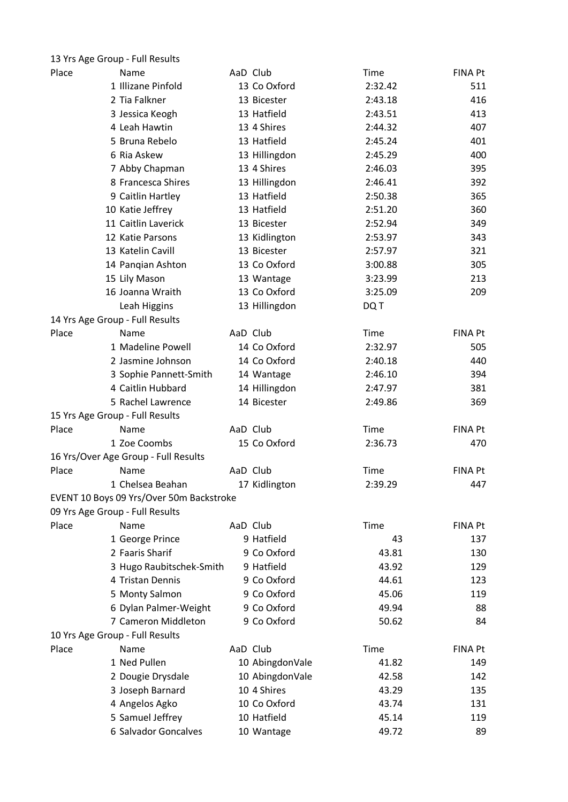|       | 13 Yrs Age Group - Full Results          |                 |             |                |
|-------|------------------------------------------|-----------------|-------------|----------------|
| Place | Name                                     | AaD Club        | <b>Time</b> | FINA Pt        |
|       | 1 Illizane Pinfold                       | 13 Co Oxford    | 2:32.42     | 511            |
|       | 2 Tia Falkner                            | 13 Bicester     | 2:43.18     | 416            |
|       | 3 Jessica Keogh                          | 13 Hatfield     | 2:43.51     | 413            |
|       | 4 Leah Hawtin                            | 13 4 Shires     | 2:44.32     | 407            |
|       | 5 Bruna Rebelo                           | 13 Hatfield     | 2:45.24     | 401            |
|       | 6 Ria Askew                              | 13 Hillingdon   | 2:45.29     | 400            |
|       | 7 Abby Chapman                           | 13 4 Shires     | 2:46.03     | 395            |
|       | 8 Francesca Shires                       | 13 Hillingdon   | 2:46.41     | 392            |
|       | 9 Caitlin Hartley                        | 13 Hatfield     | 2:50.38     | 365            |
|       | 10 Katie Jeffrey                         | 13 Hatfield     | 2:51.20     | 360            |
|       | 11 Caitlin Laverick                      | 13 Bicester     | 2:52.94     | 349            |
|       | 12 Katie Parsons                         | 13 Kidlington   | 2:53.97     | 343            |
|       | 13 Katelin Cavill                        | 13 Bicester     | 2:57.97     | 321            |
|       | 14 Panqian Ashton                        | 13 Co Oxford    | 3:00.88     | 305            |
|       | 15 Lily Mason                            | 13 Wantage      | 3:23.99     | 213            |
|       | 16 Joanna Wraith                         | 13 Co Oxford    | 3:25.09     | 209            |
|       | Leah Higgins                             | 13 Hillingdon   | DQ T        |                |
|       | 14 Yrs Age Group - Full Results          |                 |             |                |
| Place | Name                                     | AaD Club        | <b>Time</b> | <b>FINA Pt</b> |
|       | 1 Madeline Powell                        | 14 Co Oxford    | 2:32.97     | 505            |
|       | 2 Jasmine Johnson                        | 14 Co Oxford    | 2:40.18     | 440            |
|       | 3 Sophie Pannett-Smith                   | 14 Wantage      | 2:46.10     | 394            |
|       | 4 Caitlin Hubbard                        | 14 Hillingdon   | 2:47.97     | 381            |
|       | 5 Rachel Lawrence                        | 14 Bicester     | 2:49.86     | 369            |
|       | 15 Yrs Age Group - Full Results          |                 |             |                |
| Place | Name                                     | AaD Club        | Time        | <b>FINA Pt</b> |
|       | 1 Zoe Coombs                             | 15 Co Oxford    | 2:36.73     | 470            |
|       | 16 Yrs/Over Age Group - Full Results     |                 |             |                |
| Place | Name                                     | AaD Club        | <b>Time</b> | FINA Pt        |
|       | 1 Chelsea Beahan                         | 17 Kidlington   | 2:39.29     | 447            |
|       | EVENT 10 Boys 09 Yrs/Over 50m Backstroke |                 |             |                |
|       | 09 Yrs Age Group - Full Results          |                 |             |                |
| Place | Name                                     | AaD Club        | Time        | FINA Pt        |
|       | 1 George Prince                          | 9 Hatfield      | 43          | 137            |
|       | 2 Faaris Sharif                          | 9 Co Oxford     | 43.81       | 130            |
|       | 3 Hugo Raubitschek-Smith                 | 9 Hatfield      | 43.92       | 129            |
|       | 4 Tristan Dennis                         | 9 Co Oxford     | 44.61       | 123            |
|       | 5 Monty Salmon                           | 9 Co Oxford     | 45.06       | 119            |
|       | 6 Dylan Palmer-Weight                    | 9 Co Oxford     | 49.94       | 88             |
|       | 7 Cameron Middleton                      | 9 Co Oxford     | 50.62       | 84             |
|       | 10 Yrs Age Group - Full Results          |                 |             |                |
| Place | Name                                     | AaD Club        | Time        | <b>FINA Pt</b> |
|       | 1 Ned Pullen                             | 10 AbingdonVale | 41.82       | 149            |
|       | 2 Dougie Drysdale                        | 10 AbingdonVale | 42.58       | 142            |
|       | 3 Joseph Barnard                         | 10 4 Shires     | 43.29       | 135            |
|       | 4 Angelos Agko                           | 10 Co Oxford    | 43.74       | 131            |
|       | 5 Samuel Jeffrey                         | 10 Hatfield     | 45.14       | 119            |
|       | 6 Salvador Goncalves                     | 10 Wantage      | 49.72       | 89             |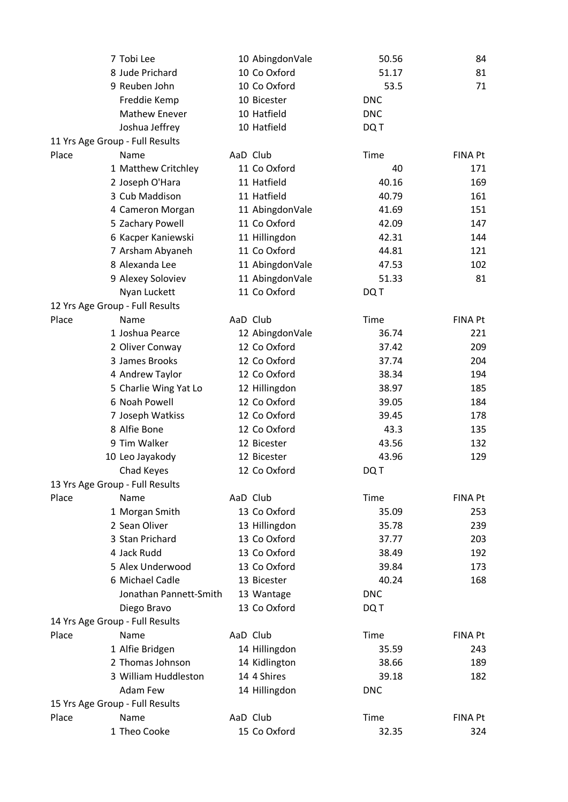|       | 7 Tobi Lee                      | 10 AbingdonVale | 50.56      | 84             |
|-------|---------------------------------|-----------------|------------|----------------|
|       | 8 Jude Prichard                 | 10 Co Oxford    | 51.17      | 81             |
|       | 9 Reuben John                   | 10 Co Oxford    | 53.5       | 71             |
|       | Freddie Kemp                    | 10 Bicester     | <b>DNC</b> |                |
|       | Mathew Enever                   | 10 Hatfield     | <b>DNC</b> |                |
|       | Joshua Jeffrey                  | 10 Hatfield     | DQ T       |                |
|       | 11 Yrs Age Group - Full Results |                 |            |                |
| Place | Name                            | AaD Club        | Time       | <b>FINA Pt</b> |
|       | 1 Matthew Critchley             | 11 Co Oxford    | 40         | 171            |
|       | 2 Joseph O'Hara                 | 11 Hatfield     | 40.16      | 169            |
|       | 3 Cub Maddison                  | 11 Hatfield     | 40.79      | 161            |
|       | 4 Cameron Morgan                | 11 AbingdonVale | 41.69      | 151            |
|       | 5 Zachary Powell                | 11 Co Oxford    | 42.09      | 147            |
|       | 6 Kacper Kaniewski              | 11 Hillingdon   | 42.31      | 144            |
|       | 7 Arsham Abyaneh                | 11 Co Oxford    | 44.81      | 121            |
|       | 8 Alexanda Lee                  | 11 AbingdonVale | 47.53      | 102            |
|       | 9 Alexey Soloviev               | 11 AbingdonVale | 51.33      | 81             |
|       | Nyan Luckett                    | 11 Co Oxford    | DQ T       |                |
|       | 12 Yrs Age Group - Full Results |                 |            |                |
| Place | Name                            | AaD Club        | Time       | <b>FINA Pt</b> |
|       | 1 Joshua Pearce                 | 12 AbingdonVale | 36.74      | 221            |
|       | 2 Oliver Conway                 | 12 Co Oxford    | 37.42      | 209            |
|       | 3 James Brooks                  | 12 Co Oxford    | 37.74      | 204            |
|       | 4 Andrew Taylor                 | 12 Co Oxford    | 38.34      | 194            |
|       | 5 Charlie Wing Yat Lo           | 12 Hillingdon   | 38.97      | 185            |
|       | 6 Noah Powell                   | 12 Co Oxford    | 39.05      | 184            |
|       | 7 Joseph Watkiss                | 12 Co Oxford    | 39.45      | 178            |
|       | 8 Alfie Bone                    | 12 Co Oxford    | 43.3       | 135            |
|       | 9 Tim Walker                    | 12 Bicester     | 43.56      | 132            |
|       | 10 Leo Jayakody                 | 12 Bicester     | 43.96      | 129            |
|       | Chad Keyes                      | 12 Co Oxford    | DQ T       |                |
|       | 13 Yrs Age Group - Full Results |                 |            |                |
| Place | Name                            | AaD Club        | Time       | <b>FINA Pt</b> |
|       | 1 Morgan Smith                  | 13 Co Oxford    | 35.09      | 253            |
|       | 2 Sean Oliver                   | 13 Hillingdon   | 35.78      | 239            |
|       | 3 Stan Prichard                 | 13 Co Oxford    | 37.77      | 203            |
|       | 4 Jack Rudd                     | 13 Co Oxford    | 38.49      | 192            |
|       | 5 Alex Underwood                | 13 Co Oxford    | 39.84      | 173            |
|       | 6 Michael Cadle                 | 13 Bicester     | 40.24      | 168            |
|       | Jonathan Pannett-Smith          | 13 Wantage      | <b>DNC</b> |                |
|       | Diego Bravo                     | 13 Co Oxford    | DQ T       |                |
|       | 14 Yrs Age Group - Full Results |                 |            |                |
| Place | Name                            | AaD Club        | Time       | FINA Pt        |
|       | 1 Alfie Bridgen                 | 14 Hillingdon   | 35.59      | 243            |
|       | 2 Thomas Johnson                | 14 Kidlington   | 38.66      | 189            |
|       | 3 William Huddleston            | 14 4 Shires     | 39.18      | 182            |
|       | Adam Few                        | 14 Hillingdon   | <b>DNC</b> |                |
|       | 15 Yrs Age Group - Full Results |                 |            |                |
| Place | Name                            | AaD Club        | Time       | <b>FINA Pt</b> |
|       | 1 Theo Cooke                    | 15 Co Oxford    | 32.35      | 324            |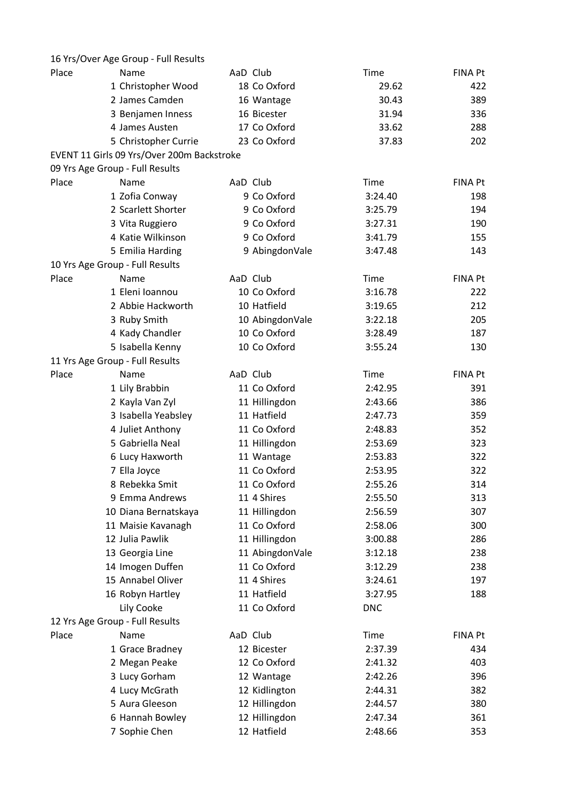|       | 16 Yrs/Over Age Group - Full Results       |                 |            |                |
|-------|--------------------------------------------|-----------------|------------|----------------|
| Place | Name                                       | AaD Club        | Time       | FINA Pt        |
|       | 1 Christopher Wood                         | 18 Co Oxford    | 29.62      | 422            |
|       | 2 James Camden                             | 16 Wantage      | 30.43      | 389            |
|       | 3 Benjamen Inness                          | 16 Bicester     | 31.94      | 336            |
|       | 4 James Austen                             | 17 Co Oxford    | 33.62      | 288            |
|       | 5 Christopher Currie                       | 23 Co Oxford    | 37.83      | 202            |
|       | EVENT 11 Girls 09 Yrs/Over 200m Backstroke |                 |            |                |
|       | 09 Yrs Age Group - Full Results            |                 |            |                |
| Place | Name                                       | AaD Club        | Time       | <b>FINA Pt</b> |
|       | 1 Zofia Conway                             | 9 Co Oxford     | 3:24.40    | 198            |
|       | 2 Scarlett Shorter                         | 9 Co Oxford     | 3:25.79    | 194            |
|       | 3 Vita Ruggiero                            | 9 Co Oxford     | 3:27.31    | 190            |
|       | 4 Katie Wilkinson                          | 9 Co Oxford     | 3:41.79    | 155            |
|       | 5 Emilia Harding                           | 9 AbingdonVale  | 3:47.48    | 143            |
|       | 10 Yrs Age Group - Full Results            |                 |            |                |
| Place | Name                                       | AaD Club        | Time       | FINA Pt        |
|       | 1 Eleni Ioannou                            | 10 Co Oxford    | 3:16.78    | 222            |
|       | 2 Abbie Hackworth                          | 10 Hatfield     | 3:19.65    | 212            |
|       | 3 Ruby Smith                               | 10 AbingdonVale | 3:22.18    | 205            |
|       | 4 Kady Chandler                            | 10 Co Oxford    | 3:28.49    | 187            |
|       | 5 Isabella Kenny                           | 10 Co Oxford    | 3:55.24    | 130            |
|       | 11 Yrs Age Group - Full Results            |                 |            |                |
| Place | Name                                       | AaD Club        | Time       | FINA Pt        |
|       | 1 Lily Brabbin                             | 11 Co Oxford    | 2:42.95    | 391            |
|       | 2 Kayla Van Zyl                            | 11 Hillingdon   | 2:43.66    | 386            |
|       | 3 Isabella Yeabsley                        | 11 Hatfield     | 2:47.73    | 359            |
|       | 4 Juliet Anthony                           | 11 Co Oxford    | 2:48.83    | 352            |
|       | 5 Gabriella Neal                           | 11 Hillingdon   | 2:53.69    | 323            |
|       | 6 Lucy Haxworth                            | 11 Wantage      | 2:53.83    | 322            |
|       | 7 Ella Joyce                               | 11 Co Oxford    | 2:53.95    | 322            |
|       | 8 Rebekka Smit                             | 11 Co Oxford    | 2:55.26    | 314            |
|       | 9 Emma Andrews                             | 11 4 Shires     | 2:55.50    | 313            |
|       | 10 Diana Bernatskaya                       | 11 Hillingdon   | 2:56.59    | 307            |
|       | 11 Maisie Kavanagh                         | 11 Co Oxford    | 2:58.06    | 300            |
|       | 12 Julia Pawlik                            | 11 Hillingdon   | 3:00.88    | 286            |
|       | 13 Georgia Line                            | 11 AbingdonVale | 3:12.18    | 238            |
|       | 14 Imogen Duffen                           | 11 Co Oxford    | 3:12.29    | 238            |
|       | 15 Annabel Oliver                          | 11 4 Shires     | 3:24.61    | 197            |
|       | 16 Robyn Hartley                           | 11 Hatfield     | 3:27.95    | 188            |
|       | Lily Cooke                                 | 11 Co Oxford    | <b>DNC</b> |                |
|       | 12 Yrs Age Group - Full Results            |                 |            |                |
| Place | Name                                       | AaD Club        | Time       | <b>FINA Pt</b> |
|       | 1 Grace Bradney                            | 12 Bicester     | 2:37.39    | 434            |
|       | 2 Megan Peake                              | 12 Co Oxford    | 2:41.32    | 403            |
|       | 3 Lucy Gorham                              | 12 Wantage      | 2:42.26    | 396            |
|       | 4 Lucy McGrath                             | 12 Kidlington   | 2:44.31    | 382            |
|       | 5 Aura Gleeson                             | 12 Hillingdon   | 2:44.57    | 380            |
|       | 6 Hannah Bowley                            | 12 Hillingdon   | 2:47.34    | 361            |
|       | 7 Sophie Chen                              | 12 Hatfield     | 2:48.66    | 353            |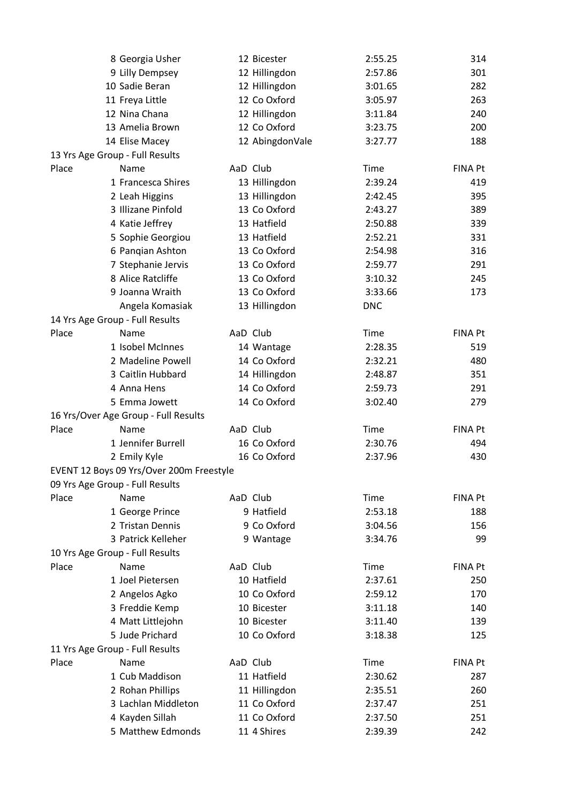|       | 8 Georgia Usher                          | 12 Bicester                  | 2:55.25     | 314            |
|-------|------------------------------------------|------------------------------|-------------|----------------|
|       | 9 Lilly Dempsey                          | 12 Hillingdon                | 2:57.86     | 301            |
|       | 10 Sadie Beran                           | 12 Hillingdon                | 3:01.65     | 282            |
|       | 11 Freya Little                          | 12 Co Oxford                 | 3:05.97     | 263            |
|       | 12 Nina Chana                            | 12 Hillingdon                | 3:11.84     | 240            |
|       | 13 Amelia Brown                          | 12 Co Oxford                 | 3:23.75     | 200            |
|       | 14 Elise Macey                           | 12 AbingdonVale              | 3:27.77     | 188            |
|       | 13 Yrs Age Group - Full Results          |                              |             |                |
| Place | Name                                     | AaD Club                     | Time        | <b>FINA Pt</b> |
|       | 1 Francesca Shires                       | 13 Hillingdon                | 2:39.24     | 419            |
|       | 2 Leah Higgins                           | 13 Hillingdon                | 2:42.45     | 395            |
|       | 3 Illizane Pinfold                       | 13 Co Oxford                 | 2:43.27     | 389            |
|       | 4 Katie Jeffrey                          | 13 Hatfield                  | 2:50.88     | 339            |
|       | 5 Sophie Georgiou                        | 13 Hatfield                  | 2:52.21     | 331            |
|       | 6 Pangian Ashton                         | 13 Co Oxford                 | 2:54.98     | 316            |
|       | 7 Stephanie Jervis                       | 13 Co Oxford                 | 2:59.77     | 291            |
|       | 8 Alice Ratcliffe                        | 13 Co Oxford                 | 3:10.32     | 245            |
|       | 9 Joanna Wraith                          | 13 Co Oxford                 | 3:33.66     | 173            |
|       | Angela Komasiak                          | 13 Hillingdon                | <b>DNC</b>  |                |
|       | 14 Yrs Age Group - Full Results          |                              |             |                |
| Place | Name                                     | AaD Club                     | Time        | <b>FINA Pt</b> |
|       | 1 Isobel McInnes                         | 14 Wantage                   | 2:28.35     | 519            |
|       | 2 Madeline Powell                        | 14 Co Oxford                 | 2:32.21     | 480            |
|       | 3 Caitlin Hubbard                        | 14 Hillingdon                | 2:48.87     | 351            |
|       | 4 Anna Hens                              | 14 Co Oxford                 | 2:59.73     | 291            |
|       | 5 Emma Jowett                            | 14 Co Oxford                 | 3:02.40     | 279            |
|       | 16 Yrs/Over Age Group - Full Results     |                              |             |                |
| Place | Name                                     | AaD Club                     | Time        | <b>FINA Pt</b> |
|       | 1 Jennifer Burrell                       | 16 Co Oxford                 | 2:30.76     | 494            |
|       | 2 Emily Kyle                             | 16 Co Oxford                 | 2:37.96     | 430            |
|       | EVENT 12 Boys 09 Yrs/Over 200m Freestyle |                              |             |                |
|       | 09 Yrs Age Group - Full Results          |                              |             |                |
| Place | Name                                     | AaD Club                     | <b>Time</b> | <b>FINA Pt</b> |
|       | 1 George Prince                          | 9 Hatfield                   | 2:53.18     | 188            |
|       | 2 Tristan Dennis                         | 9 Co Oxford                  | 3:04.56     | 156            |
|       | 3 Patrick Kelleher                       | 9 Wantage                    | 3:34.76     | 99             |
|       | 10 Yrs Age Group - Full Results          |                              |             |                |
| Place | Name                                     | AaD Club                     | Time        | <b>FINA Pt</b> |
|       | 1 Joel Pietersen                         | 10 Hatfield                  | 2:37.61     | 250            |
|       | 2 Angelos Agko                           | 10 Co Oxford                 | 2:59.12     | 170            |
|       | 3 Freddie Kemp                           | 10 Bicester                  | 3:11.18     | 140            |
|       | 4 Matt Littlejohn                        | 10 Bicester                  | 3:11.40     | 139            |
|       | 5 Jude Prichard                          | 10 Co Oxford                 | 3:18.38     | 125            |
|       | 11 Yrs Age Group - Full Results          |                              |             |                |
|       |                                          |                              |             |                |
| Place | Name<br>1 Cub Maddison                   | AaD Club<br>11 Hatfield      | Time        | <b>FINA Pt</b> |
|       |                                          |                              | 2:30.62     | 287            |
|       | 2 Rohan Phillips<br>3 Lachlan Middleton  | 11 Hillingdon                | 2:35.51     | 260            |
|       |                                          | 11 Co Oxford<br>11 Co Oxford | 2:37.47     | 251<br>251     |
|       | 4 Kayden Sillah                          |                              | 2:37.50     |                |
|       | 5 Matthew Edmonds                        | 11 4 Shires                  | 2:39.39     | 242            |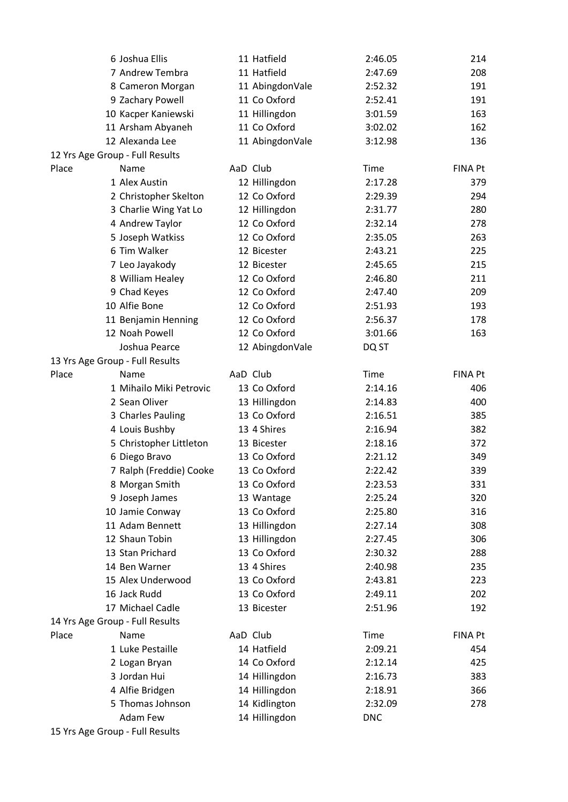|       | 6 Joshua Ellis                  | 11 Hatfield     | 2:46.05    | 214            |
|-------|---------------------------------|-----------------|------------|----------------|
|       | 7 Andrew Tembra                 | 11 Hatfield     | 2:47.69    | 208            |
|       | 8 Cameron Morgan                | 11 AbingdonVale | 2:52.32    | 191            |
|       | 9 Zachary Powell                | 11 Co Oxford    | 2:52.41    | 191            |
|       | 10 Kacper Kaniewski             | 11 Hillingdon   | 3:01.59    | 163            |
|       | 11 Arsham Abyaneh               | 11 Co Oxford    | 3:02.02    | 162            |
|       | 12 Alexanda Lee                 | 11 AbingdonVale | 3:12.98    | 136            |
|       | 12 Yrs Age Group - Full Results |                 |            |                |
| Place | Name                            | AaD Club        | Time       | <b>FINA Pt</b> |
|       | 1 Alex Austin                   | 12 Hillingdon   | 2:17.28    | 379            |
|       | 2 Christopher Skelton           | 12 Co Oxford    | 2:29.39    | 294            |
|       | 3 Charlie Wing Yat Lo           | 12 Hillingdon   | 2:31.77    | 280            |
|       | 4 Andrew Taylor                 | 12 Co Oxford    | 2:32.14    | 278            |
|       | 5 Joseph Watkiss                | 12 Co Oxford    | 2:35.05    | 263            |
|       | 6 Tim Walker                    | 12 Bicester     | 2:43.21    | 225            |
|       | 7 Leo Jayakody                  | 12 Bicester     | 2:45.65    | 215            |
|       | 8 William Healey                | 12 Co Oxford    | 2:46.80    | 211            |
|       | 9 Chad Keyes                    | 12 Co Oxford    | 2:47.40    | 209            |
|       | 10 Alfie Bone                   | 12 Co Oxford    | 2:51.93    | 193            |
|       | 11 Benjamin Henning             | 12 Co Oxford    | 2:56.37    | 178            |
|       | 12 Noah Powell                  | 12 Co Oxford    | 3:01.66    | 163            |
|       | Joshua Pearce                   | 12 AbingdonVale | DQ ST      |                |
|       | 13 Yrs Age Group - Full Results |                 |            |                |
| Place | Name                            | AaD Club        | Time       | <b>FINA Pt</b> |
|       | 1 Mihailo Miki Petrovic         | 13 Co Oxford    | 2:14.16    | 406            |
|       | 2 Sean Oliver                   | 13 Hillingdon   | 2:14.83    | 400            |
|       | 3 Charles Pauling               | 13 Co Oxford    | 2:16.51    | 385            |
|       | 4 Louis Bushby                  | 13 4 Shires     | 2:16.94    | 382            |
|       | 5 Christopher Littleton         | 13 Bicester     | 2:18.16    | 372            |
|       |                                 | 13 Co Oxford    | 2:21.12    |                |
|       | 6 Diego Bravo                   |                 |            | 349            |
|       | 7 Ralph (Freddie) Cooke         | 13 Co Oxford    | 2:22.42    | 339            |
|       | 8 Morgan Smith                  | 13 Co Oxford    | 2:23.53    | 331            |
|       | 9 Joseph James                  | 13 Wantage      | 2:25.24    | 320            |
|       | 10 Jamie Conway                 | 13 Co Oxford    | 2:25.80    | 316            |
|       | 11 Adam Bennett                 | 13 Hillingdon   | 2:27.14    | 308            |
|       | 12 Shaun Tobin                  | 13 Hillingdon   | 2:27.45    | 306            |
|       | 13 Stan Prichard                | 13 Co Oxford    | 2:30.32    | 288            |
|       | 14 Ben Warner                   | 13 4 Shires     | 2:40.98    | 235            |
|       | 15 Alex Underwood               | 13 Co Oxford    | 2:43.81    | 223            |
|       | 16 Jack Rudd                    | 13 Co Oxford    | 2:49.11    | 202            |
|       | 17 Michael Cadle                | 13 Bicester     | 2:51.96    | 192            |
|       | 14 Yrs Age Group - Full Results |                 |            |                |
| Place | Name                            | AaD Club        | Time       | FINA Pt        |
|       | 1 Luke Pestaille                | 14 Hatfield     | 2:09.21    | 454            |
|       | 2 Logan Bryan                   | 14 Co Oxford    | 2:12.14    | 425            |
|       | 3 Jordan Hui                    | 14 Hillingdon   | 2:16.73    | 383            |
|       | 4 Alfie Bridgen                 | 14 Hillingdon   | 2:18.91    | 366            |
|       | 5 Thomas Johnson                | 14 Kidlington   | 2:32.09    | 278            |
|       | Adam Few                        | 14 Hillingdon   | <b>DNC</b> |                |
|       | 15 Yrs Age Group - Full Results |                 |            |                |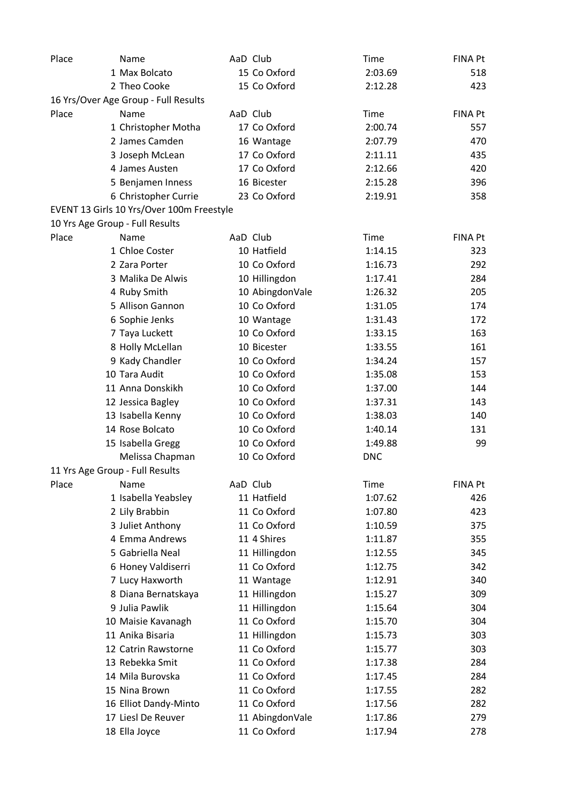| Place | Name                                      | AaD Club        | Time       | <b>FINA Pt</b> |
|-------|-------------------------------------------|-----------------|------------|----------------|
|       | 1 Max Bolcato                             | 15 Co Oxford    | 2:03.69    | 518            |
|       | 2 Theo Cooke                              | 15 Co Oxford    | 2:12.28    | 423            |
|       | 16 Yrs/Over Age Group - Full Results      |                 |            |                |
| Place | Name                                      | AaD Club        | Time       | <b>FINA Pt</b> |
|       | 1 Christopher Motha                       | 17 Co Oxford    | 2:00.74    | 557            |
|       | 2 James Camden                            | 16 Wantage      | 2:07.79    | 470            |
|       | 3 Joseph McLean                           | 17 Co Oxford    | 2:11.11    | 435            |
|       | 4 James Austen                            | 17 Co Oxford    | 2:12.66    | 420            |
|       | 5 Benjamen Inness                         | 16 Bicester     | 2:15.28    | 396            |
|       | 6 Christopher Currie                      | 23 Co Oxford    | 2:19.91    | 358            |
|       | EVENT 13 Girls 10 Yrs/Over 100m Freestyle |                 |            |                |
|       | 10 Yrs Age Group - Full Results           |                 |            |                |
| Place | Name                                      | AaD Club        | Time       | FINA Pt        |
|       | 1 Chloe Coster                            | 10 Hatfield     | 1:14.15    | 323            |
|       | 2 Zara Porter                             | 10 Co Oxford    | 1:16.73    | 292            |
|       | 3 Malika De Alwis                         | 10 Hillingdon   | 1:17.41    | 284            |
|       | 4 Ruby Smith                              | 10 AbingdonVale | 1:26.32    | 205            |
|       | 5 Allison Gannon                          | 10 Co Oxford    | 1:31.05    | 174            |
|       | 6 Sophie Jenks                            | 10 Wantage      | 1:31.43    | 172            |
|       | 7 Taya Luckett                            | 10 Co Oxford    | 1:33.15    | 163            |
|       | 8 Holly McLellan                          | 10 Bicester     | 1:33.55    | 161            |
|       | 9 Kady Chandler                           | 10 Co Oxford    | 1:34.24    | 157            |
|       | 10 Tara Audit                             | 10 Co Oxford    | 1:35.08    | 153            |
|       | 11 Anna Donskikh                          | 10 Co Oxford    | 1:37.00    | 144            |
|       | 12 Jessica Bagley                         | 10 Co Oxford    | 1:37.31    | 143            |
|       | 13 Isabella Kenny                         | 10 Co Oxford    | 1:38.03    | 140            |
|       | 14 Rose Bolcato                           | 10 Co Oxford    | 1:40.14    | 131            |
|       | 15 Isabella Gregg                         | 10 Co Oxford    | 1:49.88    | 99             |
|       | Melissa Chapman                           | 10 Co Oxford    | <b>DNC</b> |                |
|       |                                           |                 |            |                |
|       | 11 Yrs Age Group - Full Results<br>Name   | AaD Club        |            | FINA Pt        |
| Place |                                           | 11 Hatfield     | Time       |                |
|       | 1 Isabella Yeabsley                       | 11 Co Oxford    | 1:07.62    | 426            |
|       | 2 Lily Brabbin                            | 11 Co Oxford    | 1:07.80    | 423            |
|       | 3 Juliet Anthony                          |                 | 1:10.59    | 375            |
|       | 4 Emma Andrews                            | 11 4 Shires     | 1:11.87    | 355            |
|       | 5 Gabriella Neal                          | 11 Hillingdon   | 1:12.55    | 345            |
|       | 6 Honey Valdiserri                        | 11 Co Oxford    | 1:12.75    | 342            |
|       | 7 Lucy Haxworth                           | 11 Wantage      | 1:12.91    | 340            |
|       | 8 Diana Bernatskaya                       | 11 Hillingdon   | 1:15.27    | 309            |
|       | 9 Julia Pawlik                            | 11 Hillingdon   | 1:15.64    | 304            |
|       | 10 Maisie Kavanagh                        | 11 Co Oxford    | 1:15.70    | 304            |
|       | 11 Anika Bisaria                          | 11 Hillingdon   | 1:15.73    | 303            |
|       | 12 Catrin Rawstorne                       | 11 Co Oxford    | 1:15.77    | 303            |
|       | 13 Rebekka Smit                           | 11 Co Oxford    | 1:17.38    | 284            |
|       | 14 Mila Burovska                          | 11 Co Oxford    | 1:17.45    | 284            |
|       | 15 Nina Brown                             | 11 Co Oxford    | 1:17.55    | 282            |
|       | 16 Elliot Dandy-Minto                     | 11 Co Oxford    | 1:17.56    | 282            |
|       | 17 Liesl De Reuver                        | 11 AbingdonVale | 1:17.86    | 279            |
|       | 18 Ella Joyce                             | 11 Co Oxford    | 1:17.94    | 278            |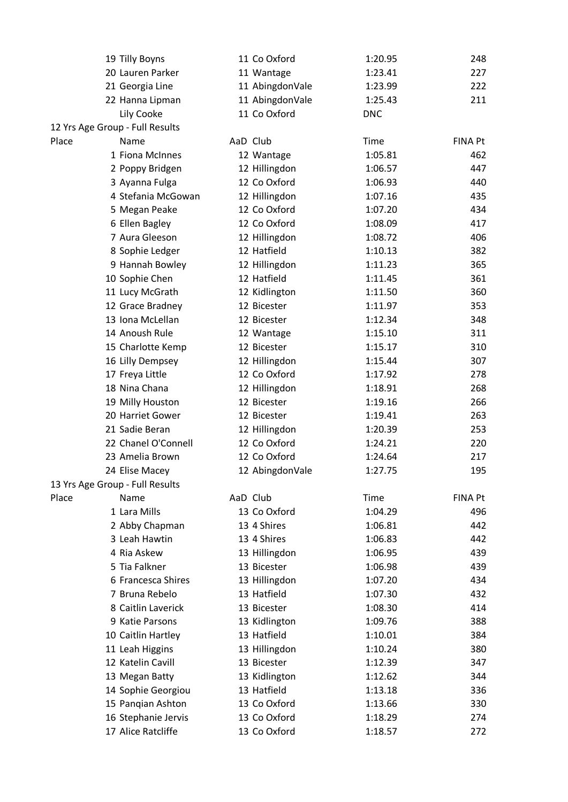|       | 19 Tilly Boyns                       | 11 Co Oxford    | 1:20.95    | 248            |
|-------|--------------------------------------|-----------------|------------|----------------|
|       | 20 Lauren Parker                     | 11 Wantage      | 1:23.41    | 227            |
|       | 21 Georgia Line                      | 11 AbingdonVale | 1:23.99    | 222            |
|       | 22 Hanna Lipman                      | 11 AbingdonVale | 1:25.43    | 211            |
|       | Lily Cooke                           | 11 Co Oxford    | <b>DNC</b> |                |
|       | 12 Yrs Age Group - Full Results      |                 |            |                |
| Place | Name                                 | AaD Club        | Time       | <b>FINA Pt</b> |
|       | 1 Fiona McInnes                      | 12 Wantage      | 1:05.81    | 462            |
|       | 2 Poppy Bridgen                      | 12 Hillingdon   | 1:06.57    | 447            |
|       | 3 Ayanna Fulga                       | 12 Co Oxford    | 1:06.93    | 440            |
|       | 4 Stefania McGowan                   | 12 Hillingdon   | 1:07.16    | 435            |
|       | 5 Megan Peake                        | 12 Co Oxford    | 1:07.20    | 434            |
|       | 6 Ellen Bagley                       | 12 Co Oxford    | 1:08.09    | 417            |
|       | 7 Aura Gleeson                       | 12 Hillingdon   | 1:08.72    | 406            |
|       | 8 Sophie Ledger                      | 12 Hatfield     | 1:10.13    | 382            |
|       | 9 Hannah Bowley                      | 12 Hillingdon   | 1:11.23    | 365            |
|       | 10 Sophie Chen                       | 12 Hatfield     | 1:11.45    | 361            |
|       | 11 Lucy McGrath                      | 12 Kidlington   | 1:11.50    | 360            |
|       | 12 Grace Bradney                     | 12 Bicester     | 1:11.97    | 353            |
|       | 13 Iona McLellan                     | 12 Bicester     | 1:12.34    | 348            |
|       | 14 Anoush Rule                       | 12 Wantage      | 1:15.10    | 311            |
|       | 15 Charlotte Kemp                    | 12 Bicester     | 1:15.17    | 310            |
|       | 16 Lilly Dempsey                     | 12 Hillingdon   | 1:15.44    | 307            |
|       | 17 Freya Little                      | 12 Co Oxford    | 1:17.92    | 278            |
|       | 18 Nina Chana                        | 12 Hillingdon   | 1:18.91    | 268            |
|       | 19 Milly Houston                     | 12 Bicester     | 1:19.16    | 266            |
|       | 20 Harriet Gower                     | 12 Bicester     | 1:19.41    | 263            |
|       | 21 Sadie Beran                       | 12 Hillingdon   | 1:20.39    | 253            |
|       | 22 Chanel O'Connell                  | 12 Co Oxford    | 1:24.21    | 220            |
|       | 23 Amelia Brown                      | 12 Co Oxford    | 1:24.64    | 217            |
|       | 24 Elise Macey                       | 12 AbingdonVale | 1:27.75    | 195            |
|       | 13 Yrs Age Group - Full Results      |                 |            |                |
| Place | Name                                 | AaD Club        | Time       | FINA Pt        |
|       | 1 Lara Mills                         | 13 Co Oxford    | 1:04.29    | 496            |
|       | 2 Abby Chapman                       | 13 4 Shires     | 1:06.81    | 442            |
|       | 3 Leah Hawtin                        | 13 4 Shires     | 1:06.83    | 442            |
|       | 4 Ria Askew                          | 13 Hillingdon   | 1:06.95    | 439            |
|       | 5 Tia Falkner                        | 13 Bicester     | 1:06.98    | 439            |
|       | 6 Francesca Shires                   | 13 Hillingdon   | 1:07.20    | 434            |
|       | 7 Bruna Rebelo                       | 13 Hatfield     | 1:07.30    | 432            |
|       | 8 Caitlin Laverick                   | 13 Bicester     | 1:08.30    | 414            |
|       | 9 Katie Parsons                      | 13 Kidlington   | 1:09.76    | 388            |
|       |                                      | 13 Hatfield     | 1:10.01    |                |
|       | 10 Caitlin Hartley                   |                 |            | 384            |
|       | 11 Leah Higgins<br>12 Katelin Cavill | 13 Hillingdon   | 1:10.24    | 380            |
|       |                                      | 13 Bicester     | 1:12.39    | 347            |
|       | 13 Megan Batty                       | 13 Kidlington   | 1:12.62    | 344            |
|       | 14 Sophie Georgiou                   | 13 Hatfield     | 1:13.18    | 336            |
|       | 15 Pangian Ashton                    | 13 Co Oxford    | 1:13.66    | 330            |
|       | 16 Stephanie Jervis                  | 13 Co Oxford    | 1:18.29    | 274            |
|       | 17 Alice Ratcliffe                   | 13 Co Oxford    | 1:18.57    | 272            |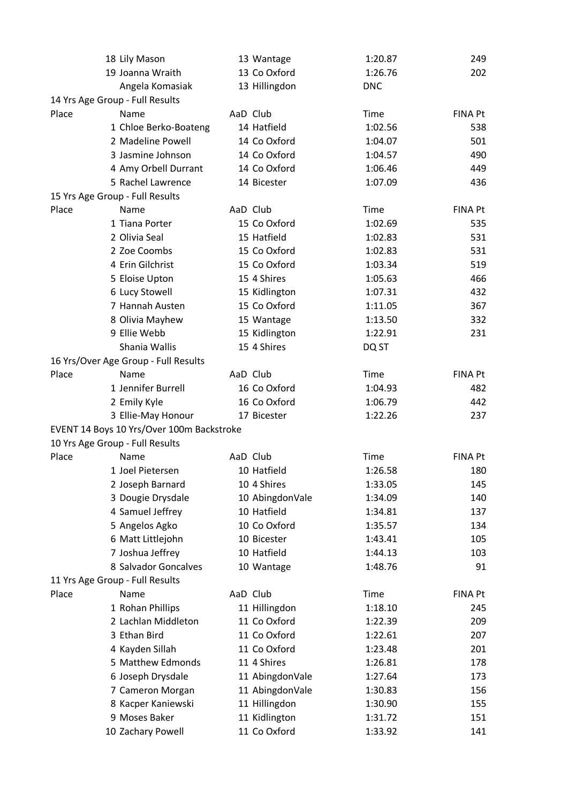|       | 18 Lily Mason                             | 13 Wantage      | 1:20.87    | 249            |
|-------|-------------------------------------------|-----------------|------------|----------------|
|       | 19 Joanna Wraith                          | 13 Co Oxford    | 1:26.76    | 202            |
|       | Angela Komasiak                           | 13 Hillingdon   | <b>DNC</b> |                |
|       | 14 Yrs Age Group - Full Results           |                 |            |                |
| Place | Name                                      | AaD Club        | Time       | <b>FINA Pt</b> |
|       | 1 Chloe Berko-Boateng                     | 14 Hatfield     | 1:02.56    | 538            |
|       | 2 Madeline Powell                         | 14 Co Oxford    | 1:04.07    | 501            |
|       | 3 Jasmine Johnson                         | 14 Co Oxford    | 1:04.57    | 490            |
|       | 4 Amy Orbell Durrant                      | 14 Co Oxford    | 1:06.46    | 449            |
|       | 5 Rachel Lawrence                         | 14 Bicester     | 1:07.09    | 436            |
|       | 15 Yrs Age Group - Full Results           |                 |            |                |
| Place | Name                                      | AaD Club        | Time       | <b>FINA Pt</b> |
|       | 1 Tiana Porter                            | 15 Co Oxford    | 1:02.69    | 535            |
|       | 2 Olivia Seal                             | 15 Hatfield     | 1:02.83    | 531            |
|       | 2 Zoe Coombs                              | 15 Co Oxford    | 1:02.83    | 531            |
|       | 4 Erin Gilchrist                          | 15 Co Oxford    | 1:03.34    | 519            |
|       | 5 Eloise Upton                            | 15 4 Shires     | 1:05.63    | 466            |
|       | 6 Lucy Stowell                            | 15 Kidlington   | 1:07.31    | 432            |
|       | 7 Hannah Austen                           | 15 Co Oxford    | 1:11.05    | 367            |
|       | 8 Olivia Mayhew                           | 15 Wantage      | 1:13.50    | 332            |
|       | 9 Ellie Webb                              | 15 Kidlington   | 1:22.91    | 231            |
|       | Shania Wallis                             | 15 4 Shires     | DQ ST      |                |
|       | 16 Yrs/Over Age Group - Full Results      |                 |            |                |
| Place | Name                                      | AaD Club        | Time       | <b>FINA Pt</b> |
|       | 1 Jennifer Burrell                        | 16 Co Oxford    | 1:04.93    | 482            |
|       | 2 Emily Kyle                              | 16 Co Oxford    | 1:06.79    | 442            |
|       | 3 Ellie-May Honour                        | 17 Bicester     | 1:22.26    | 237            |
|       | EVENT 14 Boys 10 Yrs/Over 100m Backstroke |                 |            |                |
|       | 10 Yrs Age Group - Full Results           |                 |            |                |
| Place | Name                                      | AaD Club        | Time       | <b>FINA Pt</b> |
|       | 1 Joel Pietersen                          | 10 Hatfield     | 1:26.58    | 180            |
|       | 2 Joseph Barnard                          | 10 4 Shires     | 1:33.05    | 145            |
|       | 3 Dougie Drysdale                         | 10 AbingdonVale | 1:34.09    | 140            |
|       | 4 Samuel Jeffrey                          | 10 Hatfield     | 1:34.81    | 137            |
|       | 5 Angelos Agko                            | 10 Co Oxford    | 1:35.57    | 134            |
|       | 6 Matt Littlejohn                         | 10 Bicester     | 1:43.41    | 105            |
|       | 7 Joshua Jeffrey                          | 10 Hatfield     | 1:44.13    | 103            |
|       | 8 Salvador Goncalves                      | 10 Wantage      | 1:48.76    | 91             |
|       | 11 Yrs Age Group - Full Results           |                 |            |                |
| Place | Name                                      | AaD Club        | Time       | <b>FINA Pt</b> |
|       | 1 Rohan Phillips                          | 11 Hillingdon   | 1:18.10    | 245            |
|       | 2 Lachlan Middleton                       | 11 Co Oxford    | 1:22.39    | 209            |
|       | 3 Ethan Bird                              | 11 Co Oxford    | 1:22.61    | 207            |
|       | 4 Kayden Sillah                           | 11 Co Oxford    | 1:23.48    | 201            |
|       | 5 Matthew Edmonds                         | 11 4 Shires     | 1:26.81    | 178            |
|       | 6 Joseph Drysdale                         | 11 AbingdonVale | 1:27.64    | 173            |
|       | 7 Cameron Morgan                          | 11 AbingdonVale | 1:30.83    | 156            |
|       | 8 Kacper Kaniewski                        | 11 Hillingdon   | 1:30.90    | 155            |
|       | 9 Moses Baker                             | 11 Kidlington   | 1:31.72    | 151            |
|       | 10 Zachary Powell                         | 11 Co Oxford    | 1:33.92    | 141            |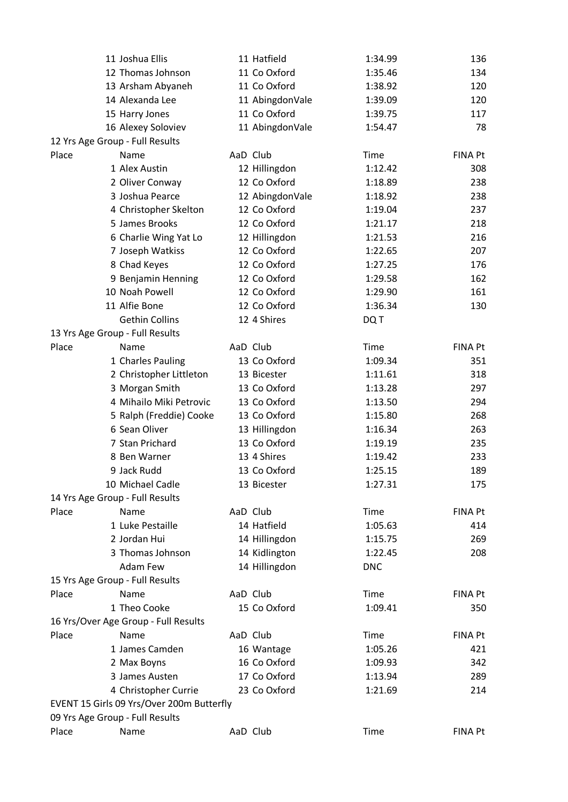|       | 11 Joshua Ellis                           | 11 Hatfield     | 1:34.99            | 136            |
|-------|-------------------------------------------|-----------------|--------------------|----------------|
|       | 12 Thomas Johnson                         | 11 Co Oxford    | 1:35.46            | 134            |
|       | 13 Arsham Abyaneh                         | 11 Co Oxford    | 1:38.92            | 120            |
|       | 14 Alexanda Lee                           | 11 AbingdonVale | 1:39.09            | 120            |
|       | 15 Harry Jones                            | 11 Co Oxford    | 1:39.75            | 117            |
|       | 16 Alexey Soloviev                        | 11 AbingdonVale | 1:54.47            | 78             |
|       | 12 Yrs Age Group - Full Results           |                 |                    |                |
| Place | Name                                      | AaD Club        | Time               | <b>FINA Pt</b> |
|       | 1 Alex Austin                             | 12 Hillingdon   | 1:12.42            | 308            |
|       | 2 Oliver Conway                           | 12 Co Oxford    | 1:18.89            | 238            |
|       | 3 Joshua Pearce                           | 12 AbingdonVale | 1:18.92            | 238            |
|       | 4 Christopher Skelton                     | 12 Co Oxford    | 1:19.04            | 237            |
|       | 5 James Brooks                            | 12 Co Oxford    | 1:21.17            | 218            |
|       | 6 Charlie Wing Yat Lo                     | 12 Hillingdon   | 1:21.53            | 216            |
|       | 7 Joseph Watkiss                          | 12 Co Oxford    | 1:22.65            | 207            |
|       | 8 Chad Keyes                              | 12 Co Oxford    | 1:27.25            | 176            |
|       | 9 Benjamin Henning                        | 12 Co Oxford    | 1:29.58            | 162            |
|       | 10 Noah Powell                            | 12 Co Oxford    | 1:29.90            | 161            |
|       | 11 Alfie Bone                             | 12 Co Oxford    | 1:36.34            | 130            |
|       | <b>Gethin Collins</b>                     | 12 4 Shires     | DQ T               |                |
|       | 13 Yrs Age Group - Full Results           |                 |                    |                |
| Place | Name                                      | AaD Club        | Time               | <b>FINA Pt</b> |
|       | 1 Charles Pauling                         | 13 Co Oxford    | 1:09.34            | 351            |
|       | 2 Christopher Littleton                   | 13 Bicester     | 1:11.61            | 318            |
|       | 3 Morgan Smith                            | 13 Co Oxford    | 1:13.28            | 297            |
|       | 4 Mihailo Miki Petrovic                   | 13 Co Oxford    | 1:13.50            | 294            |
|       | 5 Ralph (Freddie) Cooke                   | 13 Co Oxford    | 1:15.80            | 268            |
|       | 6 Sean Oliver                             | 13 Hillingdon   | 1:16.34            | 263            |
|       | 7 Stan Prichard                           | 13 Co Oxford    | 1:19.19            | 235            |
|       | 8 Ben Warner                              | 13 4 Shires     | 1:19.42            | 233            |
|       | 9 Jack Rudd                               | 13 Co Oxford    | 1:25.15            | 189            |
|       | 10 Michael Cadle                          | 13 Bicester     | 1:27.31            | 175            |
|       | 14 Yrs Age Group - Full Results           |                 |                    |                |
| Place | Name                                      | AaD Club        | Time               | <b>FINA Pt</b> |
|       | 1 Luke Pestaille                          | 14 Hatfield     | 1:05.63            | 414            |
|       | 2 Jordan Hui                              | 14 Hillingdon   |                    |                |
|       | 3 Thomas Johnson                          |                 | 1:15.75<br>1:22.45 | 269            |
|       |                                           | 14 Kidlington   |                    | 208            |
|       | Adam Few                                  | 14 Hillingdon   | <b>DNC</b>         |                |
|       | 15 Yrs Age Group - Full Results           |                 |                    |                |
| Place | Name                                      | AaD Club        | Time               | <b>FINA Pt</b> |
|       | 1 Theo Cooke                              | 15 Co Oxford    | 1:09.41            | 350            |
|       | 16 Yrs/Over Age Group - Full Results      |                 |                    |                |
| Place | Name                                      | AaD Club        | Time               | FINA Pt        |
|       | 1 James Camden                            | 16 Wantage      | 1:05.26            | 421            |
|       | 2 Max Boyns                               | 16 Co Oxford    | 1:09.93            | 342            |
|       | 3 James Austen                            | 17 Co Oxford    | 1:13.94            | 289            |
|       | 4 Christopher Currie                      | 23 Co Oxford    | 1:21.69            | 214            |
|       | EVENT 15 Girls 09 Yrs/Over 200m Butterfly |                 |                    |                |
|       | 09 Yrs Age Group - Full Results           |                 |                    |                |
| Place | Name                                      | AaD Club        | Time               | <b>FINA Pt</b> |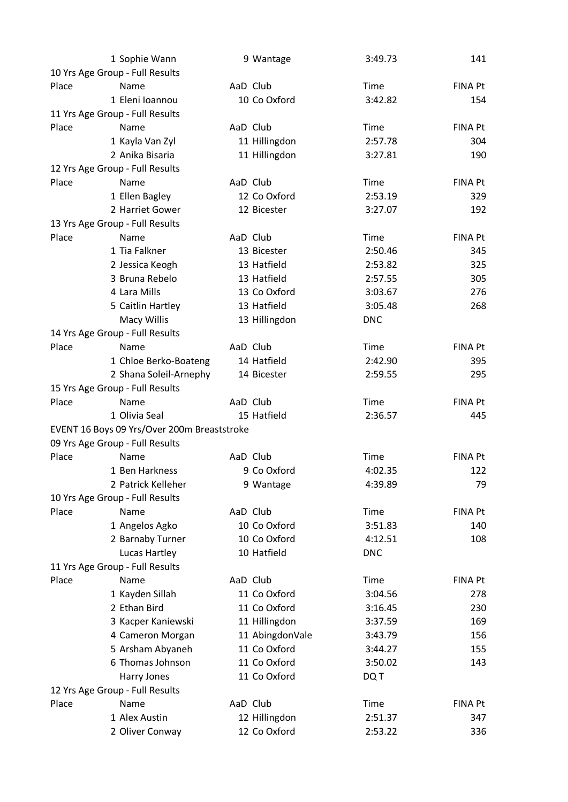|       | 1 Sophie Wann                               | 9 Wantage       | 3:49.73     | 141            |
|-------|---------------------------------------------|-----------------|-------------|----------------|
|       | 10 Yrs Age Group - Full Results             |                 |             |                |
| Place | Name                                        | AaD Club        | Time        | <b>FINA Pt</b> |
|       | 1 Eleni Ioannou                             | 10 Co Oxford    | 3:42.82     | 154            |
|       | 11 Yrs Age Group - Full Results             |                 |             |                |
| Place | Name                                        | AaD Club        | Time        | FINA Pt        |
|       | 1 Kayla Van Zyl                             | 11 Hillingdon   | 2:57.78     | 304            |
|       | 2 Anika Bisaria                             | 11 Hillingdon   | 3:27.81     | 190            |
|       | 12 Yrs Age Group - Full Results             |                 |             |                |
| Place | Name                                        | AaD Club        | Time        | <b>FINA Pt</b> |
|       | 1 Ellen Bagley                              | 12 Co Oxford    | 2:53.19     | 329            |
|       | 2 Harriet Gower                             | 12 Bicester     | 3:27.07     | 192            |
|       | 13 Yrs Age Group - Full Results             |                 |             |                |
| Place | Name                                        | AaD Club        | Time        | <b>FINA Pt</b> |
|       | 1 Tia Falkner                               | 13 Bicester     | 2:50.46     | 345            |
|       | 2 Jessica Keogh                             | 13 Hatfield     | 2:53.82     | 325            |
|       | 3 Bruna Rebelo                              | 13 Hatfield     | 2:57.55     | 305            |
|       | 4 Lara Mills                                | 13 Co Oxford    | 3:03.67     | 276            |
|       | 5 Caitlin Hartley                           | 13 Hatfield     | 3:05.48     | 268            |
|       | <b>Macy Willis</b>                          | 13 Hillingdon   | <b>DNC</b>  |                |
|       | 14 Yrs Age Group - Full Results             |                 |             |                |
| Place | Name                                        | AaD Club        | Time        | <b>FINA Pt</b> |
|       | 1 Chloe Berko-Boateng                       | 14 Hatfield     | 2:42.90     | 395            |
|       | 2 Shana Soleil-Arnephy                      | 14 Bicester     | 2:59.55     | 295            |
|       | 15 Yrs Age Group - Full Results             |                 |             |                |
| Place | Name                                        | AaD Club        | Time        | <b>FINA Pt</b> |
|       | 1 Olivia Seal                               | 15 Hatfield     | 2:36.57     | 445            |
|       | EVENT 16 Boys 09 Yrs/Over 200m Breaststroke |                 |             |                |
|       | 09 Yrs Age Group - Full Results             |                 |             |                |
| Place | Name                                        | AaD Club        | Time        | <b>FINA Pt</b> |
|       | 1 Ben Harkness                              | 9 Co Oxford     | 4:02.35     | 122            |
|       | 2 Patrick Kelleher                          | 9 Wantage       | 4:39.89     | 79             |
|       | 10 Yrs Age Group - Full Results             |                 |             |                |
| Place | Name                                        | AaD Club        | Time        | <b>FINA Pt</b> |
|       | 1 Angelos Agko                              | 10 Co Oxford    | 3:51.83     | 140            |
|       | 2 Barnaby Turner                            | 10 Co Oxford    | 4:12.51     | 108            |
|       | Lucas Hartley                               | 10 Hatfield     | <b>DNC</b>  |                |
|       | 11 Yrs Age Group - Full Results             |                 |             |                |
| Place | Name                                        | AaD Club        | <b>Time</b> | <b>FINA Pt</b> |
|       | 1 Kayden Sillah                             | 11 Co Oxford    | 3:04.56     | 278            |
|       | 2 Ethan Bird                                | 11 Co Oxford    | 3:16.45     | 230            |
|       | 3 Kacper Kaniewski                          | 11 Hillingdon   | 3:37.59     | 169            |
|       | 4 Cameron Morgan                            | 11 AbingdonVale | 3:43.79     | 156            |
|       | 5 Arsham Abyaneh                            | 11 Co Oxford    | 3:44.27     | 155            |
|       | 6 Thomas Johnson                            | 11 Co Oxford    | 3:50.02     | 143            |
|       | Harry Jones                                 | 11 Co Oxford    | DQ T        |                |
|       | 12 Yrs Age Group - Full Results             |                 |             |                |
| Place | Name                                        | AaD Club        | <b>Time</b> | <b>FINA Pt</b> |
|       | 1 Alex Austin                               | 12 Hillingdon   | 2:51.37     | 347            |
|       | 2 Oliver Conway                             | 12 Co Oxford    | 2:53.22     | 336            |
|       |                                             |                 |             |                |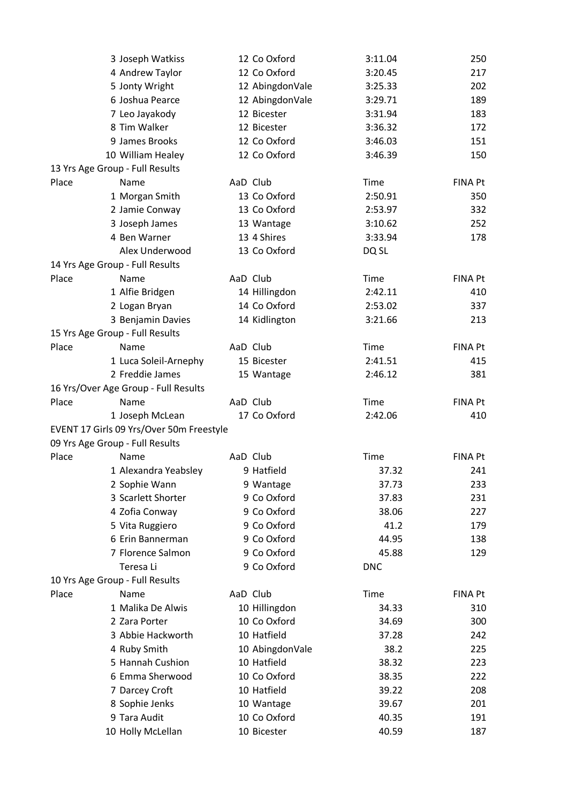|       | 3 Joseph Watkiss                         | 12 Co Oxford    | 3:11.04    | 250            |
|-------|------------------------------------------|-----------------|------------|----------------|
|       | 4 Andrew Taylor                          | 12 Co Oxford    | 3:20.45    | 217            |
|       | 5 Jonty Wright                           | 12 AbingdonVale | 3:25.33    | 202            |
|       | 6 Joshua Pearce                          | 12 AbingdonVale | 3:29.71    | 189            |
|       | 7 Leo Jayakody                           | 12 Bicester     | 3:31.94    | 183            |
|       | 8 Tim Walker                             | 12 Bicester     | 3:36.32    | 172            |
|       | 9 James Brooks                           | 12 Co Oxford    | 3:46.03    | 151            |
|       | 10 William Healey                        | 12 Co Oxford    | 3:46.39    | 150            |
|       | 13 Yrs Age Group - Full Results          |                 |            |                |
| Place | Name                                     | AaD Club        | Time       | <b>FINA Pt</b> |
|       | 1 Morgan Smith                           | 13 Co Oxford    | 2:50.91    | 350            |
|       | 2 Jamie Conway                           | 13 Co Oxford    | 2:53.97    | 332            |
|       | 3 Joseph James                           | 13 Wantage      | 3:10.62    | 252            |
|       | 4 Ben Warner                             | 13 4 Shires     | 3:33.94    | 178            |
|       | Alex Underwood                           | 13 Co Oxford    | DQ SL      |                |
|       | 14 Yrs Age Group - Full Results          |                 |            |                |
| Place | Name                                     | AaD Club        | Time       | <b>FINA Pt</b> |
|       | 1 Alfie Bridgen                          | 14 Hillingdon   | 2:42.11    | 410            |
|       | 2 Logan Bryan                            | 14 Co Oxford    | 2:53.02    | 337            |
|       | 3 Benjamin Davies                        | 14 Kidlington   | 3:21.66    | 213            |
|       | 15 Yrs Age Group - Full Results          |                 |            |                |
| Place | Name                                     | AaD Club        | Time       | <b>FINA Pt</b> |
|       | 1 Luca Soleil-Arnephy                    | 15 Bicester     | 2:41.51    | 415            |
|       | 2 Freddie James                          | 15 Wantage      | 2:46.12    | 381            |
|       | 16 Yrs/Over Age Group - Full Results     |                 |            |                |
| Place | Name                                     | AaD Club        | Time       | <b>FINA Pt</b> |
|       | 1 Joseph McLean                          | 17 Co Oxford    | 2:42.06    | 410            |
|       | EVENT 17 Girls 09 Yrs/Over 50m Freestyle |                 |            |                |
|       | 09 Yrs Age Group - Full Results          |                 |            |                |
| Place | Name                                     | AaD Club        | Time       | <b>FINA Pt</b> |
|       | 1 Alexandra Yeabsley                     | 9 Hatfield      | 37.32      | 241            |
|       | 2 Sophie Wann                            | 9 Wantage       | 37.73      | 233            |
|       | 3 Scarlett Shorter                       | 9 Co Oxford     | 37.83      | 231            |
|       | 4 Zofia Conway                           | 9 Co Oxford     | 38.06      | 227            |
|       | 5 Vita Ruggiero                          | 9 Co Oxford     | 41.2       | 179            |
|       | 6 Erin Bannerman                         | 9 Co Oxford     | 44.95      | 138            |
|       | 7 Florence Salmon                        | 9 Co Oxford     | 45.88      | 129            |
|       | Teresa Li                                | 9 Co Oxford     | <b>DNC</b> |                |
|       | 10 Yrs Age Group - Full Results          |                 |            |                |
| Place | Name                                     | AaD Club        | Time       | <b>FINA Pt</b> |
|       | 1 Malika De Alwis                        | 10 Hillingdon   | 34.33      | 310            |
|       | 2 Zara Porter                            | 10 Co Oxford    | 34.69      | 300            |
|       | 3 Abbie Hackworth                        | 10 Hatfield     | 37.28      | 242            |
|       | 4 Ruby Smith                             | 10 AbingdonVale | 38.2       | 225            |
|       | 5 Hannah Cushion                         | 10 Hatfield     | 38.32      | 223            |
|       | 6 Emma Sherwood                          | 10 Co Oxford    | 38.35      | 222            |
|       | 7 Darcey Croft                           | 10 Hatfield     | 39.22      | 208            |
|       | 8 Sophie Jenks                           | 10 Wantage      | 39.67      | 201            |
|       | 9 Tara Audit                             | 10 Co Oxford    | 40.35      | 191            |
|       | 10 Holly McLellan                        | 10 Bicester     | 40.59      | 187            |
|       |                                          |                 |            |                |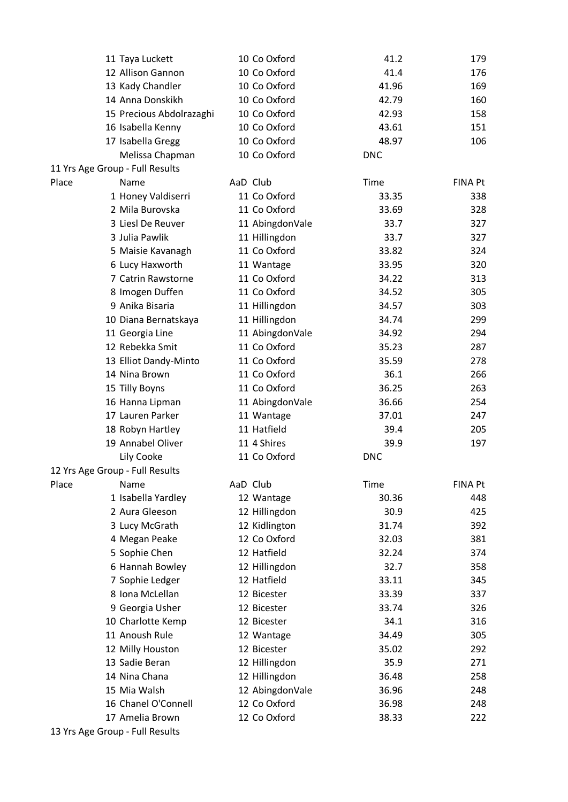|       | 11 Taya Luckett                 | 10 Co Oxford    | 41.2       | 179            |
|-------|---------------------------------|-----------------|------------|----------------|
|       | 12 Allison Gannon               | 10 Co Oxford    | 41.4       | 176            |
|       | 13 Kady Chandler                | 10 Co Oxford    | 41.96      | 169            |
|       | 14 Anna Donskikh                | 10 Co Oxford    | 42.79      | 160            |
|       | 15 Precious Abdolrazaghi        | 10 Co Oxford    | 42.93      | 158            |
|       | 16 Isabella Kenny               | 10 Co Oxford    | 43.61      | 151            |
|       | 17 Isabella Gregg               | 10 Co Oxford    | 48.97      | 106            |
|       | Melissa Chapman                 | 10 Co Oxford    | <b>DNC</b> |                |
|       | 11 Yrs Age Group - Full Results |                 |            |                |
| Place | Name                            | AaD Club        | Time       | <b>FINA Pt</b> |
|       | 1 Honey Valdiserri              | 11 Co Oxford    | 33.35      | 338            |
|       | 2 Mila Burovska                 | 11 Co Oxford    | 33.69      | 328            |
|       | 3 Liesl De Reuver               | 11 AbingdonVale | 33.7       | 327            |
|       | 3 Julia Pawlik                  | 11 Hillingdon   | 33.7       | 327            |
|       | 5 Maisie Kavanagh               | 11 Co Oxford    | 33.82      | 324            |
|       | 6 Lucy Haxworth                 | 11 Wantage      | 33.95      | 320            |
|       | 7 Catrin Rawstorne              | 11 Co Oxford    | 34.22      | 313            |
|       | 8 Imogen Duffen                 | 11 Co Oxford    | 34.52      | 305            |
|       | 9 Anika Bisaria                 | 11 Hillingdon   | 34.57      | 303            |
|       | 10 Diana Bernatskaya            | 11 Hillingdon   | 34.74      | 299            |
|       | 11 Georgia Line                 | 11 AbingdonVale | 34.92      | 294            |
|       | 12 Rebekka Smit                 | 11 Co Oxford    | 35.23      | 287            |
|       | 13 Elliot Dandy-Minto           | 11 Co Oxford    | 35.59      | 278            |
|       | 14 Nina Brown                   | 11 Co Oxford    | 36.1       | 266            |
|       | 15 Tilly Boyns                  | 11 Co Oxford    | 36.25      | 263            |
|       | 16 Hanna Lipman                 | 11 AbingdonVale | 36.66      | 254            |
|       | 17 Lauren Parker                | 11 Wantage      | 37.01      | 247            |
|       | 18 Robyn Hartley                | 11 Hatfield     | 39.4       | 205            |
|       | 19 Annabel Oliver               | 11 4 Shires     | 39.9       | 197            |
|       |                                 | 11 Co Oxford    | <b>DNC</b> |                |
|       | Lily Cooke                      |                 |            |                |
|       | 12 Yrs Age Group - Full Results |                 |            |                |
| Place | Name                            | AaD Club        | Time       | FINA Pt        |
|       | 1 Isabella Yardley              | 12 Wantage      | 30.36      | 448            |
|       | 2 Aura Gleeson                  | 12 Hillingdon   | 30.9       | 425            |
|       | 3 Lucy McGrath                  | 12 Kidlington   | 31.74      | 392            |
|       | 4 Megan Peake                   | 12 Co Oxford    | 32.03      | 381            |
|       | 5 Sophie Chen                   | 12 Hatfield     | 32.24      | 374            |
|       | 6 Hannah Bowley                 | 12 Hillingdon   | 32.7       | 358            |
|       | 7 Sophie Ledger                 | 12 Hatfield     | 33.11      | 345            |
|       | 8 Iona McLellan                 | 12 Bicester     | 33.39      | 337            |
|       | 9 Georgia Usher                 | 12 Bicester     | 33.74      | 326            |
|       | 10 Charlotte Kemp               | 12 Bicester     | 34.1       | 316            |
|       | 11 Anoush Rule                  | 12 Wantage      | 34.49      | 305            |
|       | 12 Milly Houston                | 12 Bicester     | 35.02      | 292            |
|       | 13 Sadie Beran                  | 12 Hillingdon   | 35.9       | 271            |
|       | 14 Nina Chana                   | 12 Hillingdon   | 36.48      | 258            |
|       | 15 Mia Walsh                    | 12 AbingdonVale | 36.96      | 248            |
|       | 16 Chanel O'Connell             | 12 Co Oxford    | 36.98      | 248            |
|       | 17 Amelia Brown                 | 12 Co Oxford    | 38.33      | 222            |
|       | 13 Yrs Age Group - Full Results |                 |            |                |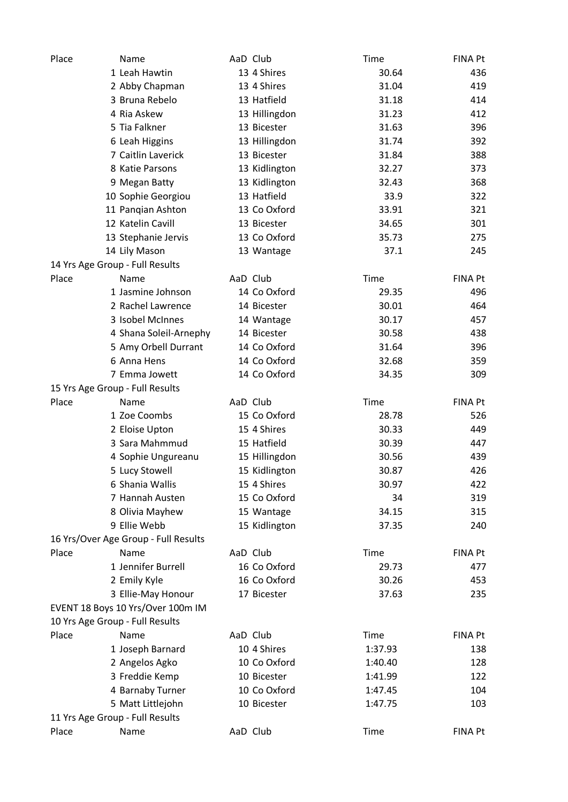| Place | Name                                 | AaD Club      | Time    | <b>FINA Pt</b> |
|-------|--------------------------------------|---------------|---------|----------------|
|       | 1 Leah Hawtin                        | 13 4 Shires   | 30.64   | 436            |
|       | 2 Abby Chapman                       | 13 4 Shires   | 31.04   | 419            |
|       | 3 Bruna Rebelo                       | 13 Hatfield   | 31.18   | 414            |
|       | 4 Ria Askew                          | 13 Hillingdon | 31.23   | 412            |
|       | 5 Tia Falkner                        | 13 Bicester   | 31.63   | 396            |
|       | 6 Leah Higgins                       | 13 Hillingdon | 31.74   | 392            |
|       | 7 Caitlin Laverick                   | 13 Bicester   | 31.84   | 388            |
|       | 8 Katie Parsons                      | 13 Kidlington | 32.27   | 373            |
|       | 9 Megan Batty                        | 13 Kidlington | 32.43   | 368            |
|       | 10 Sophie Georgiou                   | 13 Hatfield   | 33.9    | 322            |
|       | 11 Pangian Ashton                    | 13 Co Oxford  | 33.91   | 321            |
|       | 12 Katelin Cavill                    | 13 Bicester   | 34.65   | 301            |
|       | 13 Stephanie Jervis                  | 13 Co Oxford  | 35.73   | 275            |
|       | 14 Lily Mason                        | 13 Wantage    | 37.1    | 245            |
|       | 14 Yrs Age Group - Full Results      |               |         |                |
| Place | Name                                 | AaD Club      | Time    | FINA Pt        |
|       | 1 Jasmine Johnson                    | 14 Co Oxford  | 29.35   | 496            |
|       | 2 Rachel Lawrence                    | 14 Bicester   | 30.01   | 464            |
|       | 3 Isobel McInnes                     | 14 Wantage    | 30.17   | 457            |
|       | 4 Shana Soleil-Arnephy               | 14 Bicester   | 30.58   | 438            |
|       | 5 Amy Orbell Durrant                 | 14 Co Oxford  | 31.64   | 396            |
|       | 6 Anna Hens                          | 14 Co Oxford  | 32.68   | 359            |
|       | 7 Emma Jowett                        | 14 Co Oxford  | 34.35   | 309            |
|       | 15 Yrs Age Group - Full Results      |               |         |                |
| Place | Name                                 | AaD Club      | Time    | FINA Pt        |
|       | 1 Zoe Coombs                         | 15 Co Oxford  | 28.78   | 526            |
|       | 2 Eloise Upton                       | 15 4 Shires   | 30.33   | 449            |
|       | 3 Sara Mahmmud                       | 15 Hatfield   | 30.39   | 447            |
|       | 4 Sophie Ungureanu                   | 15 Hillingdon | 30.56   | 439            |
|       | 5 Lucy Stowell                       | 15 Kidlington | 30.87   | 426            |
|       | 6 Shania Wallis                      | 15 4 Shires   | 30.97   | 422            |
|       | 7 Hannah Austen                      | 15 Co Oxford  | 34      | 319            |
|       | 8 Olivia Mayhew                      | 15 Wantage    | 34.15   | 315            |
|       | 9 Ellie Webb                         | 15 Kidlington | 37.35   | 240            |
|       | 16 Yrs/Over Age Group - Full Results |               |         |                |
| Place | Name                                 | AaD Club      | Time    | <b>FINA Pt</b> |
|       | 1 Jennifer Burrell                   | 16 Co Oxford  | 29.73   | 477            |
|       | 2 Emily Kyle                         | 16 Co Oxford  | 30.26   | 453            |
|       | 3 Ellie-May Honour                   | 17 Bicester   | 37.63   | 235            |
|       | EVENT 18 Boys 10 Yrs/Over 100m IM    |               |         |                |
|       | 10 Yrs Age Group - Full Results      |               |         |                |
| Place | Name                                 | AaD Club      | Time    | <b>FINA Pt</b> |
|       | 1 Joseph Barnard                     | 10 4 Shires   | 1:37.93 | 138            |
|       | 2 Angelos Agko                       | 10 Co Oxford  | 1:40.40 | 128            |
|       | 3 Freddie Kemp                       | 10 Bicester   | 1:41.99 | 122            |
|       | 4 Barnaby Turner                     | 10 Co Oxford  | 1:47.45 | 104            |
|       | 5 Matt Littlejohn                    | 10 Bicester   | 1:47.75 | 103            |
|       | 11 Yrs Age Group - Full Results      |               |         |                |
| Place | Name                                 | AaD Club      | Time    | <b>FINA Pt</b> |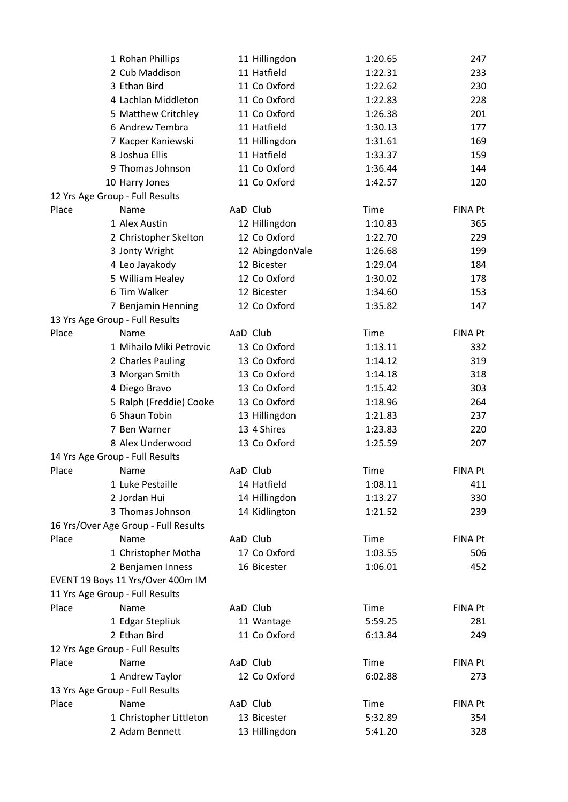|       | 1 Rohan Phillips                             | 11 Hillingdon   | 1:20.65     | 247            |
|-------|----------------------------------------------|-----------------|-------------|----------------|
|       | 2 Cub Maddison                               | 11 Hatfield     | 1:22.31     | 233            |
|       | 3 Ethan Bird                                 | 11 Co Oxford    | 1:22.62     | 230            |
|       | 4 Lachlan Middleton                          | 11 Co Oxford    | 1:22.83     | 228            |
|       | 5 Matthew Critchley                          | 11 Co Oxford    | 1:26.38     | 201            |
|       | 6 Andrew Tembra                              | 11 Hatfield     | 1:30.13     | 177            |
|       | 7 Kacper Kaniewski                           | 11 Hillingdon   | 1:31.61     | 169            |
|       | 8 Joshua Ellis                               | 11 Hatfield     | 1:33.37     | 159            |
|       | 9 Thomas Johnson                             | 11 Co Oxford    | 1:36.44     | 144            |
|       | 10 Harry Jones                               | 11 Co Oxford    | 1:42.57     | 120            |
|       | 12 Yrs Age Group - Full Results              |                 |             |                |
| Place | Name                                         | AaD Club        | Time        | <b>FINA Pt</b> |
|       | 1 Alex Austin                                | 12 Hillingdon   | 1:10.83     | 365            |
|       | 2 Christopher Skelton                        | 12 Co Oxford    | 1:22.70     | 229            |
|       | 3 Jonty Wright                               | 12 AbingdonVale | 1:26.68     | 199            |
|       | 4 Leo Jayakody                               | 12 Bicester     | 1:29.04     | 184            |
|       | 5 William Healey                             | 12 Co Oxford    | 1:30.02     | 178            |
|       | 6 Tim Walker                                 | 12 Bicester     | 1:34.60     | 153            |
|       | 7 Benjamin Henning                           | 12 Co Oxford    | 1:35.82     | 147            |
|       | 13 Yrs Age Group - Full Results              |                 |             |                |
| Place | Name                                         | AaD Club        | Time        | <b>FINA Pt</b> |
|       | 1 Mihailo Miki Petrovic                      | 13 Co Oxford    | 1:13.11     | 332            |
|       | 2 Charles Pauling                            | 13 Co Oxford    | 1:14.12     | 319            |
|       | 3 Morgan Smith                               | 13 Co Oxford    | 1:14.18     | 318            |
|       | 4 Diego Bravo                                | 13 Co Oxford    | 1:15.42     | 303            |
|       | 5 Ralph (Freddie) Cooke                      | 13 Co Oxford    | 1:18.96     | 264            |
|       | 6 Shaun Tobin                                | 13 Hillingdon   | 1:21.83     | 237            |
|       | 7 Ben Warner                                 | 13 4 Shires     | 1:23.83     | 220            |
|       | 8 Alex Underwood                             | 13 Co Oxford    | 1:25.59     | 207            |
|       | 14 Yrs Age Group - Full Results              |                 |             |                |
| Place | Name                                         | AaD Club        | Time        | <b>FINA Pt</b> |
|       | 1 Luke Pestaille                             | 14 Hatfield     | 1:08.11     | 411            |
|       | 2 Jordan Hui                                 | 14 Hillingdon   | 1:13.27     | 330            |
|       | 3 Thomas Johnson                             | 14 Kidlington   | 1:21.52     | 239            |
|       |                                              |                 |             |                |
| Place | 16 Yrs/Over Age Group - Full Results<br>Name | AaD Club        | Time        | <b>FINA Pt</b> |
|       | 1 Christopher Motha                          | 17 Co Oxford    |             |                |
|       |                                              |                 | 1:03.55     | 506            |
|       | 2 Benjamen Inness                            | 16 Bicester     | 1:06.01     | 452            |
|       | EVENT 19 Boys 11 Yrs/Over 400m IM            |                 |             |                |
|       | 11 Yrs Age Group - Full Results              |                 |             |                |
| Place | Name                                         | AaD Club        | Time        | <b>FINA Pt</b> |
|       | 1 Edgar Stepliuk                             | 11 Wantage      | 5:59.25     | 281            |
|       | 2 Ethan Bird                                 | 11 Co Oxford    | 6:13.84     | 249            |
|       | 12 Yrs Age Group - Full Results              |                 |             |                |
| Place | Name                                         | AaD Club        | Time        | <b>FINA Pt</b> |
|       | 1 Andrew Taylor                              | 12 Co Oxford    | 6:02.88     | 273            |
|       | 13 Yrs Age Group - Full Results              |                 |             |                |
| Place | Name                                         | AaD Club        | <b>Time</b> | FINA Pt        |
|       | 1 Christopher Littleton                      | 13 Bicester     | 5:32.89     | 354            |
|       | 2 Adam Bennett                               | 13 Hillingdon   | 5:41.20     | 328            |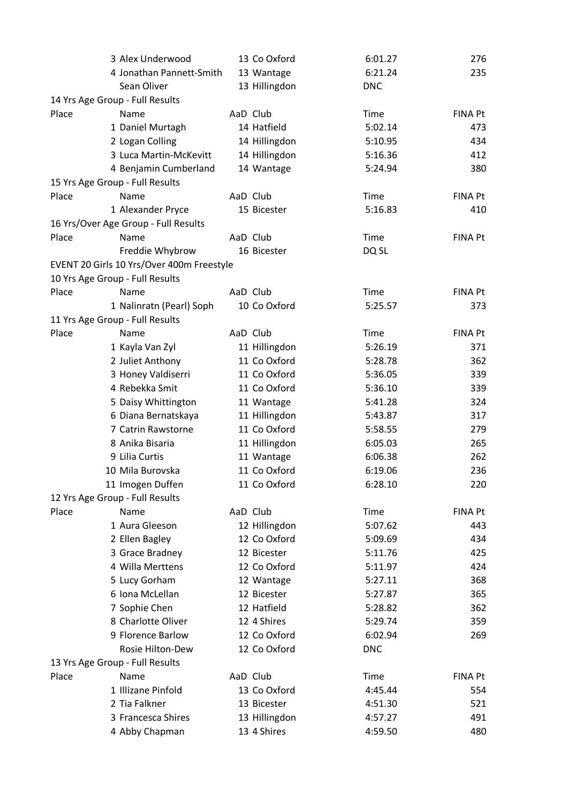|       | 3 Alex Underwood                          | 13 Co Oxford  | 6:01.27     | 276            |
|-------|-------------------------------------------|---------------|-------------|----------------|
|       | 4 Jonathan Pannett-Smith                  | 13 Wantage    | 6:21.24     | 235            |
|       | Sean Oliver                               | 13 Hillingdon | <b>DNC</b>  |                |
|       | 14 Yrs Age Group - Full Results           |               |             |                |
| Place | Name                                      | AaD Club      | Time        | <b>FINA Pt</b> |
|       | 1 Daniel Murtagh                          | 14 Hatfield   | 5:02.14     | 473            |
|       | 2 Logan Colling                           | 14 Hillingdon | 5:10.95     | 434            |
|       | 3 Luca Martin-McKevitt                    | 14 Hillingdon | 5:16.36     | 412            |
|       | 4 Benjamin Cumberland                     | 14 Wantage    | 5:24.94     | 380            |
|       | 15 Yrs Age Group - Full Results           |               |             |                |
| Place | Name                                      | AaD Club      | <b>Time</b> | <b>FINA Pt</b> |
|       | 1 Alexander Pryce                         | 15 Bicester   | 5:16.83     | 410            |
|       | 16 Yrs/Over Age Group - Full Results      |               |             |                |
| Place | Name                                      | AaD Club      | Time        | <b>FINA Pt</b> |
|       | Freddie Whybrow                           | 16 Bicester   | DQ SL       |                |
|       | EVENT 20 Girls 10 Yrs/Over 400m Freestyle |               |             |                |
|       | 10 Yrs Age Group - Full Results           |               |             |                |
| Place | Name                                      | AaD Club      | Time        | <b>FINA Pt</b> |
|       | 1 Nalinratn (Pearl) Soph                  | 10 Co Oxford  | 5:25.57     | 373            |
|       | 11 Yrs Age Group - Full Results           |               |             |                |
| Place | Name                                      | AaD Club      | Time        | <b>FINA Pt</b> |
|       | 1 Kayla Van Zyl                           | 11 Hillingdon | 5:26.19     | 371            |
|       | 2 Juliet Anthony                          | 11 Co Oxford  | 5:28.78     | 362            |
|       | 3 Honey Valdiserri                        | 11 Co Oxford  | 5:36.05     | 339            |
|       | 4 Rebekka Smit                            | 11 Co Oxford  | 5:36.10     | 339            |
|       | 5 Daisy Whittington                       | 11 Wantage    | 5:41.28     | 324            |
|       | 6 Diana Bernatskaya                       | 11 Hillingdon | 5:43.87     | 317            |
|       | 7 Catrin Rawstorne                        | 11 Co Oxford  | 5:58.55     | 279            |
|       | 8 Anika Bisaria                           |               |             | 265            |
|       |                                           | 11 Hillingdon | 6:05.03     |                |
|       | 9 Lilia Curtis                            | 11 Wantage    | 6:06.38     | 262            |
|       | 10 Mila Burovska                          | 11 Co Oxford  | 6:19.06     | 236            |
|       | 11 Imogen Duffen                          | 11 Co Oxford  | 6:28.10     | 220            |
|       | 12 Yrs Age Group - Full Results           |               |             |                |
| Place | Name                                      | AaD Club      | Time        | FINA Pt        |
|       | 1 Aura Gleeson                            | 12 Hillingdon | 5:07.62     | 443            |
|       | 2 Ellen Bagley                            | 12 Co Oxford  | 5:09.69     | 434            |
|       | 3 Grace Bradney                           | 12 Bicester   | 5:11.76     | 425            |
|       | 4 Willa Merttens                          | 12 Co Oxford  | 5:11.97     | 424            |
|       | 5 Lucy Gorham                             | 12 Wantage    | 5:27.11     | 368            |
|       | 6 Iona McLellan                           | 12 Bicester   | 5:27.87     | 365            |
|       | 7 Sophie Chen                             | 12 Hatfield   | 5:28.82     | 362            |
|       | 8 Charlotte Oliver                        | 12 4 Shires   | 5:29.74     | 359            |
|       | 9 Florence Barlow                         | 12 Co Oxford  | 6:02.94     | 269            |
|       | Rosie Hilton-Dew                          | 12 Co Oxford  | <b>DNC</b>  |                |
|       | 13 Yrs Age Group - Full Results           |               |             |                |
| Place | Name                                      | AaD Club      | <b>Time</b> | <b>FINA Pt</b> |
|       | 1 Illizane Pinfold                        | 13 Co Oxford  | 4:45.44     | 554            |
|       | 2 Tia Falkner                             | 13 Bicester   | 4:51.30     | 521            |
|       | 3 Francesca Shires                        | 13 Hillingdon | 4:57.27     | 491            |
|       | 4 Abby Chapman                            | 13 4 Shires   | 4:59.50     | 480            |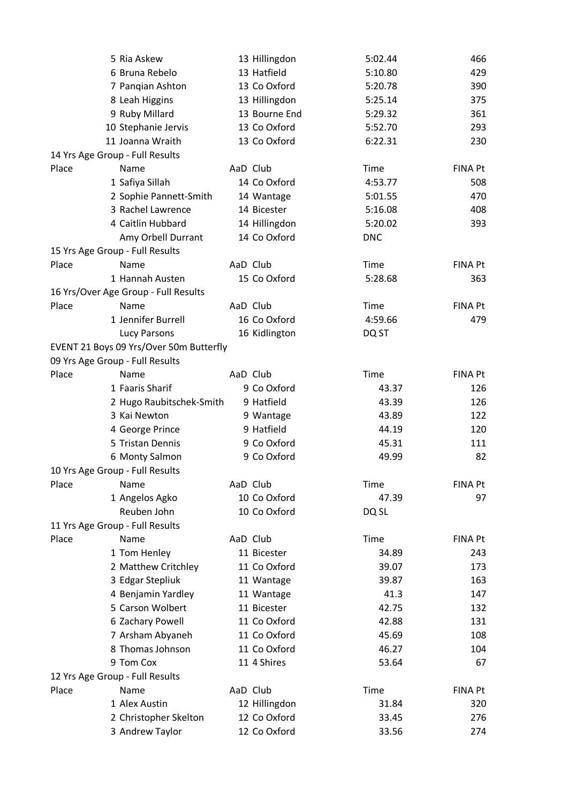|       | 5 Ria Askew                             | 13 Hillingdon | 5:02.44    | 466            |
|-------|-----------------------------------------|---------------|------------|----------------|
|       | 6 Bruna Rebelo                          | 13 Hatfield   | 5:10.80    | 429            |
|       | 7 Panqian Ashton                        | 13 Co Oxford  | 5:20.78    | 390            |
|       | 8 Leah Higgins                          | 13 Hillingdon | 5:25.14    | 375            |
|       | 9 Ruby Millard                          | 13 Bourne End | 5:29.32    | 361            |
|       | 10 Stephanie Jervis                     | 13 Co Oxford  | 5:52.70    | 293            |
|       | 11 Joanna Wraith                        | 13 Co Oxford  | 6:22.31    | 230            |
|       | 14 Yrs Age Group - Full Results         |               |            |                |
| Place | Name                                    | AaD Club      | Time       | <b>FINA Pt</b> |
|       | 1 Safiya Sillah                         | 14 Co Oxford  | 4:53.77    | 508            |
|       | 2 Sophie Pannett-Smith                  | 14 Wantage    | 5:01.55    | 470            |
|       | 3 Rachel Lawrence                       | 14 Bicester   | 5:16.08    | 408            |
|       | 4 Caitlin Hubbard                       | 14 Hillingdon | 5:20.02    | 393            |
|       | Amy Orbell Durrant                      | 14 Co Oxford  | <b>DNC</b> |                |
|       | 15 Yrs Age Group - Full Results         |               |            |                |
| Place | Name                                    | AaD Club      | Time       | <b>FINA Pt</b> |
|       | 1 Hannah Austen                         | 15 Co Oxford  | 5:28.68    | 363            |
|       | 16 Yrs/Over Age Group - Full Results    |               |            |                |
| Place | Name                                    | AaD Club      | Time       | <b>FINA Pt</b> |
|       | 1 Jennifer Burrell                      | 16 Co Oxford  | 4:59.66    | 479            |
|       | <b>Lucy Parsons</b>                     | 16 Kidlington | DQ ST      |                |
|       | EVENT 21 Boys 09 Yrs/Over 50m Butterfly |               |            |                |
|       | 09 Yrs Age Group - Full Results         |               |            |                |
| Place | Name                                    | AaD Club      | Time       | <b>FINA Pt</b> |
|       | 1 Faaris Sharif                         | 9 Co Oxford   | 43.37      | 126            |
|       | 2 Hugo Raubitschek-Smith                | 9 Hatfield    | 43.39      | 126            |
|       | 3 Kai Newton                            | 9 Wantage     | 43.89      | 122            |
|       | 4 George Prince                         | 9 Hatfield    | 44.19      | 120            |
|       | 5 Tristan Dennis                        | 9 Co Oxford   | 45.31      | 111            |
|       | 6 Monty Salmon                          | 9 Co Oxford   | 49.99      | 82             |
|       | 10 Yrs Age Group - Full Results         |               |            |                |
| Place | Name                                    | AaD Club      | Time       | FINA Pt        |
|       | 1 Angelos Agko                          | 10 Co Oxford  | 47.39      | 97             |
|       | Reuben John                             | 10 Co Oxford  | DQ SL      |                |
|       | 11 Yrs Age Group - Full Results         |               |            |                |
| Place | Name                                    | AaD Club      | Time       | <b>FINA Pt</b> |
|       | 1 Tom Henley                            | 11 Bicester   | 34.89      | 243            |
|       | 2 Matthew Critchley                     | 11 Co Oxford  | 39.07      | 173            |
|       | 3 Edgar Stepliuk                        | 11 Wantage    | 39.87      | 163            |
|       | 4 Benjamin Yardley                      | 11 Wantage    | 41.3       | 147            |
|       | 5 Carson Wolbert                        | 11 Bicester   | 42.75      | 132            |
|       | 6 Zachary Powell                        | 11 Co Oxford  | 42.88      | 131            |
|       |                                         |               |            |                |
|       | 7 Arsham Abyaneh                        | 11 Co Oxford  | 45.69      | 108            |
|       | 8 Thomas Johnson                        | 11 Co Oxford  | 46.27      | 104            |
|       | 9 Tom Cox                               | 11 4 Shires   | 53.64      | 67             |
|       | 12 Yrs Age Group - Full Results         |               |            |                |
| Place | Name                                    | AaD Club      | Time       | <b>FINA Pt</b> |
|       | 1 Alex Austin                           | 12 Hillingdon | 31.84      | 320            |
|       | 2 Christopher Skelton                   | 12 Co Oxford  | 33.45      | 276            |
|       | 3 Andrew Taylor                         | 12 Co Oxford  | 33.56      | 274            |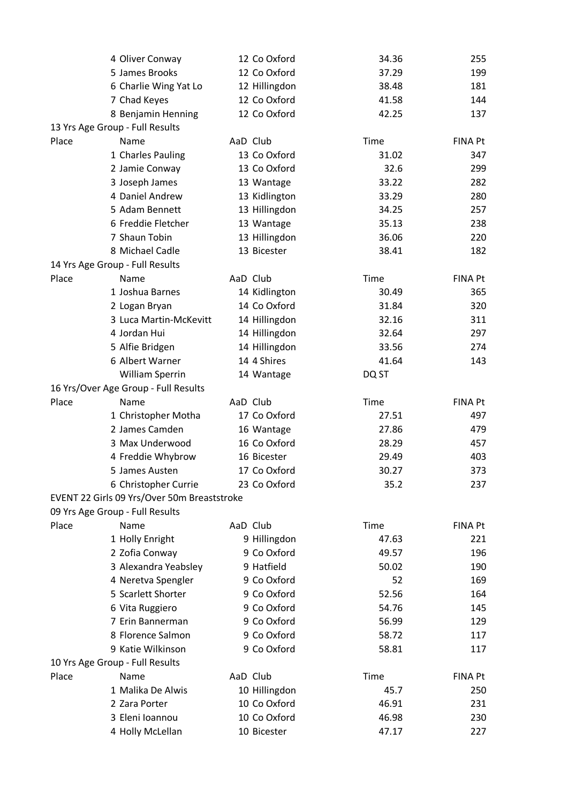|       | 4 Oliver Conway                             | 12 Co Oxford  | 34.36 | 255            |
|-------|---------------------------------------------|---------------|-------|----------------|
|       | 5 James Brooks                              | 12 Co Oxford  | 37.29 | 199            |
|       | 6 Charlie Wing Yat Lo                       | 12 Hillingdon | 38.48 | 181            |
|       | 7 Chad Keyes                                | 12 Co Oxford  | 41.58 | 144            |
|       | 8 Benjamin Henning                          | 12 Co Oxford  | 42.25 | 137            |
|       | 13 Yrs Age Group - Full Results             |               |       |                |
| Place | Name                                        | AaD Club      | Time  | <b>FINA Pt</b> |
|       | 1 Charles Pauling                           | 13 Co Oxford  | 31.02 | 347            |
|       | 2 Jamie Conway                              | 13 Co Oxford  | 32.6  | 299            |
|       | 3 Joseph James                              | 13 Wantage    | 33.22 | 282            |
|       | 4 Daniel Andrew                             | 13 Kidlington | 33.29 | 280            |
|       | 5 Adam Bennett                              | 13 Hillingdon | 34.25 | 257            |
|       | 6 Freddie Fletcher                          | 13 Wantage    | 35.13 | 238            |
|       | 7 Shaun Tobin                               | 13 Hillingdon | 36.06 | 220            |
|       | 8 Michael Cadle                             | 13 Bicester   | 38.41 | 182            |
|       | 14 Yrs Age Group - Full Results             |               |       |                |
| Place | Name                                        | AaD Club      | Time  | <b>FINA Pt</b> |
|       | 1 Joshua Barnes                             | 14 Kidlington | 30.49 | 365            |
|       | 2 Logan Bryan                               | 14 Co Oxford  | 31.84 | 320            |
|       | 3 Luca Martin-McKevitt                      | 14 Hillingdon | 32.16 | 311            |
|       | 4 Jordan Hui                                | 14 Hillingdon | 32.64 | 297            |
|       | 5 Alfie Bridgen                             | 14 Hillingdon | 33.56 | 274            |
|       | 6 Albert Warner                             | 14 4 Shires   | 41.64 | 143            |
|       | William Sperrin                             | 14 Wantage    | DQ ST |                |
|       | 16 Yrs/Over Age Group - Full Results        |               |       |                |
| Place | Name                                        | AaD Club      | Time  | <b>FINA Pt</b> |
|       | 1 Christopher Motha                         | 17 Co Oxford  | 27.51 | 497            |
|       | 2 James Camden                              | 16 Wantage    | 27.86 | 479            |
|       | 3 Max Underwood                             | 16 Co Oxford  | 28.29 | 457            |
|       | 4 Freddie Whybrow                           | 16 Bicester   | 29.49 | 403            |
|       | 5 James Austen                              | 17 Co Oxford  | 30.27 | 373            |
|       | 6 Christopher Currie                        | 23 Co Oxford  | 35.2  | 237            |
|       | EVENT 22 Girls 09 Yrs/Over 50m Breaststroke |               |       |                |
|       | 09 Yrs Age Group - Full Results             |               |       |                |
| Place | Name                                        | AaD Club      | Time  | <b>FINA Pt</b> |
|       | 1 Holly Enright                             | 9 Hillingdon  | 47.63 | 221            |
|       | 2 Zofia Conway                              | 9 Co Oxford   | 49.57 | 196            |
|       | 3 Alexandra Yeabsley                        | 9 Hatfield    | 50.02 | 190            |
|       | 4 Neretva Spengler                          | 9 Co Oxford   | 52    | 169            |
|       | 5 Scarlett Shorter                          | 9 Co Oxford   | 52.56 | 164            |
|       | 6 Vita Ruggiero                             | 9 Co Oxford   | 54.76 | 145            |
|       | 7 Erin Bannerman                            | 9 Co Oxford   | 56.99 | 129            |
|       | 8 Florence Salmon                           | 9 Co Oxford   | 58.72 | 117            |
|       | 9 Katie Wilkinson                           | 9 Co Oxford   | 58.81 | 117            |
|       | 10 Yrs Age Group - Full Results             |               |       |                |
| Place | Name                                        | AaD Club      | Time  | <b>FINA Pt</b> |
|       | 1 Malika De Alwis                           | 10 Hillingdon | 45.7  | 250            |
|       | 2 Zara Porter                               | 10 Co Oxford  | 46.91 | 231            |
|       | 3 Eleni Ioannou                             | 10 Co Oxford  | 46.98 | 230            |
|       | 4 Holly McLellan                            | 10 Bicester   | 47.17 | 227            |
|       |                                             |               |       |                |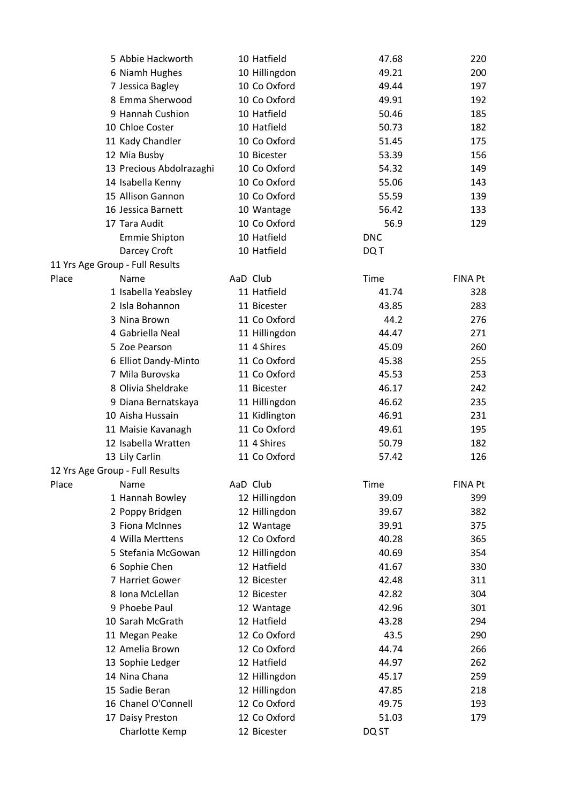|                                 | 5 Abbie Hackworth        | 10 Hatfield   | 47.68      | 220            |
|---------------------------------|--------------------------|---------------|------------|----------------|
|                                 | 6 Niamh Hughes           | 10 Hillingdon | 49.21      | 200            |
|                                 | 7 Jessica Bagley         | 10 Co Oxford  | 49.44      | 197            |
|                                 | 8 Emma Sherwood          | 10 Co Oxford  | 49.91      | 192            |
|                                 | 9 Hannah Cushion         | 10 Hatfield   | 50.46      | 185            |
|                                 | 10 Chloe Coster          | 10 Hatfield   | 50.73      | 182            |
|                                 | 11 Kady Chandler         | 10 Co Oxford  | 51.45      | 175            |
|                                 | 12 Mia Busby             | 10 Bicester   | 53.39      | 156            |
|                                 | 13 Precious Abdolrazaghi | 10 Co Oxford  | 54.32      | 149            |
|                                 | 14 Isabella Kenny        | 10 Co Oxford  | 55.06      | 143            |
|                                 | 15 Allison Gannon        | 10 Co Oxford  | 55.59      | 139            |
|                                 | 16 Jessica Barnett       | 10 Wantage    | 56.42      | 133            |
|                                 | 17 Tara Audit            | 10 Co Oxford  | 56.9       | 129            |
|                                 | <b>Emmie Shipton</b>     | 10 Hatfield   | <b>DNC</b> |                |
|                                 | Darcey Croft             | 10 Hatfield   | DQ T       |                |
| 11 Yrs Age Group - Full Results |                          |               |            |                |
| Place                           | Name                     | AaD Club      | Time       | <b>FINA Pt</b> |
|                                 | 1 Isabella Yeabsley      | 11 Hatfield   | 41.74      | 328            |
|                                 | 2 Isla Bohannon          | 11 Bicester   | 43.85      | 283            |
|                                 | 3 Nina Brown             | 11 Co Oxford  | 44.2       | 276            |
|                                 | 4 Gabriella Neal         | 11 Hillingdon | 44.47      | 271            |
|                                 | 5 Zoe Pearson            | 11 4 Shires   | 45.09      | 260            |
|                                 | 6 Elliot Dandy-Minto     | 11 Co Oxford  | 45.38      | 255            |
|                                 | 7 Mila Burovska          | 11 Co Oxford  | 45.53      | 253            |
|                                 | 8 Olivia Sheldrake       | 11 Bicester   | 46.17      | 242            |
|                                 | 9 Diana Bernatskaya      | 11 Hillingdon | 46.62      | 235            |
|                                 | 10 Aisha Hussain         | 11 Kidlington | 46.91      | 231            |
|                                 | 11 Maisie Kavanagh       | 11 Co Oxford  | 49.61      | 195            |
|                                 | 12 Isabella Wratten      | 11 4 Shires   | 50.79      | 182            |
|                                 | 13 Lily Carlin           | 11 Co Oxford  | 57.42      | 126            |
| 12 Yrs Age Group - Full Results |                          |               |            |                |
| Place                           | Name                     | AaD Club      | Time       | <b>FINA Pt</b> |
|                                 | 1 Hannah Bowley          | 12 Hillingdon | 39.09      | 399            |
|                                 | 2 Poppy Bridgen          | 12 Hillingdon | 39.67      | 382            |
|                                 | 3 Fiona McInnes          | 12 Wantage    | 39.91      | 375            |
|                                 | 4 Willa Merttens         | 12 Co Oxford  | 40.28      | 365            |
|                                 | 5 Stefania McGowan       | 12 Hillingdon | 40.69      | 354            |
|                                 | 6 Sophie Chen            | 12 Hatfield   | 41.67      | 330            |
|                                 | 7 Harriet Gower          | 12 Bicester   | 42.48      | 311            |
|                                 | 8 Iona McLellan          | 12 Bicester   | 42.82      | 304            |
|                                 | 9 Phoebe Paul            | 12 Wantage    | 42.96      | 301            |
|                                 | 10 Sarah McGrath         | 12 Hatfield   | 43.28      | 294            |
|                                 | 11 Megan Peake           | 12 Co Oxford  | 43.5       | 290            |
|                                 | 12 Amelia Brown          | 12 Co Oxford  | 44.74      | 266            |
|                                 | 13 Sophie Ledger         | 12 Hatfield   | 44.97      | 262            |
|                                 | 14 Nina Chana            | 12 Hillingdon | 45.17      | 259            |
|                                 | 15 Sadie Beran           | 12 Hillingdon | 47.85      | 218            |
|                                 | 16 Chanel O'Connell      | 12 Co Oxford  | 49.75      | 193            |
|                                 | 17 Daisy Preston         | 12 Co Oxford  | 51.03      | 179            |
|                                 | Charlotte Kemp           | 12 Bicester   | DQ ST      |                |
|                                 |                          |               |            |                |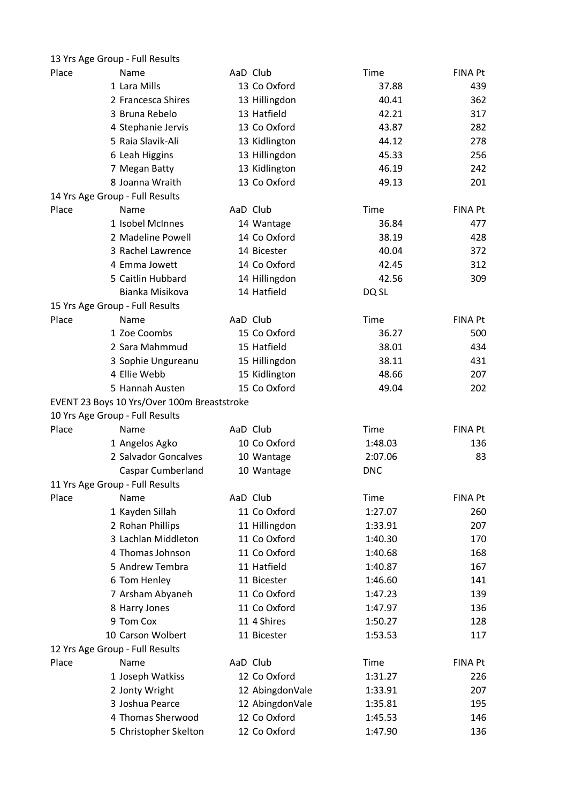|       | 13 Yrs Age Group - Full Results             |                 |            |                |
|-------|---------------------------------------------|-----------------|------------|----------------|
| Place | Name                                        | AaD Club        | Time       | FINA Pt        |
|       | 1 Lara Mills                                | 13 Co Oxford    | 37.88      | 439            |
|       | 2 Francesca Shires                          | 13 Hillingdon   | 40.41      | 362            |
|       | 3 Bruna Rebelo                              | 13 Hatfield     | 42.21      | 317            |
|       | 4 Stephanie Jervis                          | 13 Co Oxford    | 43.87      | 282            |
|       | 5 Raia Slavik-Ali                           | 13 Kidlington   | 44.12      | 278            |
|       | 6 Leah Higgins                              | 13 Hillingdon   | 45.33      | 256            |
|       | 7 Megan Batty                               | 13 Kidlington   | 46.19      | 242            |
|       | 8 Joanna Wraith                             | 13 Co Oxford    | 49.13      | 201            |
|       | 14 Yrs Age Group - Full Results             |                 |            |                |
| Place | Name                                        | AaD Club        | Time       | FINA Pt        |
|       | 1 Isobel McInnes                            | 14 Wantage      | 36.84      | 477            |
|       | 2 Madeline Powell                           | 14 Co Oxford    | 38.19      | 428            |
|       | 3 Rachel Lawrence                           | 14 Bicester     | 40.04      | 372            |
|       | 4 Emma Jowett                               | 14 Co Oxford    | 42.45      | 312            |
|       | 5 Caitlin Hubbard                           | 14 Hillingdon   | 42.56      | 309            |
|       | Bianka Misikova                             | 14 Hatfield     | DQ SL      |                |
|       | 15 Yrs Age Group - Full Results             |                 |            |                |
| Place | Name                                        | AaD Club        | Time       | FINA Pt        |
|       | 1 Zoe Coombs                                | 15 Co Oxford    | 36.27      | 500            |
|       | 2 Sara Mahmmud                              | 15 Hatfield     | 38.01      | 434            |
|       | 3 Sophie Ungureanu                          | 15 Hillingdon   | 38.11      | 431            |
|       | 4 Ellie Webb                                | 15 Kidlington   | 48.66      | 207            |
|       | 5 Hannah Austen                             | 15 Co Oxford    | 49.04      | 202            |
|       | EVENT 23 Boys 10 Yrs/Over 100m Breaststroke |                 |            |                |
|       | 10 Yrs Age Group - Full Results             |                 |            |                |
| Place | Name                                        | AaD Club        | Time       | <b>FINA Pt</b> |
|       | 1 Angelos Agko                              | 10 Co Oxford    | 1:48.03    | 136            |
|       | 2 Salvador Goncalves                        | 10 Wantage      | 2:07.06    | 83             |
|       | <b>Caspar Cumberland</b>                    | 10 Wantage      | <b>DNC</b> |                |
|       | 11 Yrs Age Group - Full Results             |                 |            |                |
| Place | Name                                        | AaD Club        | Time       | <b>FINA Pt</b> |
|       | 1 Kayden Sillah                             | 11 Co Oxford    | 1:27.07    | 260            |
|       | 2 Rohan Phillips                            | 11 Hillingdon   | 1:33.91    | 207            |
|       | 3 Lachlan Middleton                         | 11 Co Oxford    | 1:40.30    | 170            |
|       | 4 Thomas Johnson                            | 11 Co Oxford    | 1:40.68    | 168            |
|       | 5 Andrew Tembra                             | 11 Hatfield     | 1:40.87    | 167            |
|       | 6 Tom Henley                                | 11 Bicester     | 1:46.60    | 141            |
|       | 7 Arsham Abyaneh                            | 11 Co Oxford    | 1:47.23    | 139            |
|       | 8 Harry Jones                               | 11 Co Oxford    | 1:47.97    | 136            |
|       | 9 Tom Cox                                   | 11 4 Shires     | 1:50.27    | 128            |
|       | 10 Carson Wolbert                           | 11 Bicester     | 1:53.53    | 117            |
|       | 12 Yrs Age Group - Full Results             |                 |            |                |
| Place | Name                                        | AaD Club        | Time       | <b>FINA Pt</b> |
|       | 1 Joseph Watkiss                            | 12 Co Oxford    | 1:31.27    | 226            |
|       | 2 Jonty Wright                              | 12 AbingdonVale | 1:33.91    | 207            |
|       | 3 Joshua Pearce                             | 12 AbingdonVale | 1:35.81    | 195            |
|       | 4 Thomas Sherwood                           | 12 Co Oxford    | 1:45.53    | 146            |
|       | 5 Christopher Skelton                       | 12 Co Oxford    | 1:47.90    | 136            |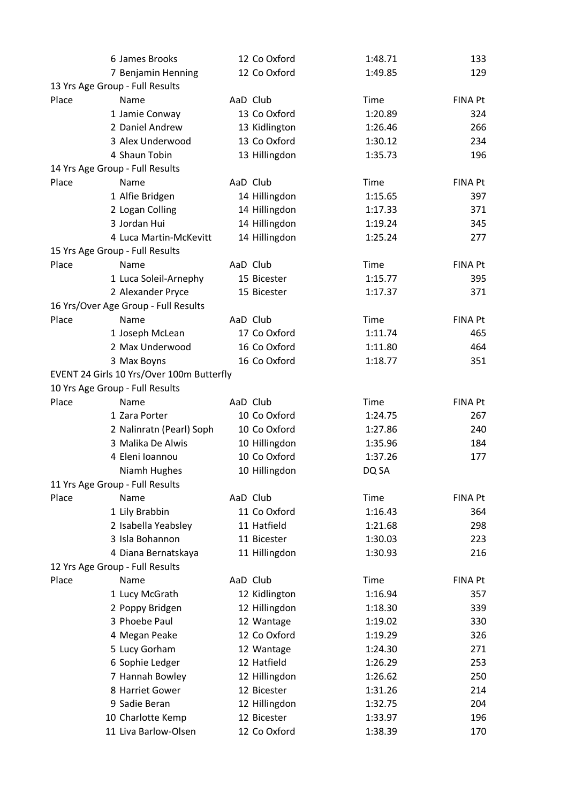|       | 6 James Brooks                            | 12 Co Oxford  | 1:48.71     | 133            |
|-------|-------------------------------------------|---------------|-------------|----------------|
|       | 7 Benjamin Henning                        | 12 Co Oxford  | 1:49.85     | 129            |
|       | 13 Yrs Age Group - Full Results           |               |             |                |
| Place | Name                                      | AaD Club      | Time        | <b>FINA Pt</b> |
|       | 1 Jamie Conway                            | 13 Co Oxford  | 1:20.89     | 324            |
|       | 2 Daniel Andrew                           | 13 Kidlington | 1:26.46     | 266            |
|       | 3 Alex Underwood                          | 13 Co Oxford  | 1:30.12     | 234            |
|       | 4 Shaun Tobin                             | 13 Hillingdon | 1:35.73     | 196            |
|       | 14 Yrs Age Group - Full Results           |               |             |                |
| Place | Name                                      | AaD Club      | Time        | <b>FINA Pt</b> |
|       | 1 Alfie Bridgen                           | 14 Hillingdon | 1:15.65     | 397            |
|       | 2 Logan Colling                           | 14 Hillingdon | 1:17.33     | 371            |
|       | 3 Jordan Hui                              | 14 Hillingdon | 1:19.24     | 345            |
|       | 4 Luca Martin-McKevitt                    | 14 Hillingdon | 1:25.24     | 277            |
|       | 15 Yrs Age Group - Full Results           |               |             |                |
| Place | Name                                      | AaD Club      | Time        | <b>FINA Pt</b> |
|       | 1 Luca Soleil-Arnephy                     | 15 Bicester   | 1:15.77     | 395            |
|       | 2 Alexander Pryce                         | 15 Bicester   | 1:17.37     | 371            |
|       | 16 Yrs/Over Age Group - Full Results      |               |             |                |
| Place | Name                                      | AaD Club      | Time        | <b>FINA Pt</b> |
|       | 1 Joseph McLean                           | 17 Co Oxford  | 1:11.74     | 465            |
|       | 2 Max Underwood                           | 16 Co Oxford  | 1:11.80     | 464            |
|       | 3 Max Boyns                               | 16 Co Oxford  | 1:18.77     | 351            |
|       | EVENT 24 Girls 10 Yrs/Over 100m Butterfly |               |             |                |
|       | 10 Yrs Age Group - Full Results           |               |             |                |
| Place | Name                                      | AaD Club      | Time        | <b>FINA Pt</b> |
|       | 1 Zara Porter                             | 10 Co Oxford  | 1:24.75     | 267            |
|       | 2 Nalinratn (Pearl) Soph                  | 10 Co Oxford  | 1:27.86     | 240            |
|       | 3 Malika De Alwis                         | 10 Hillingdon | 1:35.96     | 184            |
|       | 4 Eleni Ioannou                           | 10 Co Oxford  | 1:37.26     | 177            |
|       | Niamh Hughes                              | 10 Hillingdon | DQ SA       |                |
|       | 11 Yrs Age Group - Full Results           |               |             |                |
| Place | Name                                      | AaD Club      | <b>Time</b> | <b>FINA Pt</b> |
|       | 1 Lily Brabbin                            | 11 Co Oxford  | 1:16.43     | 364            |
|       | 2 Isabella Yeabsley                       | 11 Hatfield   | 1:21.68     |                |
|       |                                           |               |             | 298            |
|       | 3 Isla Bohannon                           | 11 Bicester   | 1:30.03     | 223            |
|       | 4 Diana Bernatskaya                       | 11 Hillingdon | 1:30.93     | 216            |
|       | 12 Yrs Age Group - Full Results           |               |             |                |
| Place | Name                                      | AaD Club      | Time        | FINA Pt        |
|       | 1 Lucy McGrath                            | 12 Kidlington | 1:16.94     | 357            |
|       | 2 Poppy Bridgen                           | 12 Hillingdon | 1:18.30     | 339            |
|       | 3 Phoebe Paul                             | 12 Wantage    | 1:19.02     | 330            |
|       | 4 Megan Peake                             | 12 Co Oxford  | 1:19.29     | 326            |
|       | 5 Lucy Gorham                             | 12 Wantage    | 1:24.30     | 271            |
|       | 6 Sophie Ledger                           | 12 Hatfield   | 1:26.29     | 253            |
|       | 7 Hannah Bowley                           | 12 Hillingdon | 1:26.62     | 250            |
|       | 8 Harriet Gower                           | 12 Bicester   | 1:31.26     | 214            |
|       | 9 Sadie Beran                             | 12 Hillingdon | 1:32.75     | 204            |
|       | 10 Charlotte Kemp                         | 12 Bicester   | 1:33.97     | 196            |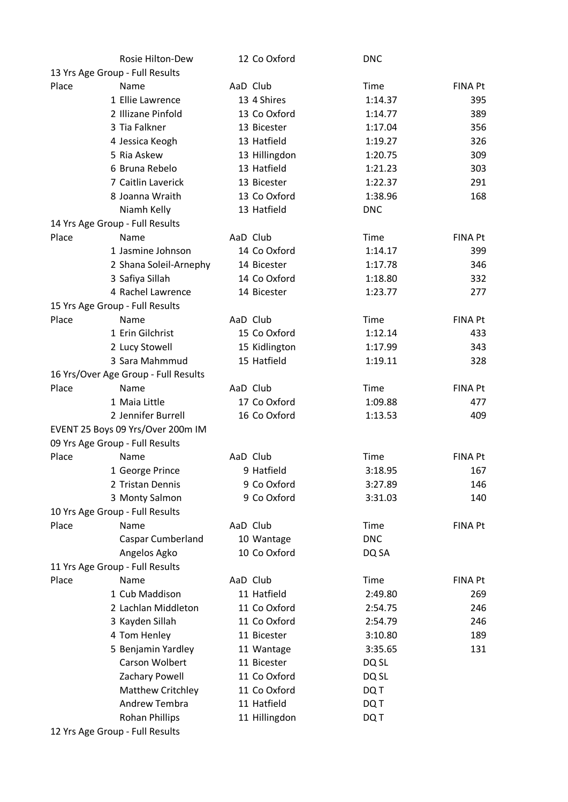|       | Rosie Hilton-Dew                     | 12 Co Oxford  | <b>DNC</b>  |                |
|-------|--------------------------------------|---------------|-------------|----------------|
|       | 13 Yrs Age Group - Full Results      |               |             |                |
| Place | Name                                 | AaD Club      | <b>Time</b> | <b>FINA Pt</b> |
|       | 1 Ellie Lawrence                     | 13 4 Shires   | 1:14.37     | 395            |
|       | 2 Illizane Pinfold                   | 13 Co Oxford  | 1:14.77     | 389            |
|       | 3 Tia Falkner                        | 13 Bicester   | 1:17.04     | 356            |
|       | 4 Jessica Keogh                      | 13 Hatfield   | 1:19.27     | 326            |
|       | 5 Ria Askew                          | 13 Hillingdon | 1:20.75     | 309            |
|       | 6 Bruna Rebelo                       | 13 Hatfield   | 1:21.23     | 303            |
|       | 7 Caitlin Laverick                   | 13 Bicester   | 1:22.37     | 291            |
|       | 8 Joanna Wraith                      | 13 Co Oxford  | 1:38.96     | 168            |
|       | Niamh Kelly                          | 13 Hatfield   | <b>DNC</b>  |                |
|       | 14 Yrs Age Group - Full Results      |               |             |                |
| Place | Name                                 | AaD Club      | Time        | <b>FINA Pt</b> |
|       | 1 Jasmine Johnson                    | 14 Co Oxford  | 1:14.17     | 399            |
|       | 2 Shana Soleil-Arnephy               | 14 Bicester   | 1:17.78     | 346            |
|       | 3 Safiya Sillah                      | 14 Co Oxford  | 1:18.80     | 332            |
|       | 4 Rachel Lawrence                    | 14 Bicester   | 1:23.77     | 277            |
|       | 15 Yrs Age Group - Full Results      |               |             |                |
| Place | Name                                 | AaD Club      | Time        | FINA Pt        |
|       | 1 Erin Gilchrist                     | 15 Co Oxford  | 1:12.14     | 433            |
|       | 2 Lucy Stowell                       | 15 Kidlington | 1:17.99     | 343            |
|       | 3 Sara Mahmmud                       | 15 Hatfield   | 1:19.11     | 328            |
|       | 16 Yrs/Over Age Group - Full Results |               |             |                |
| Place | Name                                 | AaD Club      | Time        | FINA Pt        |
|       | 1 Maia Little                        | 17 Co Oxford  | 1:09.88     | 477            |
|       | 2 Jennifer Burrell                   | 16 Co Oxford  | 1:13.53     | 409            |
|       | EVENT 25 Boys 09 Yrs/Over 200m IM    |               |             |                |
|       | 09 Yrs Age Group - Full Results      |               |             |                |
| Place | Name                                 | AaD Club      | Time        | <b>FINA Pt</b> |
|       | 1 George Prince                      | 9 Hatfield    | 3:18.95     | 167            |
|       | 2 Tristan Dennis                     | 9 Co Oxford   | 3:27.89     | 146            |
|       | 3 Monty Salmon                       | 9 Co Oxford   | 3:31.03     | 140            |
|       | 10 Yrs Age Group - Full Results      |               |             |                |
| Place | Name                                 | AaD Club      | Time        | <b>FINA Pt</b> |
|       | Caspar Cumberland                    | 10 Wantage    | <b>DNC</b>  |                |
|       | Angelos Agko                         | 10 Co Oxford  | DQ SA       |                |
|       | 11 Yrs Age Group - Full Results      |               |             |                |
| Place | Name                                 | AaD Club      | Time        | <b>FINA Pt</b> |
|       |                                      |               |             |                |
|       | 1 Cub Maddison                       | 11 Hatfield   | 2:49.80     | 269            |
|       | 2 Lachlan Middleton                  | 11 Co Oxford  | 2:54.75     | 246            |
|       | 3 Kayden Sillah                      | 11 Co Oxford  | 2:54.79     | 246            |
|       | 4 Tom Henley                         | 11 Bicester   | 3:10.80     | 189            |
|       | 5 Benjamin Yardley                   | 11 Wantage    | 3:35.65     | 131            |
|       | Carson Wolbert                       | 11 Bicester   | DQ SL       |                |
|       | Zachary Powell                       | 11 Co Oxford  | DQ SL       |                |
|       | Matthew Critchley                    | 11 Co Oxford  | DQ T        |                |
|       | <b>Andrew Tembra</b>                 | 11 Hatfield   | DQ T        |                |
|       | <b>Rohan Phillips</b>                | 11 Hillingdon | DQ T        |                |
|       | 12 Yrs Age Group - Full Results      |               |             |                |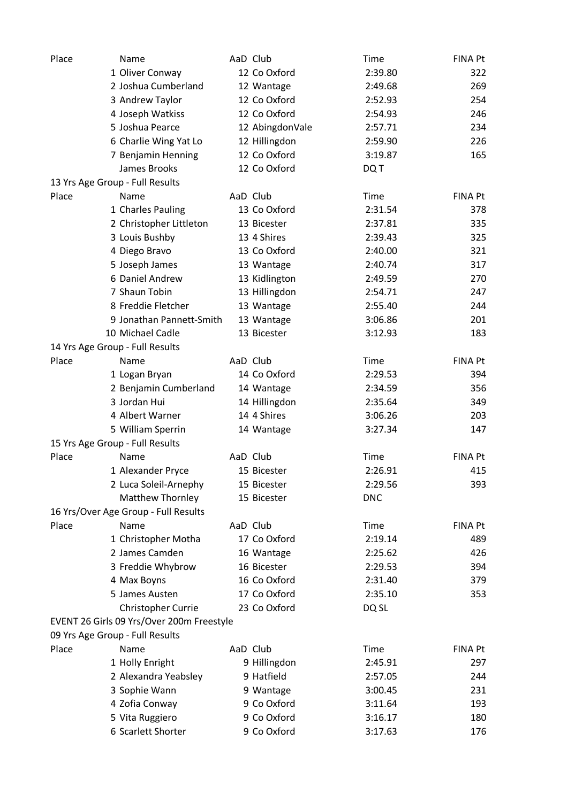| Place | Name                                      | AaD Club        | Time        | <b>FINA Pt</b> |
|-------|-------------------------------------------|-----------------|-------------|----------------|
|       | 1 Oliver Conway                           | 12 Co Oxford    | 2:39.80     | 322            |
|       | 2 Joshua Cumberland                       | 12 Wantage      | 2:49.68     | 269            |
|       | 3 Andrew Taylor                           | 12 Co Oxford    | 2:52.93     | 254            |
|       | 4 Joseph Watkiss                          | 12 Co Oxford    | 2:54.93     | 246            |
|       | 5 Joshua Pearce                           | 12 AbingdonVale | 2:57.71     | 234            |
|       | 6 Charlie Wing Yat Lo                     | 12 Hillingdon   | 2:59.90     | 226            |
|       | 7 Benjamin Henning                        | 12 Co Oxford    | 3:19.87     | 165            |
|       | James Brooks                              | 12 Co Oxford    | DQ T        |                |
|       | 13 Yrs Age Group - Full Results           |                 |             |                |
| Place | Name                                      | AaD Club        | Time        | <b>FINA Pt</b> |
|       | 1 Charles Pauling                         | 13 Co Oxford    | 2:31.54     | 378            |
|       | 2 Christopher Littleton                   | 13 Bicester     | 2:37.81     | 335            |
|       | 3 Louis Bushby                            | 13 4 Shires     | 2:39.43     | 325            |
|       | 4 Diego Bravo                             | 13 Co Oxford    | 2:40.00     | 321            |
|       | 5 Joseph James                            | 13 Wantage      | 2:40.74     | 317            |
|       | 6 Daniel Andrew                           | 13 Kidlington   | 2:49.59     | 270            |
|       | 7 Shaun Tobin                             | 13 Hillingdon   | 2:54.71     | 247            |
|       | 8 Freddie Fletcher                        | 13 Wantage      | 2:55.40     | 244            |
|       | 9 Jonathan Pannett-Smith                  | 13 Wantage      | 3:06.86     | 201            |
|       | 10 Michael Cadle                          | 13 Bicester     | 3:12.93     | 183            |
|       | 14 Yrs Age Group - Full Results           |                 |             |                |
| Place | Name                                      | AaD Club        | Time        | <b>FINA Pt</b> |
|       |                                           |                 |             |                |
|       | 1 Logan Bryan                             | 14 Co Oxford    | 2:29.53     | 394            |
|       | 2 Benjamin Cumberland                     | 14 Wantage      | 2:34.59     | 356            |
|       | 3 Jordan Hui                              | 14 Hillingdon   | 2:35.64     | 349            |
|       | 4 Albert Warner                           | 14 4 Shires     | 3:06.26     | 203            |
|       | 5 William Sperrin                         | 14 Wantage      | 3:27.34     | 147            |
|       | 15 Yrs Age Group - Full Results           |                 |             |                |
| Place | Name                                      | AaD Club        | Time        | <b>FINA Pt</b> |
|       | 1 Alexander Pryce                         | 15 Bicester     | 2:26.91     | 415            |
|       | 2 Luca Soleil-Arnephy                     | 15 Bicester     | 2:29.56     | 393            |
|       | Matthew Thornley                          | 15 Bicester     | <b>DNC</b>  |                |
|       | 16 Yrs/Over Age Group - Full Results      |                 |             |                |
| Place | Name                                      | AaD Club        | Time        | <b>FINA Pt</b> |
|       | 1 Christopher Motha                       | 17 Co Oxford    | 2:19.14     | 489            |
|       | 2 James Camden                            | 16 Wantage      | 2:25.62     | 426            |
|       | 3 Freddie Whybrow                         | 16 Bicester     | 2:29.53     | 394            |
|       | 4 Max Boyns                               | 16 Co Oxford    | 2:31.40     | 379            |
|       | 5 James Austen                            | 17 Co Oxford    | 2:35.10     | 353            |
|       | Christopher Currie                        | 23 Co Oxford    | DQ SL       |                |
|       | EVENT 26 Girls 09 Yrs/Over 200m Freestyle |                 |             |                |
|       | 09 Yrs Age Group - Full Results           |                 |             |                |
| Place | Name                                      | AaD Club        | <b>Time</b> | <b>FINA Pt</b> |
|       | 1 Holly Enright                           | 9 Hillingdon    | 2:45.91     | 297            |
|       | 2 Alexandra Yeabsley                      | 9 Hatfield      | 2:57.05     | 244            |
|       | 3 Sophie Wann                             | 9 Wantage       | 3:00.45     | 231            |
|       | 4 Zofia Conway                            | 9 Co Oxford     | 3:11.64     | 193            |
|       | 5 Vita Ruggiero                           | 9 Co Oxford     | 3:16.17     | 180            |
|       | 6 Scarlett Shorter                        | 9 Co Oxford     | 3:17.63     | 176            |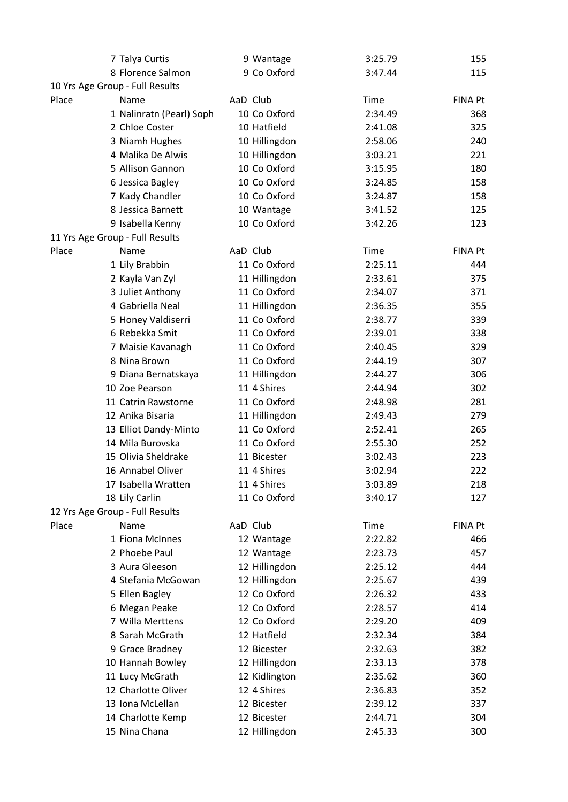|                                 | 7 Talya Curtis           |          | 9 Wantage     | 3:25.79 | 155            |
|---------------------------------|--------------------------|----------|---------------|---------|----------------|
|                                 | 8 Florence Salmon        |          | 9 Co Oxford   | 3:47.44 | 115            |
| 10 Yrs Age Group - Full Results |                          |          |               |         |                |
| Place                           | Name                     | AaD Club |               | Time    | <b>FINA Pt</b> |
|                                 | 1 Nalinratn (Pearl) Soph |          | 10 Co Oxford  | 2:34.49 | 368            |
|                                 | 2 Chloe Coster           |          | 10 Hatfield   | 2:41.08 | 325            |
|                                 | 3 Niamh Hughes           |          | 10 Hillingdon | 2:58.06 | 240            |
|                                 | 4 Malika De Alwis        |          | 10 Hillingdon | 3:03.21 | 221            |
|                                 | 5 Allison Gannon         |          | 10 Co Oxford  | 3:15.95 | 180            |
|                                 | 6 Jessica Bagley         |          | 10 Co Oxford  | 3:24.85 | 158            |
|                                 | 7 Kady Chandler          |          | 10 Co Oxford  | 3:24.87 | 158            |
|                                 | 8 Jessica Barnett        |          | 10 Wantage    | 3:41.52 | 125            |
|                                 | 9 Isabella Kenny         |          | 10 Co Oxford  | 3:42.26 | 123            |
| 11 Yrs Age Group - Full Results |                          |          |               |         |                |
| Place                           | Name                     | AaD Club |               | Time    | <b>FINA Pt</b> |
|                                 | 1 Lily Brabbin           |          | 11 Co Oxford  | 2:25.11 | 444            |
|                                 | 2 Kayla Van Zyl          |          | 11 Hillingdon | 2:33.61 | 375            |
|                                 | 3 Juliet Anthony         |          | 11 Co Oxford  | 2:34.07 | 371            |
|                                 | 4 Gabriella Neal         |          | 11 Hillingdon | 2:36.35 | 355            |
|                                 | 5 Honey Valdiserri       |          | 11 Co Oxford  | 2:38.77 | 339            |
|                                 | 6 Rebekka Smit           |          | 11 Co Oxford  | 2:39.01 | 338            |
|                                 | 7 Maisie Kavanagh        |          | 11 Co Oxford  | 2:40.45 | 329            |
|                                 | 8 Nina Brown             |          | 11 Co Oxford  | 2:44.19 | 307            |
|                                 | 9 Diana Bernatskaya      |          | 11 Hillingdon | 2:44.27 | 306            |
|                                 | 10 Zoe Pearson           |          | 11 4 Shires   | 2:44.94 | 302            |
|                                 | 11 Catrin Rawstorne      |          | 11 Co Oxford  | 2:48.98 | 281            |
|                                 | 12 Anika Bisaria         |          | 11 Hillingdon | 2:49.43 | 279            |
|                                 | 13 Elliot Dandy-Minto    |          | 11 Co Oxford  | 2:52.41 | 265            |
|                                 | 14 Mila Burovska         |          | 11 Co Oxford  | 2:55.30 | 252            |
|                                 | 15 Olivia Sheldrake      |          | 11 Bicester   | 3:02.43 | 223            |
|                                 | 16 Annabel Oliver        |          | 11 4 Shires   | 3:02.94 | 222            |
|                                 | 17 Isabella Wratten      |          | 11 4 Shires   | 3:03.89 | 218            |
|                                 | 18 Lily Carlin           |          | 11 Co Oxford  | 3:40.17 | 127            |
| 12 Yrs Age Group - Full Results |                          |          |               |         |                |
| Place                           | Name                     | AaD Club |               | Time    | FINA Pt        |
|                                 | 1 Fiona McInnes          |          | 12 Wantage    | 2:22.82 | 466            |
|                                 | 2 Phoebe Paul            |          | 12 Wantage    | 2:23.73 | 457            |
|                                 | 3 Aura Gleeson           |          | 12 Hillingdon | 2:25.12 | 444            |
|                                 | 4 Stefania McGowan       |          | 12 Hillingdon | 2:25.67 | 439            |
|                                 | 5 Ellen Bagley           |          | 12 Co Oxford  | 2:26.32 | 433            |
|                                 | 6 Megan Peake            |          | 12 Co Oxford  | 2:28.57 | 414            |
|                                 | 7 Willa Merttens         |          | 12 Co Oxford  | 2:29.20 | 409            |
|                                 | 8 Sarah McGrath          |          | 12 Hatfield   | 2:32.34 | 384            |
|                                 | 9 Grace Bradney          |          | 12 Bicester   | 2:32.63 | 382            |
|                                 | 10 Hannah Bowley         |          | 12 Hillingdon | 2:33.13 | 378            |
|                                 | 11 Lucy McGrath          |          | 12 Kidlington | 2:35.62 | 360            |
|                                 | 12 Charlotte Oliver      |          | 12 4 Shires   | 2:36.83 | 352            |
|                                 | 13 Iona McLellan         |          | 12 Bicester   | 2:39.12 | 337            |
|                                 | 14 Charlotte Kemp        |          | 12 Bicester   | 2:44.71 | 304            |
|                                 | 15 Nina Chana            |          | 12 Hillingdon | 2:45.33 | 300            |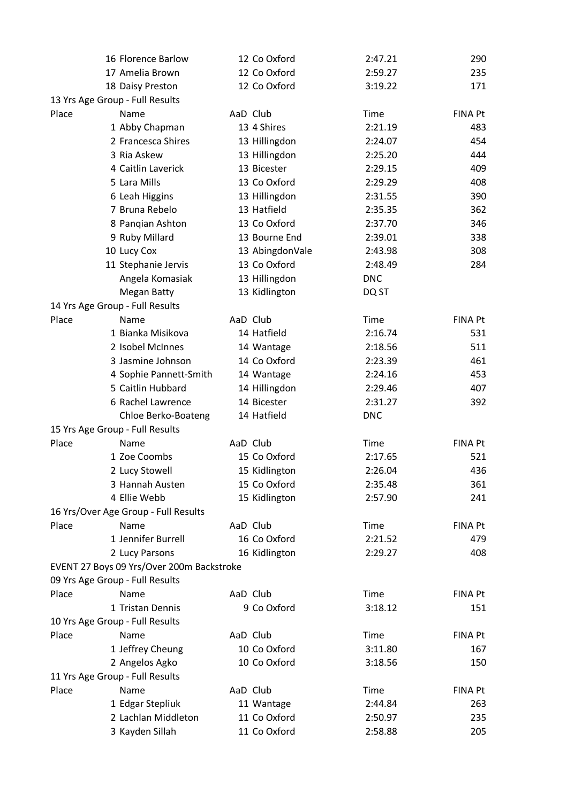|       | 16 Florence Barlow                        | 12 Co Oxford    | 2:47.21    | 290            |
|-------|-------------------------------------------|-----------------|------------|----------------|
|       | 17 Amelia Brown                           | 12 Co Oxford    | 2:59.27    | 235            |
|       | 18 Daisy Preston                          | 12 Co Oxford    | 3:19.22    | 171            |
|       | 13 Yrs Age Group - Full Results           |                 |            |                |
| Place | Name                                      | AaD Club        | Time       | <b>FINA Pt</b> |
|       | 1 Abby Chapman                            | 13 4 Shires     | 2:21.19    | 483            |
|       | 2 Francesca Shires                        | 13 Hillingdon   | 2:24.07    | 454            |
|       | 3 Ria Askew                               | 13 Hillingdon   | 2:25.20    | 444            |
|       | 4 Caitlin Laverick                        | 13 Bicester     | 2:29.15    | 409            |
|       | 5 Lara Mills                              | 13 Co Oxford    | 2:29.29    | 408            |
|       | 6 Leah Higgins                            | 13 Hillingdon   | 2:31.55    | 390            |
|       | 7 Bruna Rebelo                            | 13 Hatfield     | 2:35.35    | 362            |
|       | 8 Panqian Ashton                          | 13 Co Oxford    | 2:37.70    | 346            |
|       | 9 Ruby Millard                            | 13 Bourne End   | 2:39.01    | 338            |
|       | 10 Lucy Cox                               | 13 AbingdonVale | 2:43.98    | 308            |
|       | 11 Stephanie Jervis                       | 13 Co Oxford    | 2:48.49    | 284            |
|       | Angela Komasiak                           | 13 Hillingdon   | <b>DNC</b> |                |
|       | <b>Megan Batty</b>                        | 13 Kidlington   | DQ ST      |                |
|       | 14 Yrs Age Group - Full Results           |                 |            |                |
| Place | Name                                      | AaD Club        | Time       | FINA Pt        |
|       | 1 Bianka Misikova                         | 14 Hatfield     | 2:16.74    | 531            |
|       | 2 Isobel McInnes                          | 14 Wantage      | 2:18.56    | 511            |
|       | 3 Jasmine Johnson                         | 14 Co Oxford    | 2:23.39    | 461            |
|       | 4 Sophie Pannett-Smith                    | 14 Wantage      | 2:24.16    | 453            |
|       | 5 Caitlin Hubbard                         | 14 Hillingdon   | 2:29.46    | 407            |
|       | 6 Rachel Lawrence                         | 14 Bicester     | 2:31.27    | 392            |
|       | Chloe Berko-Boateng                       | 14 Hatfield     | <b>DNC</b> |                |
|       | 15 Yrs Age Group - Full Results           |                 |            |                |
| Place | Name                                      | AaD Club        | Time       | FINA Pt        |
|       | 1 Zoe Coombs                              | 15 Co Oxford    | 2:17.65    | 521            |
|       | 2 Lucy Stowell                            | 15 Kidlington   | 2:26.04    | 436            |
|       | 3 Hannah Austen                           | 15 Co Oxford    | 2:35.48    | 361            |
|       | 4 Ellie Webb                              | 15 Kidlington   | 2:57.90    | 241            |
|       | 16 Yrs/Over Age Group - Full Results      |                 |            |                |
| Place | Name                                      | AaD Club        | Time       | <b>FINA Pt</b> |
|       | 1 Jennifer Burrell                        | 16 Co Oxford    | 2:21.52    | 479            |
|       | 2 Lucy Parsons                            | 16 Kidlington   | 2:29.27    | 408            |
|       | EVENT 27 Boys 09 Yrs/Over 200m Backstroke |                 |            |                |
|       | 09 Yrs Age Group - Full Results           |                 |            |                |
| Place | Name                                      | AaD Club        | Time       | FINA Pt        |
|       | 1 Tristan Dennis                          | 9 Co Oxford     | 3:18.12    | 151            |
|       | 10 Yrs Age Group - Full Results           |                 |            |                |
| Place | Name                                      | AaD Club        | Time       | FINA Pt        |
|       | 1 Jeffrey Cheung                          | 10 Co Oxford    | 3:11.80    | 167            |
|       | 2 Angelos Agko                            | 10 Co Oxford    | 3:18.56    | 150            |
|       | 11 Yrs Age Group - Full Results           |                 |            |                |
| Place | Name                                      | AaD Club        | Time       | <b>FINA Pt</b> |
|       | 1 Edgar Stepliuk                          | 11 Wantage      | 2:44.84    | 263            |
|       | 2 Lachlan Middleton                       | 11 Co Oxford    | 2:50.97    | 235            |
|       | 3 Kayden Sillah                           | 11 Co Oxford    | 2:58.88    | 205            |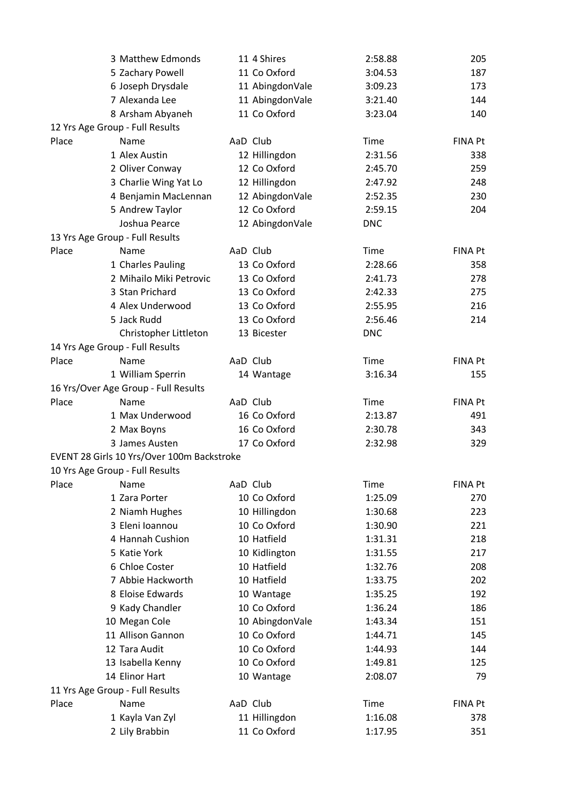|                                 | 3 Matthew Edmonds                          |          | 11 4 Shires     | 2:58.88     | 205            |
|---------------------------------|--------------------------------------------|----------|-----------------|-------------|----------------|
|                                 | 5 Zachary Powell                           |          | 11 Co Oxford    | 3:04.53     | 187            |
|                                 | 6 Joseph Drysdale                          |          | 11 AbingdonVale | 3:09.23     | 173            |
|                                 | 7 Alexanda Lee                             |          | 11 AbingdonVale | 3:21.40     | 144            |
|                                 | 8 Arsham Abyaneh                           |          | 11 Co Oxford    | 3:23.04     | 140            |
| 12 Yrs Age Group - Full Results |                                            |          |                 |             |                |
| Place                           | Name                                       |          | AaD Club        | Time        | <b>FINA Pt</b> |
|                                 | 1 Alex Austin                              |          | 12 Hillingdon   | 2:31.56     | 338            |
|                                 | 2 Oliver Conway                            |          | 12 Co Oxford    | 2:45.70     | 259            |
|                                 | 3 Charlie Wing Yat Lo                      |          | 12 Hillingdon   | 2:47.92     | 248            |
|                                 | 4 Benjamin MacLennan                       |          | 12 AbingdonVale | 2:52.35     | 230            |
|                                 | 5 Andrew Taylor                            |          | 12 Co Oxford    | 2:59.15     | 204            |
|                                 | Joshua Pearce                              |          | 12 AbingdonVale | <b>DNC</b>  |                |
| 13 Yrs Age Group - Full Results |                                            |          |                 |             |                |
| Place                           | Name                                       | AaD Club |                 | Time        | <b>FINA Pt</b> |
|                                 | 1 Charles Pauling                          |          | 13 Co Oxford    | 2:28.66     | 358            |
|                                 | 2 Mihailo Miki Petrovic                    |          | 13 Co Oxford    | 2:41.73     | 278            |
|                                 | 3 Stan Prichard                            |          | 13 Co Oxford    | 2:42.33     | 275            |
|                                 | 4 Alex Underwood                           |          | 13 Co Oxford    | 2:55.95     | 216            |
|                                 | 5 Jack Rudd                                |          | 13 Co Oxford    | 2:56.46     | 214            |
|                                 | Christopher Littleton                      |          | 13 Bicester     | <b>DNC</b>  |                |
| 14 Yrs Age Group - Full Results |                                            |          |                 |             |                |
| Place                           | Name                                       |          | AaD Club        | Time        | <b>FINA Pt</b> |
|                                 | 1 William Sperrin                          |          | 14 Wantage      | 3:16.34     | 155            |
|                                 | 16 Yrs/Over Age Group - Full Results       |          |                 |             |                |
| Place                           | Name                                       | AaD Club |                 | Time        | <b>FINA Pt</b> |
|                                 | 1 Max Underwood                            |          | 16 Co Oxford    | 2:13.87     | 491            |
|                                 | 2 Max Boyns                                |          | 16 Co Oxford    | 2:30.78     | 343            |
|                                 | 3 James Austen                             |          | 17 Co Oxford    | 2:32.98     | 329            |
|                                 |                                            |          |                 |             |                |
|                                 | EVENT 28 Girls 10 Yrs/Over 100m Backstroke |          |                 |             |                |
| 10 Yrs Age Group - Full Results |                                            |          |                 |             |                |
| Place                           | Name                                       |          | AaD Club        | <b>Time</b> | <b>FINA Pt</b> |
|                                 | 1 Zara Porter                              |          | 10 Co Oxford    | 1:25.09     | 270            |
|                                 | 2 Niamh Hughes                             |          | 10 Hillingdon   | 1:30.68     | 223            |
|                                 | 3 Eleni Ioannou                            |          | 10 Co Oxford    | 1:30.90     | 221            |
|                                 | 4 Hannah Cushion                           |          | 10 Hatfield     | 1:31.31     | 218            |
|                                 | 5 Katie York                               |          | 10 Kidlington   | 1:31.55     | 217            |
|                                 | 6 Chloe Coster                             |          | 10 Hatfield     | 1:32.76     | 208            |
|                                 | 7 Abbie Hackworth                          |          | 10 Hatfield     | 1:33.75     | 202            |
|                                 | 8 Eloise Edwards                           |          | 10 Wantage      | 1:35.25     | 192            |
|                                 | 9 Kady Chandler                            |          | 10 Co Oxford    | 1:36.24     | 186            |
|                                 | 10 Megan Cole                              |          | 10 AbingdonVale | 1:43.34     | 151            |
|                                 | 11 Allison Gannon                          |          | 10 Co Oxford    | 1:44.71     | 145            |
|                                 | 12 Tara Audit                              |          | 10 Co Oxford    | 1:44.93     | 144            |
|                                 | 13 Isabella Kenny                          |          | 10 Co Oxford    | 1:49.81     | 125            |
|                                 | 14 Elinor Hart                             |          | 10 Wantage      | 2:08.07     | 79             |
| 11 Yrs Age Group - Full Results |                                            |          |                 |             |                |
| Place                           | Name                                       |          | AaD Club        | Time        | FINA Pt        |
|                                 | 1 Kayla Van Zyl                            |          | 11 Hillingdon   | 1:16.08     | 378            |
|                                 | 2 Lily Brabbin                             |          | 11 Co Oxford    | 1:17.95     | 351            |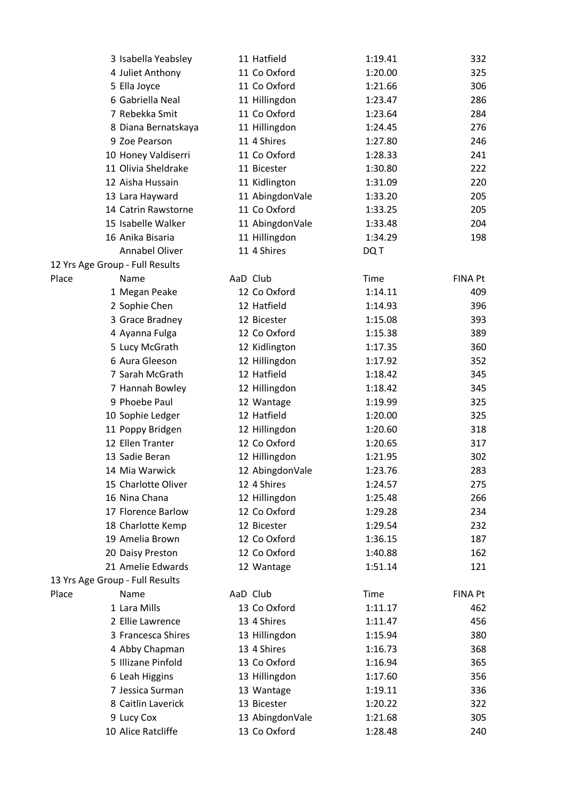| 3 Isabella Yeabsley             | 11 Hatfield     | 1:19.41     | 332            |
|---------------------------------|-----------------|-------------|----------------|
| 4 Juliet Anthony                | 11 Co Oxford    | 1:20.00     | 325            |
| 5 Ella Joyce                    | 11 Co Oxford    | 1:21.66     | 306            |
| 6 Gabriella Neal                | 11 Hillingdon   | 1:23.47     | 286            |
| 7 Rebekka Smit                  | 11 Co Oxford    | 1:23.64     | 284            |
| 8 Diana Bernatskaya             | 11 Hillingdon   | 1:24.45     | 276            |
| 9 Zoe Pearson                   | 11 4 Shires     | 1:27.80     | 246            |
| 10 Honey Valdiserri             | 11 Co Oxford    | 1:28.33     | 241            |
| 11 Olivia Sheldrake             | 11 Bicester     | 1:30.80     | 222            |
| 12 Aisha Hussain                | 11 Kidlington   | 1:31.09     | 220            |
| 13 Lara Hayward                 | 11 AbingdonVale | 1:33.20     | 205            |
| 14 Catrin Rawstorne             | 11 Co Oxford    | 1:33.25     | 205            |
| 15 Isabelle Walker              | 11 AbingdonVale | 1:33.48     | 204            |
| 16 Anika Bisaria                | 11 Hillingdon   | 1:34.29     | 198            |
| Annabel Oliver                  | 11 4 Shires     | DQ T        |                |
| 12 Yrs Age Group - Full Results |                 |             |                |
| Place<br>Name                   | AaD Club        | Time        | <b>FINA Pt</b> |
| 1 Megan Peake                   | 12 Co Oxford    | 1:14.11     | 409            |
| 2 Sophie Chen                   | 12 Hatfield     | 1:14.93     | 396            |
| 3 Grace Bradney                 | 12 Bicester     | 1:15.08     | 393            |
| 4 Ayanna Fulga                  | 12 Co Oxford    | 1:15.38     | 389            |
| 5 Lucy McGrath                  | 12 Kidlington   | 1:17.35     | 360            |
| 6 Aura Gleeson                  | 12 Hillingdon   | 1:17.92     | 352            |
| 7 Sarah McGrath                 | 12 Hatfield     | 1:18.42     | 345            |
| 7 Hannah Bowley                 | 12 Hillingdon   | 1:18.42     | 345            |
| 9 Phoebe Paul                   | 12 Wantage      | 1:19.99     | 325            |
| 10 Sophie Ledger                | 12 Hatfield     | 1:20.00     | 325            |
| 11 Poppy Bridgen                | 12 Hillingdon   | 1:20.60     | 318            |
| 12 Ellen Tranter                | 12 Co Oxford    | 1:20.65     | 317            |
| 13 Sadie Beran                  | 12 Hillingdon   | 1:21.95     | 302            |
| 14 Mia Warwick                  | 12 AbingdonVale | 1:23.76     | 283            |
| 15 Charlotte Oliver             | 12 4 Shires     | 1:24.57     | 275            |
| 16 Nina Chana                   | 12 Hillingdon   | 1:25.48     | 266            |
| 17 Florence Barlow              | 12 Co Oxford    | 1:29.28     | 234            |
| 18 Charlotte Kemp               | 12 Bicester     | 1:29.54     | 232            |
| 19 Amelia Brown                 | 12 Co Oxford    | 1:36.15     | 187            |
| 20 Daisy Preston                | 12 Co Oxford    | 1:40.88     | 162            |
| 21 Amelie Edwards               | 12 Wantage      | 1:51.14     | 121            |
| 13 Yrs Age Group - Full Results |                 |             |                |
| Place<br>Name                   | AaD Club        | <b>Time</b> | <b>FINA Pt</b> |
| 1 Lara Mills                    | 13 Co Oxford    | 1:11.17     | 462            |
| 2 Ellie Lawrence                | 13 4 Shires     | 1:11.47     | 456            |
| 3 Francesca Shires              | 13 Hillingdon   | 1:15.94     | 380            |
| 4 Abby Chapman                  | 13 4 Shires     | 1:16.73     | 368            |
| 5 Illizane Pinfold              | 13 Co Oxford    | 1:16.94     | 365            |
| 6 Leah Higgins                  | 13 Hillingdon   | 1:17.60     | 356            |
| 7 Jessica Surman                | 13 Wantage      | 1:19.11     | 336            |
| 8 Caitlin Laverick              | 13 Bicester     | 1:20.22     | 322            |
| 9 Lucy Cox                      | 13 AbingdonVale | 1:21.68     | 305            |
| 10 Alice Ratcliffe              | 13 Co Oxford    | 1:28.48     | 240            |
|                                 |                 |             |                |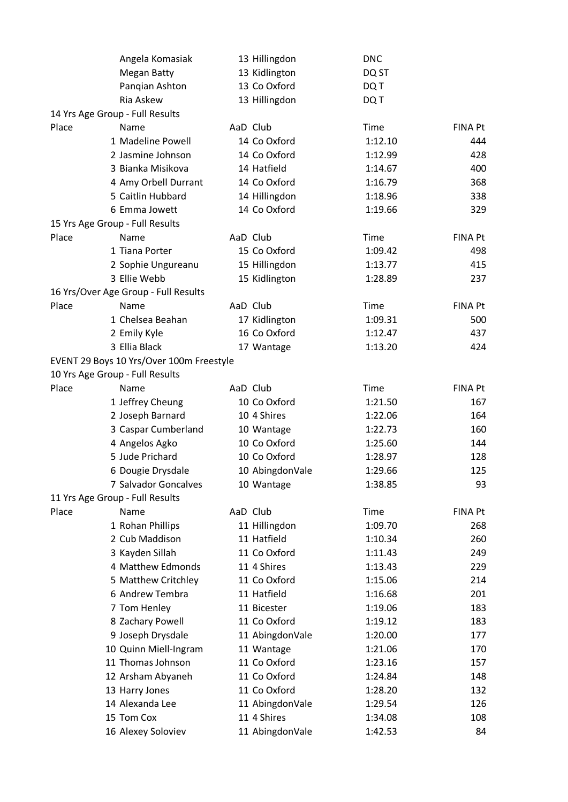|       | Angela Komasiak                          | 13 Hillingdon   | <b>DNC</b> |                |
|-------|------------------------------------------|-----------------|------------|----------------|
|       | <b>Megan Batty</b>                       | 13 Kidlington   | DQ ST      |                |
|       | Pangian Ashton                           | 13 Co Oxford    | DQ T       |                |
|       | Ria Askew                                | 13 Hillingdon   | DQ T       |                |
|       | 14 Yrs Age Group - Full Results          |                 |            |                |
| Place | Name                                     | AaD Club        | Time       | <b>FINA Pt</b> |
|       | 1 Madeline Powell                        | 14 Co Oxford    | 1:12.10    | 444            |
|       | 2 Jasmine Johnson                        | 14 Co Oxford    | 1:12.99    | 428            |
|       | 3 Bianka Misikova                        | 14 Hatfield     | 1:14.67    | 400            |
|       | 4 Amy Orbell Durrant                     | 14 Co Oxford    | 1:16.79    | 368            |
|       | 5 Caitlin Hubbard                        | 14 Hillingdon   | 1:18.96    | 338            |
|       | 6 Emma Jowett                            | 14 Co Oxford    | 1:19.66    | 329            |
|       | 15 Yrs Age Group - Full Results          |                 |            |                |
| Place | Name                                     | AaD Club        | Time       | <b>FINA Pt</b> |
|       | 1 Tiana Porter                           | 15 Co Oxford    | 1:09.42    | 498            |
|       | 2 Sophie Ungureanu                       | 15 Hillingdon   | 1:13.77    | 415            |
|       | 3 Ellie Webb                             | 15 Kidlington   | 1:28.89    | 237            |
|       | 16 Yrs/Over Age Group - Full Results     |                 |            |                |
| Place | Name                                     | AaD Club        | Time       | <b>FINA Pt</b> |
|       | 1 Chelsea Beahan                         | 17 Kidlington   | 1:09.31    | 500            |
|       | 2 Emily Kyle                             | 16 Co Oxford    | 1:12.47    | 437            |
|       | 3 Ellia Black                            | 17 Wantage      | 1:13.20    | 424            |
|       | EVENT 29 Boys 10 Yrs/Over 100m Freestyle |                 |            |                |
|       | 10 Yrs Age Group - Full Results          |                 |            |                |
| Place | Name                                     | AaD Club        | Time       | <b>FINA Pt</b> |
|       | 1 Jeffrey Cheung                         | 10 Co Oxford    | 1:21.50    | 167            |
|       | 2 Joseph Barnard                         | 10 4 Shires     | 1:22.06    | 164            |
|       | 3 Caspar Cumberland                      | 10 Wantage      | 1:22.73    | 160            |
|       | 4 Angelos Agko                           | 10 Co Oxford    | 1:25.60    | 144            |
|       | 5 Jude Prichard                          | 10 Co Oxford    | 1:28.97    | 128            |
|       | 6 Dougie Drysdale                        | 10 AbingdonVale | 1:29.66    | 125            |
|       | 7 Salvador Goncalves                     | 10 Wantage      | 1:38.85    | 93             |
|       | 11 Yrs Age Group - Full Results          |                 |            |                |
| Place | Name                                     | AaD Club        | Time       | <b>FINA Pt</b> |
|       | 1 Rohan Phillips                         | 11 Hillingdon   | 1:09.70    | 268            |
|       | 2 Cub Maddison                           | 11 Hatfield     | 1:10.34    | 260            |
|       | 3 Kayden Sillah                          | 11 Co Oxford    | 1:11.43    | 249            |
|       | 4 Matthew Edmonds                        | 11 4 Shires     | 1:13.43    | 229            |
|       | 5 Matthew Critchley                      | 11 Co Oxford    | 1:15.06    | 214            |
|       | 6 Andrew Tembra                          | 11 Hatfield     | 1:16.68    | 201            |
|       | 7 Tom Henley                             | 11 Bicester     | 1:19.06    | 183            |
|       | 8 Zachary Powell                         | 11 Co Oxford    | 1:19.12    | 183            |
|       | 9 Joseph Drysdale                        | 11 AbingdonVale | 1:20.00    | 177            |
|       | 10 Quinn Miell-Ingram                    | 11 Wantage      | 1:21.06    | 170            |
|       | 11 Thomas Johnson                        | 11 Co Oxford    | 1:23.16    | 157            |
|       | 12 Arsham Abyaneh                        | 11 Co Oxford    | 1:24.84    | 148            |
|       | 13 Harry Jones                           | 11 Co Oxford    | 1:28.20    | 132            |
|       | 14 Alexanda Lee                          | 11 AbingdonVale | 1:29.54    | 126            |
|       | 15 Tom Cox                               | 11 4 Shires     | 1:34.08    | 108            |
|       | 16 Alexey Soloviev                       | 11 AbingdonVale | 1:42.53    | 84             |
|       |                                          |                 |            |                |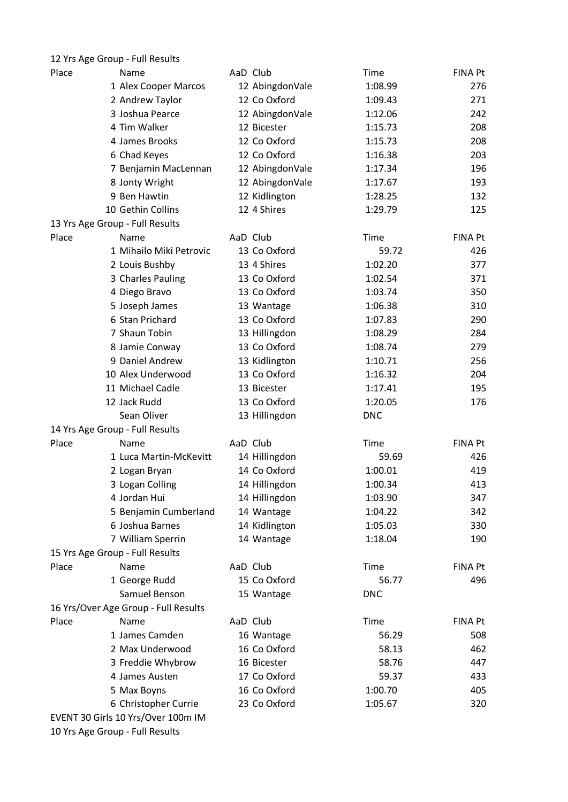| 12 Yrs Age Group - Full Results      |                 |             |                |
|--------------------------------------|-----------------|-------------|----------------|
| Place<br>Name                        | AaD Club        | Time        | FINA Pt        |
| 1 Alex Cooper Marcos                 | 12 AbingdonVale | 1:08.99     | 276            |
| 2 Andrew Taylor                      | 12 Co Oxford    | 1:09.43     | 271            |
| 3 Joshua Pearce                      | 12 AbingdonVale | 1:12.06     | 242            |
| 4 Tim Walker                         | 12 Bicester     | 1:15.73     | 208            |
| 4 James Brooks                       | 12 Co Oxford    | 1:15.73     | 208            |
| 6 Chad Keyes                         | 12 Co Oxford    | 1:16.38     | 203            |
| 7 Benjamin MacLennan                 | 12 AbingdonVale | 1:17.34     | 196            |
| 8 Jonty Wright                       | 12 AbingdonVale | 1:17.67     | 193            |
| 9 Ben Hawtin                         | 12 Kidlington   | 1:28.25     | 132            |
| 10 Gethin Collins                    | 12 4 Shires     | 1:29.79     | 125            |
| 13 Yrs Age Group - Full Results      |                 |             |                |
| Place<br>Name                        | AaD Club        | Time        | <b>FINA Pt</b> |
| 1 Mihailo Miki Petrovic              | 13 Co Oxford    | 59.72       | 426            |
| 2 Louis Bushby                       | 13 4 Shires     | 1:02.20     | 377            |
| 3 Charles Pauling                    | 13 Co Oxford    | 1:02.54     | 371            |
| 4 Diego Bravo                        | 13 Co Oxford    | 1:03.74     | 350            |
| 5 Joseph James                       | 13 Wantage      | 1:06.38     | 310            |
| 6 Stan Prichard                      | 13 Co Oxford    | 1:07.83     | 290            |
| 7 Shaun Tobin                        | 13 Hillingdon   | 1:08.29     | 284            |
| 8 Jamie Conway                       | 13 Co Oxford    | 1:08.74     | 279            |
| 9 Daniel Andrew                      | 13 Kidlington   | 1:10.71     | 256            |
| 10 Alex Underwood                    | 13 Co Oxford    | 1:16.32     | 204            |
| 11 Michael Cadle                     | 13 Bicester     | 1:17.41     | 195            |
| 12 Jack Rudd                         | 13 Co Oxford    | 1:20.05     | 176            |
| Sean Oliver                          | 13 Hillingdon   | <b>DNC</b>  |                |
| 14 Yrs Age Group - Full Results      |                 |             |                |
| Place<br>Name                        | AaD Club        | Time        | FINA Pt        |
| 1 Luca Martin-McKevitt               | 14 Hillingdon   | 59.69       | 426            |
| 2 Logan Bryan                        | 14 Co Oxford    | 1:00.01     | 419            |
| 3 Logan Colling                      | 14 Hillingdon   | 1:00.34     | 413            |
| 4 Jordan Hui                         | 14 Hillingdon   | 1:03.90     | 347            |
| 5 Benjamin Cumberland                | 14 Wantage      | 1:04.22     | 342            |
| 6 Joshua Barnes                      | 14 Kidlington   | 1:05.03     | 330            |
| 7 William Sperrin                    | 14 Wantage      | 1:18.04     | 190            |
| 15 Yrs Age Group - Full Results      |                 |             |                |
| Place<br>Name                        | AaD Club        | Time        | FINA Pt        |
| 1 George Rudd                        | 15 Co Oxford    | 56.77       | 496            |
| Samuel Benson                        | 15 Wantage      | <b>DNC</b>  |                |
| 16 Yrs/Over Age Group - Full Results |                 |             |                |
| Place<br>Name                        | AaD Club        | <b>Time</b> | <b>FINA Pt</b> |
| 1 James Camden                       | 16 Wantage      | 56.29       | 508            |
| 2 Max Underwood                      | 16 Co Oxford    | 58.13       | 462            |
| 3 Freddie Whybrow                    | 16 Bicester     | 58.76       | 447            |
| 4 James Austen                       | 17 Co Oxford    | 59.37       | 433            |
| 5 Max Boyns                          | 16 Co Oxford    | 1:00.70     | 405            |
| 6 Christopher Currie                 | 23 Co Oxford    | 1:05.67     | 320            |
| EVENT 30 Girls 10 Yrs/Over 100m IM   |                 |             |                |
| 10 Yrs Age Group - Full Results      |                 |             |                |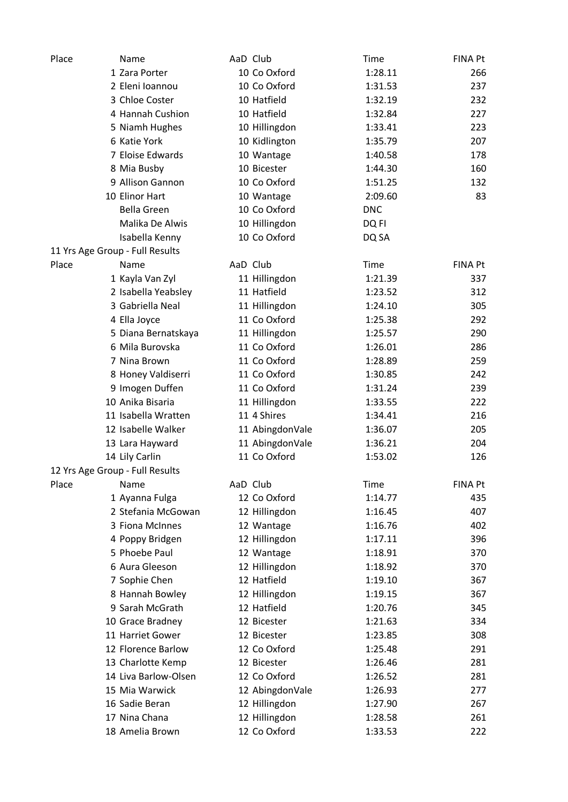| Place                           | Name                                  | AaD Club |                 | Time       | <b>FINA Pt</b> |
|---------------------------------|---------------------------------------|----------|-----------------|------------|----------------|
|                                 | 1 Zara Porter                         |          | 10 Co Oxford    | 1:28.11    | 266            |
|                                 | 2 Eleni Ioannou                       |          | 10 Co Oxford    | 1:31.53    | 237            |
|                                 | 3 Chloe Coster                        |          | 10 Hatfield     | 1:32.19    | 232            |
|                                 | 4 Hannah Cushion                      |          | 10 Hatfield     | 1:32.84    | 227            |
|                                 | 5 Niamh Hughes                        |          | 10 Hillingdon   | 1:33.41    | 223            |
|                                 | 6 Katie York                          |          | 10 Kidlington   | 1:35.79    | 207            |
|                                 | 7 Eloise Edwards                      |          | 10 Wantage      | 1:40.58    | 178            |
|                                 | 8 Mia Busby                           |          | 10 Bicester     | 1:44.30    | 160            |
|                                 | 9 Allison Gannon                      |          | 10 Co Oxford    | 1:51.25    | 132            |
|                                 | 10 Elinor Hart                        |          | 10 Wantage      | 2:09.60    | 83             |
|                                 | <b>Bella Green</b>                    |          | 10 Co Oxford    | <b>DNC</b> |                |
|                                 | Malika De Alwis                       |          | 10 Hillingdon   | DQ FI      |                |
|                                 | Isabella Kenny                        |          | 10 Co Oxford    | DQ SA      |                |
| 11 Yrs Age Group - Full Results |                                       |          |                 |            |                |
| Place                           | Name                                  | AaD Club |                 | Time       | <b>FINA Pt</b> |
|                                 | 1 Kayla Van Zyl                       |          | 11 Hillingdon   | 1:21.39    | 337            |
|                                 | 2 Isabella Yeabsley                   |          | 11 Hatfield     | 1:23.52    | 312            |
|                                 | 3 Gabriella Neal                      |          | 11 Hillingdon   | 1:24.10    | 305            |
|                                 | 4 Ella Joyce                          |          | 11 Co Oxford    | 1:25.38    | 292            |
|                                 | 5 Diana Bernatskaya                   |          | 11 Hillingdon   | 1:25.57    | 290            |
|                                 | 6 Mila Burovska                       |          | 11 Co Oxford    | 1:26.01    | 286            |
|                                 | 7 Nina Brown                          |          | 11 Co Oxford    | 1:28.89    | 259            |
|                                 |                                       |          | 11 Co Oxford    | 1:30.85    | 242            |
|                                 | 8 Honey Valdiserri<br>9 Imogen Duffen |          | 11 Co Oxford    | 1:31.24    | 239            |
|                                 | 10 Anika Bisaria                      |          |                 |            |                |
|                                 |                                       |          | 11 Hillingdon   | 1:33.55    | 222            |
|                                 | 11 Isabella Wratten                   |          | 11 4 Shires     | 1:34.41    | 216            |
|                                 | 12 Isabelle Walker                    |          | 11 AbingdonVale | 1:36.07    | 205            |
|                                 | 13 Lara Hayward                       |          | 11 AbingdonVale | 1:36.21    | 204            |
|                                 | 14 Lily Carlin                        |          | 11 Co Oxford    | 1:53.02    | 126            |
| 12 Yrs Age Group - Full Results |                                       |          |                 |            |                |
| Place                           | Name                                  | AaD Club |                 | Time       | <b>FINA Pt</b> |
|                                 | 1 Ayanna Fulga                        |          | 12 Co Oxford    | 1:14.77    | 435            |
|                                 | 2 Stefania McGowan                    |          | 12 Hillingdon   | 1:16.45    | 407            |
|                                 | 3 Fiona McInnes                       |          | 12 Wantage      | 1:16.76    | 402            |
|                                 | 4 Poppy Bridgen                       |          | 12 Hillingdon   | 1:17.11    | 396            |
|                                 | 5 Phoebe Paul                         |          | 12 Wantage      | 1:18.91    | 370            |
|                                 | 6 Aura Gleeson                        |          | 12 Hillingdon   | 1:18.92    | 370            |
|                                 | 7 Sophie Chen                         |          | 12 Hatfield     | 1:19.10    | 367            |
|                                 | 8 Hannah Bowley                       |          | 12 Hillingdon   | 1:19.15    | 367            |
|                                 | 9 Sarah McGrath                       |          | 12 Hatfield     | 1:20.76    | 345            |
|                                 | 10 Grace Bradney                      |          | 12 Bicester     | 1:21.63    | 334            |
|                                 | 11 Harriet Gower                      |          | 12 Bicester     | 1:23.85    | 308            |
|                                 | 12 Florence Barlow                    |          | 12 Co Oxford    | 1:25.48    | 291            |
|                                 | 13 Charlotte Kemp                     |          | 12 Bicester     | 1:26.46    | 281            |
|                                 | 14 Liva Barlow-Olsen                  |          | 12 Co Oxford    | 1:26.52    | 281            |
|                                 | 15 Mia Warwick                        |          | 12 AbingdonVale | 1:26.93    | 277            |
|                                 | 16 Sadie Beran                        |          | 12 Hillingdon   | 1:27.90    | 267            |
|                                 | 17 Nina Chana                         |          | 12 Hillingdon   | 1:28.58    | 261            |
|                                 | 18 Amelia Brown                       |          | 12 Co Oxford    | 1:33.53    | 222            |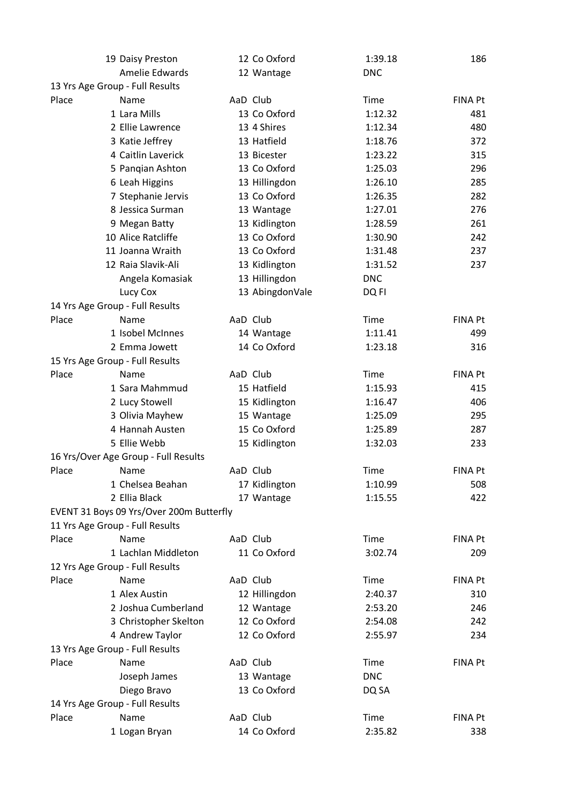|                                 | 19 Daisy Preston                         |          | 12 Co Oxford    | 1:39.18     | 186            |
|---------------------------------|------------------------------------------|----------|-----------------|-------------|----------------|
|                                 | Amelie Edwards                           |          | 12 Wantage      | <b>DNC</b>  |                |
| 13 Yrs Age Group - Full Results |                                          |          |                 |             |                |
| Place                           | Name                                     | AaD Club |                 | Time        | <b>FINA Pt</b> |
|                                 | 1 Lara Mills                             |          | 13 Co Oxford    | 1:12.32     | 481            |
|                                 | 2 Ellie Lawrence                         |          | 13 4 Shires     | 1:12.34     | 480            |
|                                 | 3 Katie Jeffrey                          |          | 13 Hatfield     | 1:18.76     | 372            |
|                                 | 4 Caitlin Laverick                       |          | 13 Bicester     | 1:23.22     | 315            |
|                                 | 5 Pangian Ashton                         |          | 13 Co Oxford    | 1:25.03     | 296            |
|                                 | 6 Leah Higgins                           |          | 13 Hillingdon   | 1:26.10     | 285            |
|                                 | 7 Stephanie Jervis                       |          | 13 Co Oxford    | 1:26.35     | 282            |
|                                 | 8 Jessica Surman                         |          | 13 Wantage      | 1:27.01     | 276            |
|                                 | 9 Megan Batty                            |          | 13 Kidlington   | 1:28.59     | 261            |
|                                 | 10 Alice Ratcliffe                       |          | 13 Co Oxford    | 1:30.90     | 242            |
|                                 | 11 Joanna Wraith                         |          | 13 Co Oxford    | 1:31.48     | 237            |
|                                 | 12 Raia Slavik-Ali                       |          | 13 Kidlington   | 1:31.52     | 237            |
|                                 | Angela Komasiak                          |          | 13 Hillingdon   | <b>DNC</b>  |                |
|                                 | Lucy Cox                                 |          | 13 AbingdonVale | DQ FI       |                |
| 14 Yrs Age Group - Full Results |                                          |          |                 |             |                |
| Place                           | Name                                     | AaD Club |                 | Time        | <b>FINA Pt</b> |
|                                 | 1 Isobel McInnes                         |          | 14 Wantage      | 1:11.41     | 499            |
|                                 | 2 Emma Jowett                            |          | 14 Co Oxford    | 1:23.18     | 316            |
| 15 Yrs Age Group - Full Results |                                          |          |                 |             |                |
| Place                           | Name                                     | AaD Club |                 | Time        | <b>FINA Pt</b> |
|                                 | 1 Sara Mahmmud                           |          | 15 Hatfield     | 1:15.93     | 415            |
|                                 | 2 Lucy Stowell                           |          | 15 Kidlington   | 1:16.47     | 406            |
|                                 | 3 Olivia Mayhew                          |          | 15 Wantage      | 1:25.09     | 295            |
|                                 | 4 Hannah Austen                          |          | 15 Co Oxford    | 1:25.89     | 287            |
|                                 | 5 Ellie Webb                             |          | 15 Kidlington   | 1:32.03     | 233            |
|                                 | 16 Yrs/Over Age Group - Full Results     |          |                 |             |                |
| Place                           | Name                                     | AaD Club |                 | Time        | <b>FINA Pt</b> |
|                                 | 1 Chelsea Beahan                         |          | 17 Kidlington   | 1:10.99     | 508            |
|                                 | 2 Ellia Black                            |          | 17 Wantage      | 1:15.55     | 422            |
|                                 | EVENT 31 Boys 09 Yrs/Over 200m Butterfly |          |                 |             |                |
| 11 Yrs Age Group - Full Results |                                          |          |                 |             |                |
| Place                           | Name                                     | AaD Club |                 | Time        | <b>FINA Pt</b> |
|                                 | 1 Lachlan Middleton                      |          | 11 Co Oxford    | 3:02.74     | 209            |
| 12 Yrs Age Group - Full Results |                                          |          |                 |             |                |
| Place                           | Name                                     | AaD Club |                 | <b>Time</b> | FINA Pt        |
|                                 | 1 Alex Austin                            |          | 12 Hillingdon   | 2:40.37     | 310            |
|                                 | 2 Joshua Cumberland                      |          | 12 Wantage      | 2:53.20     | 246            |
|                                 | 3 Christopher Skelton                    |          | 12 Co Oxford    | 2:54.08     | 242            |
|                                 | 4 Andrew Taylor                          |          | 12 Co Oxford    | 2:55.97     | 234            |
| 13 Yrs Age Group - Full Results |                                          |          |                 |             |                |
| Place                           | Name                                     | AaD Club |                 | <b>Time</b> | <b>FINA Pt</b> |
|                                 | Joseph James                             |          | 13 Wantage      | <b>DNC</b>  |                |
|                                 | Diego Bravo                              |          | 13 Co Oxford    | DQ SA       |                |
| 14 Yrs Age Group - Full Results |                                          |          |                 |             |                |
| Place                           | Name                                     | AaD Club |                 | <b>Time</b> | <b>FINA Pt</b> |
|                                 | 1 Logan Bryan                            |          | 14 Co Oxford    | 2:35.82     | 338            |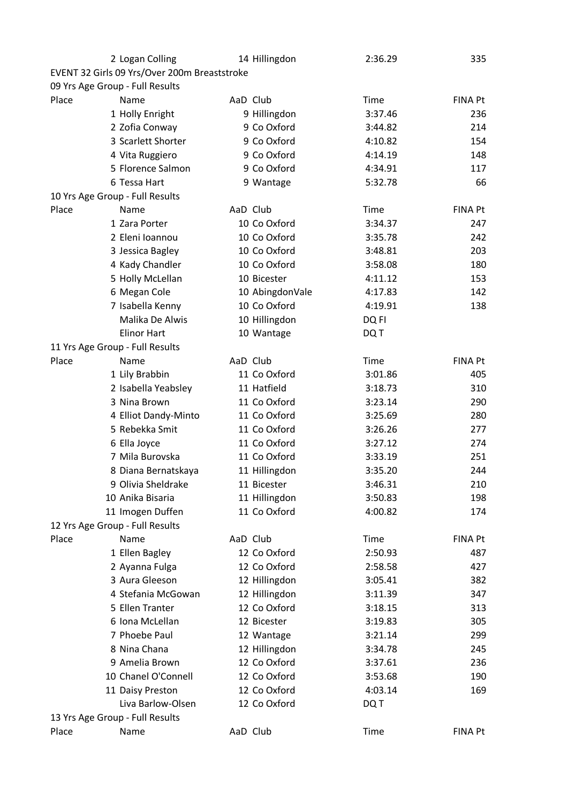|                                 | 2 Logan Colling                              |          | 14 Hillingdon   | 2:36.29 | 335            |
|---------------------------------|----------------------------------------------|----------|-----------------|---------|----------------|
|                                 | EVENT 32 Girls 09 Yrs/Over 200m Breaststroke |          |                 |         |                |
| 09 Yrs Age Group - Full Results |                                              |          |                 |         |                |
| Place                           | Name                                         | AaD Club |                 | Time    | <b>FINA Pt</b> |
|                                 | 1 Holly Enright                              |          | 9 Hillingdon    | 3:37.46 | 236            |
|                                 | 2 Zofia Conway                               |          | 9 Co Oxford     | 3:44.82 | 214            |
|                                 | 3 Scarlett Shorter                           |          | 9 Co Oxford     | 4:10.82 | 154            |
|                                 | 4 Vita Ruggiero                              |          | 9 Co Oxford     | 4:14.19 | 148            |
|                                 | 5 Florence Salmon                            |          | 9 Co Oxford     | 4:34.91 | 117            |
|                                 | 6 Tessa Hart                                 |          | 9 Wantage       | 5:32.78 | 66             |
| 10 Yrs Age Group - Full Results |                                              |          |                 |         |                |
| Place                           | Name                                         | AaD Club |                 | Time    | <b>FINA Pt</b> |
|                                 | 1 Zara Porter                                |          | 10 Co Oxford    | 3:34.37 | 247            |
|                                 | 2 Eleni Ioannou                              |          | 10 Co Oxford    | 3:35.78 | 242            |
|                                 | 3 Jessica Bagley                             |          | 10 Co Oxford    | 3:48.81 | 203            |
|                                 | 4 Kady Chandler                              |          | 10 Co Oxford    | 3:58.08 | 180            |
|                                 | 5 Holly McLellan                             |          | 10 Bicester     | 4:11.12 | 153            |
|                                 | 6 Megan Cole                                 |          | 10 AbingdonVale | 4:17.83 | 142            |
|                                 | 7 Isabella Kenny                             |          | 10 Co Oxford    | 4:19.91 | 138            |
|                                 | Malika De Alwis                              |          | 10 Hillingdon   | DQ FI   |                |
|                                 | <b>Elinor Hart</b>                           |          | 10 Wantage      | DQ T    |                |
| 11 Yrs Age Group - Full Results |                                              |          |                 |         |                |
| Place                           | Name                                         | AaD Club |                 | Time    | <b>FINA Pt</b> |
|                                 | 1 Lily Brabbin                               |          | 11 Co Oxford    | 3:01.86 | 405            |
|                                 | 2 Isabella Yeabsley                          |          | 11 Hatfield     | 3:18.73 | 310            |
|                                 | 3 Nina Brown                                 |          | 11 Co Oxford    | 3:23.14 | 290            |
|                                 | 4 Elliot Dandy-Minto                         |          | 11 Co Oxford    | 3:25.69 | 280            |
|                                 | 5 Rebekka Smit                               |          | 11 Co Oxford    | 3:26.26 | 277            |
|                                 | 6 Ella Joyce                                 |          | 11 Co Oxford    | 3:27.12 | 274            |
|                                 | 7 Mila Burovska                              |          | 11 Co Oxford    | 3:33.19 | 251            |
|                                 | 8 Diana Bernatskaya                          |          | 11 Hillingdon   | 3:35.20 | 244            |
|                                 | 9 Olivia Sheldrake                           |          | 11 Bicester     | 3:46.31 | 210            |
|                                 | 10 Anika Bisaria                             |          | 11 Hillingdon   | 3:50.83 | 198            |
|                                 | 11 Imogen Duffen                             |          | 11 Co Oxford    | 4:00.82 | 174            |
| 12 Yrs Age Group - Full Results |                                              |          |                 |         |                |
| Place                           | Name                                         | AaD Club |                 | Time    | <b>FINA Pt</b> |
|                                 | 1 Ellen Bagley                               |          | 12 Co Oxford    | 2:50.93 | 487            |
|                                 | 2 Ayanna Fulga                               |          | 12 Co Oxford    | 2:58.58 | 427            |
|                                 | 3 Aura Gleeson                               |          | 12 Hillingdon   | 3:05.41 | 382            |
|                                 | 4 Stefania McGowan                           |          | 12 Hillingdon   | 3:11.39 | 347            |
|                                 | 5 Ellen Tranter                              |          | 12 Co Oxford    | 3:18.15 | 313            |
|                                 | 6 Iona McLellan                              |          | 12 Bicester     | 3:19.83 | 305            |
|                                 | 7 Phoebe Paul                                |          | 12 Wantage      | 3:21.14 | 299            |
|                                 | 8 Nina Chana                                 |          | 12 Hillingdon   | 3:34.78 | 245            |
|                                 | 9 Amelia Brown                               |          | 12 Co Oxford    | 3:37.61 | 236            |
|                                 | 10 Chanel O'Connell                          |          | 12 Co Oxford    | 3:53.68 | 190            |
|                                 | 11 Daisy Preston                             |          | 12 Co Oxford    | 4:03.14 | 169            |
|                                 | Liva Barlow-Olsen                            |          | 12 Co Oxford    | DQ T    |                |
| 13 Yrs Age Group - Full Results |                                              |          |                 |         |                |
| Place                           | Name                                         | AaD Club |                 | Time    | <b>FINA Pt</b> |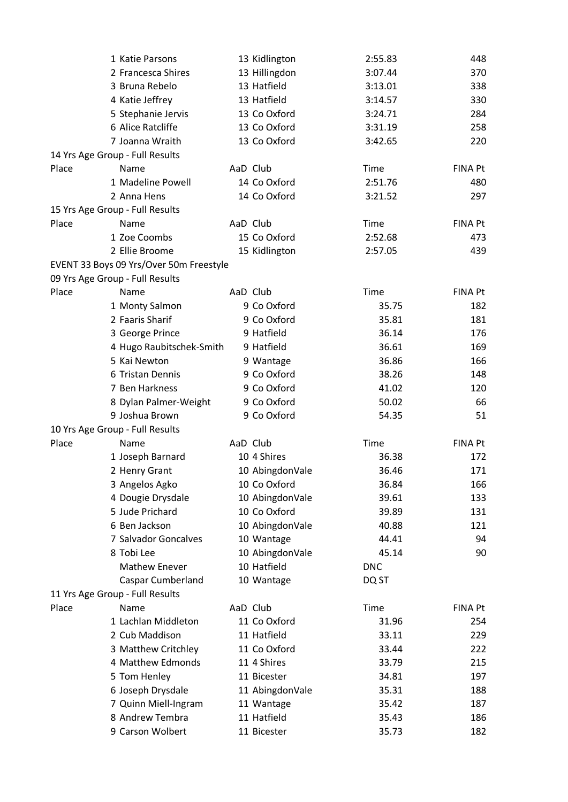|       | 1 Katie Parsons                         | 13 Kidlington   | 2:55.83    | 448            |
|-------|-----------------------------------------|-----------------|------------|----------------|
|       | 2 Francesca Shires                      | 13 Hillingdon   | 3:07.44    | 370            |
|       | 3 Bruna Rebelo                          | 13 Hatfield     | 3:13.01    | 338            |
|       | 4 Katie Jeffrey                         | 13 Hatfield     | 3:14.57    | 330            |
|       | 5 Stephanie Jervis                      | 13 Co Oxford    | 3:24.71    | 284            |
|       | 6 Alice Ratcliffe                       | 13 Co Oxford    | 3:31.19    | 258            |
|       | 7 Joanna Wraith                         | 13 Co Oxford    | 3:42.65    | 220            |
|       | 14 Yrs Age Group - Full Results         |                 |            |                |
| Place | Name                                    | AaD Club        | Time       | <b>FINA Pt</b> |
|       | 1 Madeline Powell                       | 14 Co Oxford    | 2:51.76    | 480            |
|       | 2 Anna Hens                             | 14 Co Oxford    | 3:21.52    | 297            |
|       | 15 Yrs Age Group - Full Results         |                 |            |                |
| Place | Name                                    | AaD Club        | Time       | <b>FINA Pt</b> |
|       | 1 Zoe Coombs                            | 15 Co Oxford    | 2:52.68    | 473            |
|       | 2 Ellie Broome                          | 15 Kidlington   | 2:57.05    | 439            |
|       | EVENT 33 Boys 09 Yrs/Over 50m Freestyle |                 |            |                |
|       | 09 Yrs Age Group - Full Results         |                 |            |                |
| Place | Name                                    | AaD Club        | Time       | <b>FINA Pt</b> |
|       | 1 Monty Salmon                          | 9 Co Oxford     | 35.75      | 182            |
|       | 2 Faaris Sharif                         | 9 Co Oxford     | 35.81      | 181            |
|       | 3 George Prince                         | 9 Hatfield      | 36.14      | 176            |
|       | 4 Hugo Raubitschek-Smith                | 9 Hatfield      | 36.61      | 169            |
|       | 5 Kai Newton                            | 9 Wantage       | 36.86      | 166            |
|       | 6 Tristan Dennis                        | 9 Co Oxford     | 38.26      | 148            |
|       | 7 Ben Harkness                          | 9 Co Oxford     | 41.02      | 120            |
|       | 8 Dylan Palmer-Weight                   | 9 Co Oxford     | 50.02      | 66             |
|       | 9 Joshua Brown                          | 9 Co Oxford     | 54.35      | 51             |
|       | 10 Yrs Age Group - Full Results         |                 |            |                |
| Place | Name                                    | AaD Club        | Time       | FINA Pt        |
|       | 1 Joseph Barnard                        | 10 4 Shires     | 36.38      | 172            |
|       | 2 Henry Grant                           | 10 AbingdonVale | 36.46      | 171            |
|       | 3 Angelos Agko                          | 10 Co Oxford    | 36.84      | 166            |
|       | 4 Dougie Drysdale                       | 10 AbingdonVale | 39.61      | 133            |
|       | 5 Jude Prichard                         | 10 Co Oxford    | 39.89      | 131            |
|       | 6 Ben Jackson                           | 10 AbingdonVale | 40.88      | 121            |
|       | 7 Salvador Goncalves                    | 10 Wantage      | 44.41      | 94             |
|       | 8 Tobi Lee                              | 10 AbingdonVale | 45.14      | 90             |
|       | <b>Mathew Enever</b>                    | 10 Hatfield     | <b>DNC</b> |                |
|       | <b>Caspar Cumberland</b>                | 10 Wantage      | DQ ST      |                |
|       | 11 Yrs Age Group - Full Results         |                 |            |                |
| Place | Name                                    | AaD Club        | Time       | <b>FINA Pt</b> |
|       | 1 Lachlan Middleton                     | 11 Co Oxford    | 31.96      | 254            |
|       | 2 Cub Maddison                          | 11 Hatfield     | 33.11      | 229            |
|       | 3 Matthew Critchley                     | 11 Co Oxford    | 33.44      | 222            |
|       | 4 Matthew Edmonds                       | 11 4 Shires     | 33.79      | 215            |
|       | 5 Tom Henley                            | 11 Bicester     | 34.81      | 197            |
|       | 6 Joseph Drysdale                       | 11 AbingdonVale | 35.31      | 188            |
|       | 7 Quinn Miell-Ingram                    | 11 Wantage      | 35.42      | 187            |
|       | 8 Andrew Tembra                         | 11 Hatfield     | 35.43      | 186            |
|       | 9 Carson Wolbert                        | 11 Bicester     | 35.73      | 182            |
|       |                                         |                 |            |                |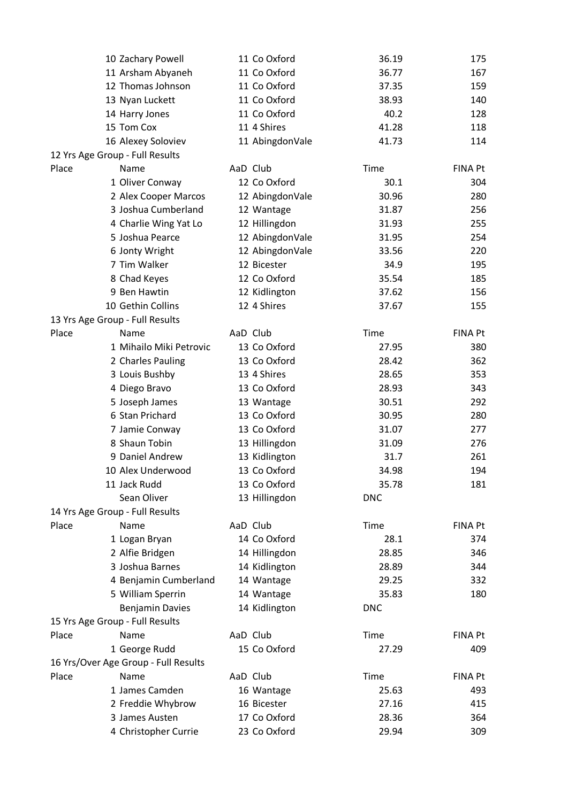|       | 10 Zachary Powell                            | 11 Co Oxford                | 36.19      | 175            |
|-------|----------------------------------------------|-----------------------------|------------|----------------|
|       | 11 Arsham Abyaneh                            | 11 Co Oxford                | 36.77      | 167            |
|       | 12 Thomas Johnson                            | 11 Co Oxford                | 37.35      | 159            |
|       | 13 Nyan Luckett                              | 11 Co Oxford                | 38.93      | 140            |
|       | 14 Harry Jones                               | 11 Co Oxford                | 40.2       | 128            |
|       | 15 Tom Cox                                   | 11 4 Shires                 | 41.28      | 118            |
|       | 16 Alexey Soloviev                           | 11 AbingdonVale             | 41.73      | 114            |
|       | 12 Yrs Age Group - Full Results              |                             |            |                |
| Place | Name                                         | AaD Club                    | Time       | <b>FINA Pt</b> |
|       | 1 Oliver Conway                              | 12 Co Oxford                | 30.1       | 304            |
|       | 2 Alex Cooper Marcos                         | 12 AbingdonVale             | 30.96      | 280            |
|       | 3 Joshua Cumberland                          | 12 Wantage                  | 31.87      | 256            |
|       | 4 Charlie Wing Yat Lo                        | 12 Hillingdon               | 31.93      | 255            |
|       | 5 Joshua Pearce                              | 12 AbingdonVale             | 31.95      | 254            |
|       | 6 Jonty Wright                               | 12 AbingdonVale             | 33.56      | 220            |
|       | 7 Tim Walker                                 | 12 Bicester                 | 34.9       | 195            |
|       | 8 Chad Keyes                                 | 12 Co Oxford                | 35.54      | 185            |
|       | 9 Ben Hawtin                                 | 12 Kidlington               | 37.62      | 156            |
|       | 10 Gethin Collins                            | 12 4 Shires                 | 37.67      | 155            |
|       | 13 Yrs Age Group - Full Results              |                             |            |                |
| Place | Name                                         | AaD Club                    | Time       | <b>FINA Pt</b> |
|       | 1 Mihailo Miki Petrovic                      | 13 Co Oxford                | 27.95      | 380            |
|       | 2 Charles Pauling                            | 13 Co Oxford                | 28.42      | 362            |
|       | 3 Louis Bushby                               | 13 4 Shires                 | 28.65      | 353            |
|       | 4 Diego Bravo                                | 13 Co Oxford                | 28.93      | 343            |
|       | 5 Joseph James                               | 13 Wantage                  | 30.51      | 292            |
|       | 6 Stan Prichard                              | 13 Co Oxford                | 30.95      | 280            |
|       | 7 Jamie Conway                               | 13 Co Oxford                | 31.07      | 277            |
|       | 8 Shaun Tobin                                | 13 Hillingdon               | 31.09      | 276            |
|       | 9 Daniel Andrew                              | 13 Kidlington               | 31.7       | 261            |
|       | 10 Alex Underwood                            | 13 Co Oxford                | 34.98      | 194            |
|       | 11 Jack Rudd                                 | 13 Co Oxford                | 35.78      | 181            |
|       | Sean Oliver                                  | 13 Hillingdon               | <b>DNC</b> |                |
|       | 14 Yrs Age Group - Full Results              |                             |            |                |
| Place | Name                                         | AaD Club                    | Time       | FINA Pt        |
|       | 1 Logan Bryan                                | 14 Co Oxford                | 28.1       | 374            |
|       | 2 Alfie Bridgen                              | 14 Hillingdon               | 28.85      | 346            |
|       | 3 Joshua Barnes                              | 14 Kidlington               | 28.89      | 344            |
|       | 4 Benjamin Cumberland                        | 14 Wantage                  | 29.25      | 332            |
|       | 5 William Sperrin                            |                             | 35.83      | 180            |
|       | <b>Benjamin Davies</b>                       | 14 Wantage<br>14 Kidlington | <b>DNC</b> |                |
|       | 15 Yrs Age Group - Full Results              |                             |            |                |
|       |                                              | AaD Club                    | Time       | <b>FINA Pt</b> |
| Place | Name                                         | 15 Co Oxford                |            |                |
|       | 1 George Rudd                                |                             | 27.29      | 409            |
| Place | 16 Yrs/Over Age Group - Full Results<br>Name | AaD Club                    | Time       | <b>FINA Pt</b> |
|       | 1 James Camden                               |                             | 25.63      |                |
|       |                                              | 16 Wantage                  |            | 493            |
|       | 2 Freddie Whybrow                            | 16 Bicester                 | 27.16      | 415            |
|       | 3 James Austen                               | 17 Co Oxford                | 28.36      | 364            |
|       | 4 Christopher Currie                         | 23 Co Oxford                | 29.94      | 309            |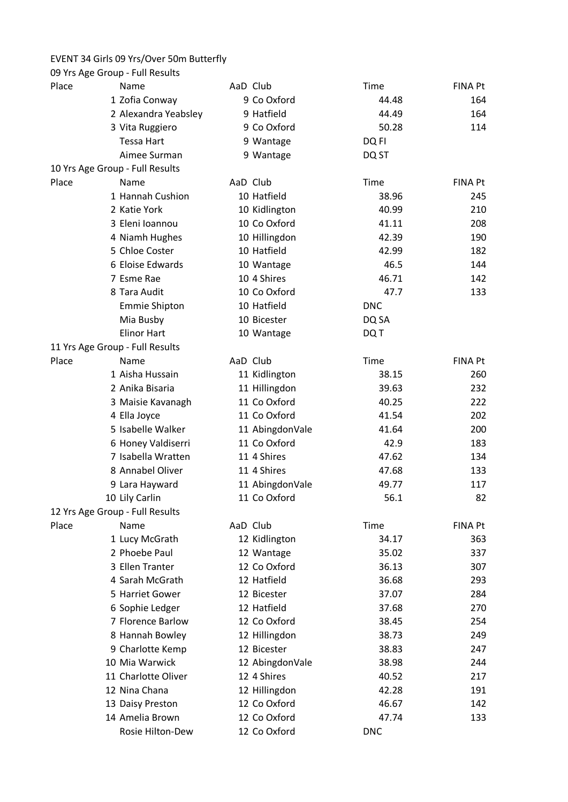## EVENT 34 Girls 09 Yrs/Over 50m Butterfly

| Place<br>AaD Club<br><b>Time</b><br><b>FINA Pt</b><br>Name<br>9 Co Oxford<br>1 Zofia Conway<br>44.48<br>164<br>9 Hatfield<br>2 Alexandra Yeabsley<br>44.49<br>164<br>9 Co Oxford<br>50.28<br>3 Vita Ruggiero<br>114<br>Tessa Hart<br>9 Wantage<br>DQ FI<br>Aimee Surman<br>9 Wantage<br>DQ ST<br>10 Yrs Age Group - Full Results<br>AaD Club<br>Place<br>Time<br><b>FINA Pt</b><br>Name<br>10 Hatfield<br>1 Hannah Cushion<br>38.96<br>245<br>2 Katie York<br>10 Kidlington<br>40.99<br>210<br>10 Co Oxford<br>3 Eleni Ioannou<br>41.11<br>208<br>10 Hillingdon<br>4 Niamh Hughes<br>42.39<br>190<br>5 Chloe Coster<br>10 Hatfield<br>42.99<br>182<br>6 Eloise Edwards<br>46.5<br>10 Wantage<br>144<br>10 4 Shires<br>46.71<br>7 Esme Rae<br>142<br>10 Co Oxford<br>8 Tara Audit<br>47.7<br>133<br>10 Hatfield<br><b>Emmie Shipton</b><br><b>DNC</b><br>Mia Busby<br>10 Bicester<br>DQ SA<br><b>Elinor Hart</b><br>DQ T<br>10 Wantage<br>11 Yrs Age Group - Full Results<br>Place<br>AaD Club<br><b>Time</b><br><b>FINA Pt</b><br>Name<br>1 Aisha Hussain<br>11 Kidlington<br>38.15<br>260<br>2 Anika Bisaria<br>11 Hillingdon<br>39.63<br>232<br>11 Co Oxford<br>3 Maisie Kavanagh<br>40.25<br>222<br>11 Co Oxford<br>41.54<br>202<br>4 Ella Joyce<br>5 Isabelle Walker<br>11 AbingdonVale<br>41.64<br>200<br>11 Co Oxford<br>6 Honey Valdiserri<br>42.9<br>183<br>7 Isabella Wratten<br>11 4 Shires<br>47.62<br>134<br>8 Annabel Oliver<br>11 4 Shires<br>47.68<br>133<br>11 AbingdonVale<br>117<br>9 Lara Hayward<br>49.77<br>10 Lily Carlin<br>11 Co Oxford<br>56.1<br>82<br>12 Yrs Age Group - Full Results<br>AaD Club<br>Place<br><b>Time</b><br><b>FINA Pt</b><br>Name<br>1 Lucy McGrath<br>12 Kidlington<br>34.17<br>363<br>2 Phoebe Paul<br>337<br>12 Wantage<br>35.02<br>3 Ellen Tranter<br>12 Co Oxford<br>36.13<br>307<br>4 Sarah McGrath<br>12 Hatfield<br>36.68<br>293<br>5 Harriet Gower<br>12 Bicester<br>37.07<br>284<br>6 Sophie Ledger<br>12 Hatfield<br>37.68<br>270<br>7 Florence Barlow<br>12 Co Oxford<br>38.45<br>254<br>8 Hannah Bowley<br>12 Hillingdon<br>38.73<br>249<br>12 Bicester<br>9 Charlotte Kemp<br>38.83<br>247<br>10 Mia Warwick<br>12 AbingdonVale<br>38.98<br>244<br>11 Charlotte Oliver<br>12 4 Shires<br>40.52<br>217<br>12 Nina Chana<br>12 Hillingdon<br>42.28<br>191<br>12 Co Oxford<br>13 Daisy Preston<br>46.67<br>142<br>14 Amelia Brown<br>12 Co Oxford<br>47.74<br>133<br>Rosie Hilton-Dew<br>12 Co Oxford<br><b>DNC</b> | 09 Yrs Age Group - Full Results |  |  |
|-----------------------------------------------------------------------------------------------------------------------------------------------------------------------------------------------------------------------------------------------------------------------------------------------------------------------------------------------------------------------------------------------------------------------------------------------------------------------------------------------------------------------------------------------------------------------------------------------------------------------------------------------------------------------------------------------------------------------------------------------------------------------------------------------------------------------------------------------------------------------------------------------------------------------------------------------------------------------------------------------------------------------------------------------------------------------------------------------------------------------------------------------------------------------------------------------------------------------------------------------------------------------------------------------------------------------------------------------------------------------------------------------------------------------------------------------------------------------------------------------------------------------------------------------------------------------------------------------------------------------------------------------------------------------------------------------------------------------------------------------------------------------------------------------------------------------------------------------------------------------------------------------------------------------------------------------------------------------------------------------------------------------------------------------------------------------------------------------------------------------------------------------------------------------------------------------------------------------------------------------------------------------------------------------------------------------------------------------------------------------------------------------------------------------------------------------------------------------------|---------------------------------|--|--|
|                                                                                                                                                                                                                                                                                                                                                                                                                                                                                                                                                                                                                                                                                                                                                                                                                                                                                                                                                                                                                                                                                                                                                                                                                                                                                                                                                                                                                                                                                                                                                                                                                                                                                                                                                                                                                                                                                                                                                                                                                                                                                                                                                                                                                                                                                                                                                                                                                                                                             |                                 |  |  |
|                                                                                                                                                                                                                                                                                                                                                                                                                                                                                                                                                                                                                                                                                                                                                                                                                                                                                                                                                                                                                                                                                                                                                                                                                                                                                                                                                                                                                                                                                                                                                                                                                                                                                                                                                                                                                                                                                                                                                                                                                                                                                                                                                                                                                                                                                                                                                                                                                                                                             |                                 |  |  |
|                                                                                                                                                                                                                                                                                                                                                                                                                                                                                                                                                                                                                                                                                                                                                                                                                                                                                                                                                                                                                                                                                                                                                                                                                                                                                                                                                                                                                                                                                                                                                                                                                                                                                                                                                                                                                                                                                                                                                                                                                                                                                                                                                                                                                                                                                                                                                                                                                                                                             |                                 |  |  |
|                                                                                                                                                                                                                                                                                                                                                                                                                                                                                                                                                                                                                                                                                                                                                                                                                                                                                                                                                                                                                                                                                                                                                                                                                                                                                                                                                                                                                                                                                                                                                                                                                                                                                                                                                                                                                                                                                                                                                                                                                                                                                                                                                                                                                                                                                                                                                                                                                                                                             |                                 |  |  |
|                                                                                                                                                                                                                                                                                                                                                                                                                                                                                                                                                                                                                                                                                                                                                                                                                                                                                                                                                                                                                                                                                                                                                                                                                                                                                                                                                                                                                                                                                                                                                                                                                                                                                                                                                                                                                                                                                                                                                                                                                                                                                                                                                                                                                                                                                                                                                                                                                                                                             |                                 |  |  |
|                                                                                                                                                                                                                                                                                                                                                                                                                                                                                                                                                                                                                                                                                                                                                                                                                                                                                                                                                                                                                                                                                                                                                                                                                                                                                                                                                                                                                                                                                                                                                                                                                                                                                                                                                                                                                                                                                                                                                                                                                                                                                                                                                                                                                                                                                                                                                                                                                                                                             |                                 |  |  |
|                                                                                                                                                                                                                                                                                                                                                                                                                                                                                                                                                                                                                                                                                                                                                                                                                                                                                                                                                                                                                                                                                                                                                                                                                                                                                                                                                                                                                                                                                                                                                                                                                                                                                                                                                                                                                                                                                                                                                                                                                                                                                                                                                                                                                                                                                                                                                                                                                                                                             |                                 |  |  |
|                                                                                                                                                                                                                                                                                                                                                                                                                                                                                                                                                                                                                                                                                                                                                                                                                                                                                                                                                                                                                                                                                                                                                                                                                                                                                                                                                                                                                                                                                                                                                                                                                                                                                                                                                                                                                                                                                                                                                                                                                                                                                                                                                                                                                                                                                                                                                                                                                                                                             |                                 |  |  |
|                                                                                                                                                                                                                                                                                                                                                                                                                                                                                                                                                                                                                                                                                                                                                                                                                                                                                                                                                                                                                                                                                                                                                                                                                                                                                                                                                                                                                                                                                                                                                                                                                                                                                                                                                                                                                                                                                                                                                                                                                                                                                                                                                                                                                                                                                                                                                                                                                                                                             |                                 |  |  |
|                                                                                                                                                                                                                                                                                                                                                                                                                                                                                                                                                                                                                                                                                                                                                                                                                                                                                                                                                                                                                                                                                                                                                                                                                                                                                                                                                                                                                                                                                                                                                                                                                                                                                                                                                                                                                                                                                                                                                                                                                                                                                                                                                                                                                                                                                                                                                                                                                                                                             |                                 |  |  |
|                                                                                                                                                                                                                                                                                                                                                                                                                                                                                                                                                                                                                                                                                                                                                                                                                                                                                                                                                                                                                                                                                                                                                                                                                                                                                                                                                                                                                                                                                                                                                                                                                                                                                                                                                                                                                                                                                                                                                                                                                                                                                                                                                                                                                                                                                                                                                                                                                                                                             |                                 |  |  |
|                                                                                                                                                                                                                                                                                                                                                                                                                                                                                                                                                                                                                                                                                                                                                                                                                                                                                                                                                                                                                                                                                                                                                                                                                                                                                                                                                                                                                                                                                                                                                                                                                                                                                                                                                                                                                                                                                                                                                                                                                                                                                                                                                                                                                                                                                                                                                                                                                                                                             |                                 |  |  |
|                                                                                                                                                                                                                                                                                                                                                                                                                                                                                                                                                                                                                                                                                                                                                                                                                                                                                                                                                                                                                                                                                                                                                                                                                                                                                                                                                                                                                                                                                                                                                                                                                                                                                                                                                                                                                                                                                                                                                                                                                                                                                                                                                                                                                                                                                                                                                                                                                                                                             |                                 |  |  |
|                                                                                                                                                                                                                                                                                                                                                                                                                                                                                                                                                                                                                                                                                                                                                                                                                                                                                                                                                                                                                                                                                                                                                                                                                                                                                                                                                                                                                                                                                                                                                                                                                                                                                                                                                                                                                                                                                                                                                                                                                                                                                                                                                                                                                                                                                                                                                                                                                                                                             |                                 |  |  |
|                                                                                                                                                                                                                                                                                                                                                                                                                                                                                                                                                                                                                                                                                                                                                                                                                                                                                                                                                                                                                                                                                                                                                                                                                                                                                                                                                                                                                                                                                                                                                                                                                                                                                                                                                                                                                                                                                                                                                                                                                                                                                                                                                                                                                                                                                                                                                                                                                                                                             |                                 |  |  |
|                                                                                                                                                                                                                                                                                                                                                                                                                                                                                                                                                                                                                                                                                                                                                                                                                                                                                                                                                                                                                                                                                                                                                                                                                                                                                                                                                                                                                                                                                                                                                                                                                                                                                                                                                                                                                                                                                                                                                                                                                                                                                                                                                                                                                                                                                                                                                                                                                                                                             |                                 |  |  |
|                                                                                                                                                                                                                                                                                                                                                                                                                                                                                                                                                                                                                                                                                                                                                                                                                                                                                                                                                                                                                                                                                                                                                                                                                                                                                                                                                                                                                                                                                                                                                                                                                                                                                                                                                                                                                                                                                                                                                                                                                                                                                                                                                                                                                                                                                                                                                                                                                                                                             |                                 |  |  |
|                                                                                                                                                                                                                                                                                                                                                                                                                                                                                                                                                                                                                                                                                                                                                                                                                                                                                                                                                                                                                                                                                                                                                                                                                                                                                                                                                                                                                                                                                                                                                                                                                                                                                                                                                                                                                                                                                                                                                                                                                                                                                                                                                                                                                                                                                                                                                                                                                                                                             |                                 |  |  |
|                                                                                                                                                                                                                                                                                                                                                                                                                                                                                                                                                                                                                                                                                                                                                                                                                                                                                                                                                                                                                                                                                                                                                                                                                                                                                                                                                                                                                                                                                                                                                                                                                                                                                                                                                                                                                                                                                                                                                                                                                                                                                                                                                                                                                                                                                                                                                                                                                                                                             |                                 |  |  |
|                                                                                                                                                                                                                                                                                                                                                                                                                                                                                                                                                                                                                                                                                                                                                                                                                                                                                                                                                                                                                                                                                                                                                                                                                                                                                                                                                                                                                                                                                                                                                                                                                                                                                                                                                                                                                                                                                                                                                                                                                                                                                                                                                                                                                                                                                                                                                                                                                                                                             |                                 |  |  |
|                                                                                                                                                                                                                                                                                                                                                                                                                                                                                                                                                                                                                                                                                                                                                                                                                                                                                                                                                                                                                                                                                                                                                                                                                                                                                                                                                                                                                                                                                                                                                                                                                                                                                                                                                                                                                                                                                                                                                                                                                                                                                                                                                                                                                                                                                                                                                                                                                                                                             |                                 |  |  |
|                                                                                                                                                                                                                                                                                                                                                                                                                                                                                                                                                                                                                                                                                                                                                                                                                                                                                                                                                                                                                                                                                                                                                                                                                                                                                                                                                                                                                                                                                                                                                                                                                                                                                                                                                                                                                                                                                                                                                                                                                                                                                                                                                                                                                                                                                                                                                                                                                                                                             |                                 |  |  |
|                                                                                                                                                                                                                                                                                                                                                                                                                                                                                                                                                                                                                                                                                                                                                                                                                                                                                                                                                                                                                                                                                                                                                                                                                                                                                                                                                                                                                                                                                                                                                                                                                                                                                                                                                                                                                                                                                                                                                                                                                                                                                                                                                                                                                                                                                                                                                                                                                                                                             |                                 |  |  |
|                                                                                                                                                                                                                                                                                                                                                                                                                                                                                                                                                                                                                                                                                                                                                                                                                                                                                                                                                                                                                                                                                                                                                                                                                                                                                                                                                                                                                                                                                                                                                                                                                                                                                                                                                                                                                                                                                                                                                                                                                                                                                                                                                                                                                                                                                                                                                                                                                                                                             |                                 |  |  |
|                                                                                                                                                                                                                                                                                                                                                                                                                                                                                                                                                                                                                                                                                                                                                                                                                                                                                                                                                                                                                                                                                                                                                                                                                                                                                                                                                                                                                                                                                                                                                                                                                                                                                                                                                                                                                                                                                                                                                                                                                                                                                                                                                                                                                                                                                                                                                                                                                                                                             |                                 |  |  |
|                                                                                                                                                                                                                                                                                                                                                                                                                                                                                                                                                                                                                                                                                                                                                                                                                                                                                                                                                                                                                                                                                                                                                                                                                                                                                                                                                                                                                                                                                                                                                                                                                                                                                                                                                                                                                                                                                                                                                                                                                                                                                                                                                                                                                                                                                                                                                                                                                                                                             |                                 |  |  |
|                                                                                                                                                                                                                                                                                                                                                                                                                                                                                                                                                                                                                                                                                                                                                                                                                                                                                                                                                                                                                                                                                                                                                                                                                                                                                                                                                                                                                                                                                                                                                                                                                                                                                                                                                                                                                                                                                                                                                                                                                                                                                                                                                                                                                                                                                                                                                                                                                                                                             |                                 |  |  |
|                                                                                                                                                                                                                                                                                                                                                                                                                                                                                                                                                                                                                                                                                                                                                                                                                                                                                                                                                                                                                                                                                                                                                                                                                                                                                                                                                                                                                                                                                                                                                                                                                                                                                                                                                                                                                                                                                                                                                                                                                                                                                                                                                                                                                                                                                                                                                                                                                                                                             |                                 |  |  |
|                                                                                                                                                                                                                                                                                                                                                                                                                                                                                                                                                                                                                                                                                                                                                                                                                                                                                                                                                                                                                                                                                                                                                                                                                                                                                                                                                                                                                                                                                                                                                                                                                                                                                                                                                                                                                                                                                                                                                                                                                                                                                                                                                                                                                                                                                                                                                                                                                                                                             |                                 |  |  |
|                                                                                                                                                                                                                                                                                                                                                                                                                                                                                                                                                                                                                                                                                                                                                                                                                                                                                                                                                                                                                                                                                                                                                                                                                                                                                                                                                                                                                                                                                                                                                                                                                                                                                                                                                                                                                                                                                                                                                                                                                                                                                                                                                                                                                                                                                                                                                                                                                                                                             |                                 |  |  |
|                                                                                                                                                                                                                                                                                                                                                                                                                                                                                                                                                                                                                                                                                                                                                                                                                                                                                                                                                                                                                                                                                                                                                                                                                                                                                                                                                                                                                                                                                                                                                                                                                                                                                                                                                                                                                                                                                                                                                                                                                                                                                                                                                                                                                                                                                                                                                                                                                                                                             |                                 |  |  |
|                                                                                                                                                                                                                                                                                                                                                                                                                                                                                                                                                                                                                                                                                                                                                                                                                                                                                                                                                                                                                                                                                                                                                                                                                                                                                                                                                                                                                                                                                                                                                                                                                                                                                                                                                                                                                                                                                                                                                                                                                                                                                                                                                                                                                                                                                                                                                                                                                                                                             |                                 |  |  |
|                                                                                                                                                                                                                                                                                                                                                                                                                                                                                                                                                                                                                                                                                                                                                                                                                                                                                                                                                                                                                                                                                                                                                                                                                                                                                                                                                                                                                                                                                                                                                                                                                                                                                                                                                                                                                                                                                                                                                                                                                                                                                                                                                                                                                                                                                                                                                                                                                                                                             |                                 |  |  |
|                                                                                                                                                                                                                                                                                                                                                                                                                                                                                                                                                                                                                                                                                                                                                                                                                                                                                                                                                                                                                                                                                                                                                                                                                                                                                                                                                                                                                                                                                                                                                                                                                                                                                                                                                                                                                                                                                                                                                                                                                                                                                                                                                                                                                                                                                                                                                                                                                                                                             |                                 |  |  |
|                                                                                                                                                                                                                                                                                                                                                                                                                                                                                                                                                                                                                                                                                                                                                                                                                                                                                                                                                                                                                                                                                                                                                                                                                                                                                                                                                                                                                                                                                                                                                                                                                                                                                                                                                                                                                                                                                                                                                                                                                                                                                                                                                                                                                                                                                                                                                                                                                                                                             |                                 |  |  |
|                                                                                                                                                                                                                                                                                                                                                                                                                                                                                                                                                                                                                                                                                                                                                                                                                                                                                                                                                                                                                                                                                                                                                                                                                                                                                                                                                                                                                                                                                                                                                                                                                                                                                                                                                                                                                                                                                                                                                                                                                                                                                                                                                                                                                                                                                                                                                                                                                                                                             |                                 |  |  |
|                                                                                                                                                                                                                                                                                                                                                                                                                                                                                                                                                                                                                                                                                                                                                                                                                                                                                                                                                                                                                                                                                                                                                                                                                                                                                                                                                                                                                                                                                                                                                                                                                                                                                                                                                                                                                                                                                                                                                                                                                                                                                                                                                                                                                                                                                                                                                                                                                                                                             |                                 |  |  |
|                                                                                                                                                                                                                                                                                                                                                                                                                                                                                                                                                                                                                                                                                                                                                                                                                                                                                                                                                                                                                                                                                                                                                                                                                                                                                                                                                                                                                                                                                                                                                                                                                                                                                                                                                                                                                                                                                                                                                                                                                                                                                                                                                                                                                                                                                                                                                                                                                                                                             |                                 |  |  |
|                                                                                                                                                                                                                                                                                                                                                                                                                                                                                                                                                                                                                                                                                                                                                                                                                                                                                                                                                                                                                                                                                                                                                                                                                                                                                                                                                                                                                                                                                                                                                                                                                                                                                                                                                                                                                                                                                                                                                                                                                                                                                                                                                                                                                                                                                                                                                                                                                                                                             |                                 |  |  |
|                                                                                                                                                                                                                                                                                                                                                                                                                                                                                                                                                                                                                                                                                                                                                                                                                                                                                                                                                                                                                                                                                                                                                                                                                                                                                                                                                                                                                                                                                                                                                                                                                                                                                                                                                                                                                                                                                                                                                                                                                                                                                                                                                                                                                                                                                                                                                                                                                                                                             |                                 |  |  |
|                                                                                                                                                                                                                                                                                                                                                                                                                                                                                                                                                                                                                                                                                                                                                                                                                                                                                                                                                                                                                                                                                                                                                                                                                                                                                                                                                                                                                                                                                                                                                                                                                                                                                                                                                                                                                                                                                                                                                                                                                                                                                                                                                                                                                                                                                                                                                                                                                                                                             |                                 |  |  |
|                                                                                                                                                                                                                                                                                                                                                                                                                                                                                                                                                                                                                                                                                                                                                                                                                                                                                                                                                                                                                                                                                                                                                                                                                                                                                                                                                                                                                                                                                                                                                                                                                                                                                                                                                                                                                                                                                                                                                                                                                                                                                                                                                                                                                                                                                                                                                                                                                                                                             |                                 |  |  |
|                                                                                                                                                                                                                                                                                                                                                                                                                                                                                                                                                                                                                                                                                                                                                                                                                                                                                                                                                                                                                                                                                                                                                                                                                                                                                                                                                                                                                                                                                                                                                                                                                                                                                                                                                                                                                                                                                                                                                                                                                                                                                                                                                                                                                                                                                                                                                                                                                                                                             |                                 |  |  |
|                                                                                                                                                                                                                                                                                                                                                                                                                                                                                                                                                                                                                                                                                                                                                                                                                                                                                                                                                                                                                                                                                                                                                                                                                                                                                                                                                                                                                                                                                                                                                                                                                                                                                                                                                                                                                                                                                                                                                                                                                                                                                                                                                                                                                                                                                                                                                                                                                                                                             |                                 |  |  |
|                                                                                                                                                                                                                                                                                                                                                                                                                                                                                                                                                                                                                                                                                                                                                                                                                                                                                                                                                                                                                                                                                                                                                                                                                                                                                                                                                                                                                                                                                                                                                                                                                                                                                                                                                                                                                                                                                                                                                                                                                                                                                                                                                                                                                                                                                                                                                                                                                                                                             |                                 |  |  |
|                                                                                                                                                                                                                                                                                                                                                                                                                                                                                                                                                                                                                                                                                                                                                                                                                                                                                                                                                                                                                                                                                                                                                                                                                                                                                                                                                                                                                                                                                                                                                                                                                                                                                                                                                                                                                                                                                                                                                                                                                                                                                                                                                                                                                                                                                                                                                                                                                                                                             |                                 |  |  |
|                                                                                                                                                                                                                                                                                                                                                                                                                                                                                                                                                                                                                                                                                                                                                                                                                                                                                                                                                                                                                                                                                                                                                                                                                                                                                                                                                                                                                                                                                                                                                                                                                                                                                                                                                                                                                                                                                                                                                                                                                                                                                                                                                                                                                                                                                                                                                                                                                                                                             |                                 |  |  |
|                                                                                                                                                                                                                                                                                                                                                                                                                                                                                                                                                                                                                                                                                                                                                                                                                                                                                                                                                                                                                                                                                                                                                                                                                                                                                                                                                                                                                                                                                                                                                                                                                                                                                                                                                                                                                                                                                                                                                                                                                                                                                                                                                                                                                                                                                                                                                                                                                                                                             |                                 |  |  |